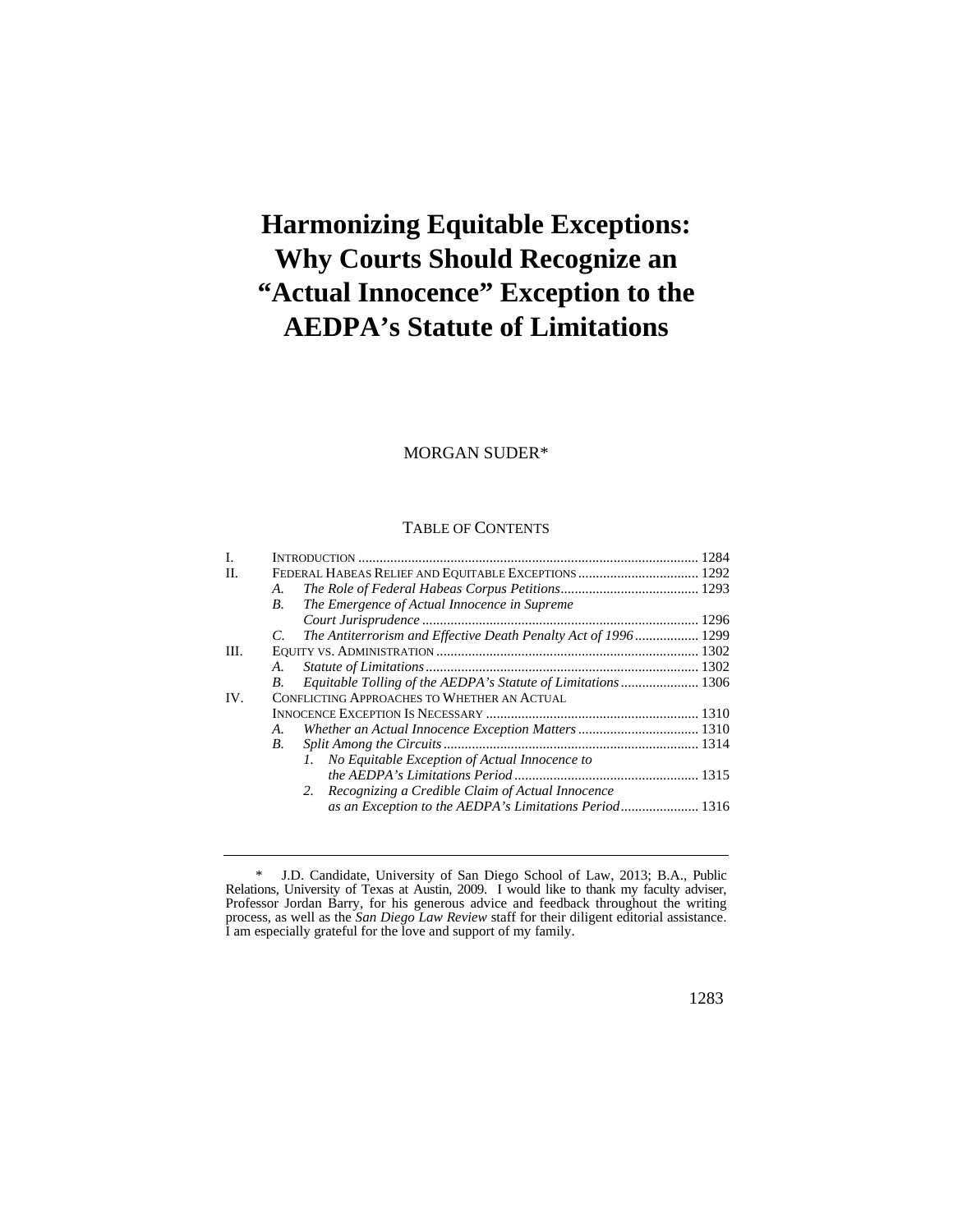# **Harmonizing Equitable Exceptions: Why Courts Should Recognize an "Actual Innocence" Exception to the AEDPA's Statute of Limitations**

# MORGAN SUDER\*

## TABLE OF CONTENTS

| I.   |    |                                                                |  |
|------|----|----------------------------------------------------------------|--|
| H.   |    |                                                                |  |
|      | А. |                                                                |  |
|      | B. | The Emergence of Actual Innocence in Supreme                   |  |
|      |    |                                                                |  |
|      | C. | The Antiterrorism and Effective Death Penalty Act of 1996 1299 |  |
| III. |    |                                                                |  |
|      | A. |                                                                |  |
|      | В. | Equitable Tolling of the AEDPA's Statute of Limitations  1306  |  |
| IV.  |    | <b>CONFLICTING APPROACHES TO WHETHER AN ACTUAL</b>             |  |
|      |    |                                                                |  |
|      | A. |                                                                |  |
|      | В. |                                                                |  |
|      |    | No Equitable Exception of Actual Innocence to                  |  |
|      |    |                                                                |  |
|      |    | 2. Recognizing a Credible Claim of Actual Innocence            |  |
|      |    |                                                                |  |

<sup>\*</sup> J.D. Candidate, University of San Diego School of Law, 2013; B.A., Public Relations, University of Texas at Austin, 2009. I would like to thank my faculty adviser, Professor Jordan Barry, for his generous advice and feedback throughout the writing process, as well as the *San Diego Law Review* staff for their diligent editorial assistance. I am especially grateful for the love and support of my family.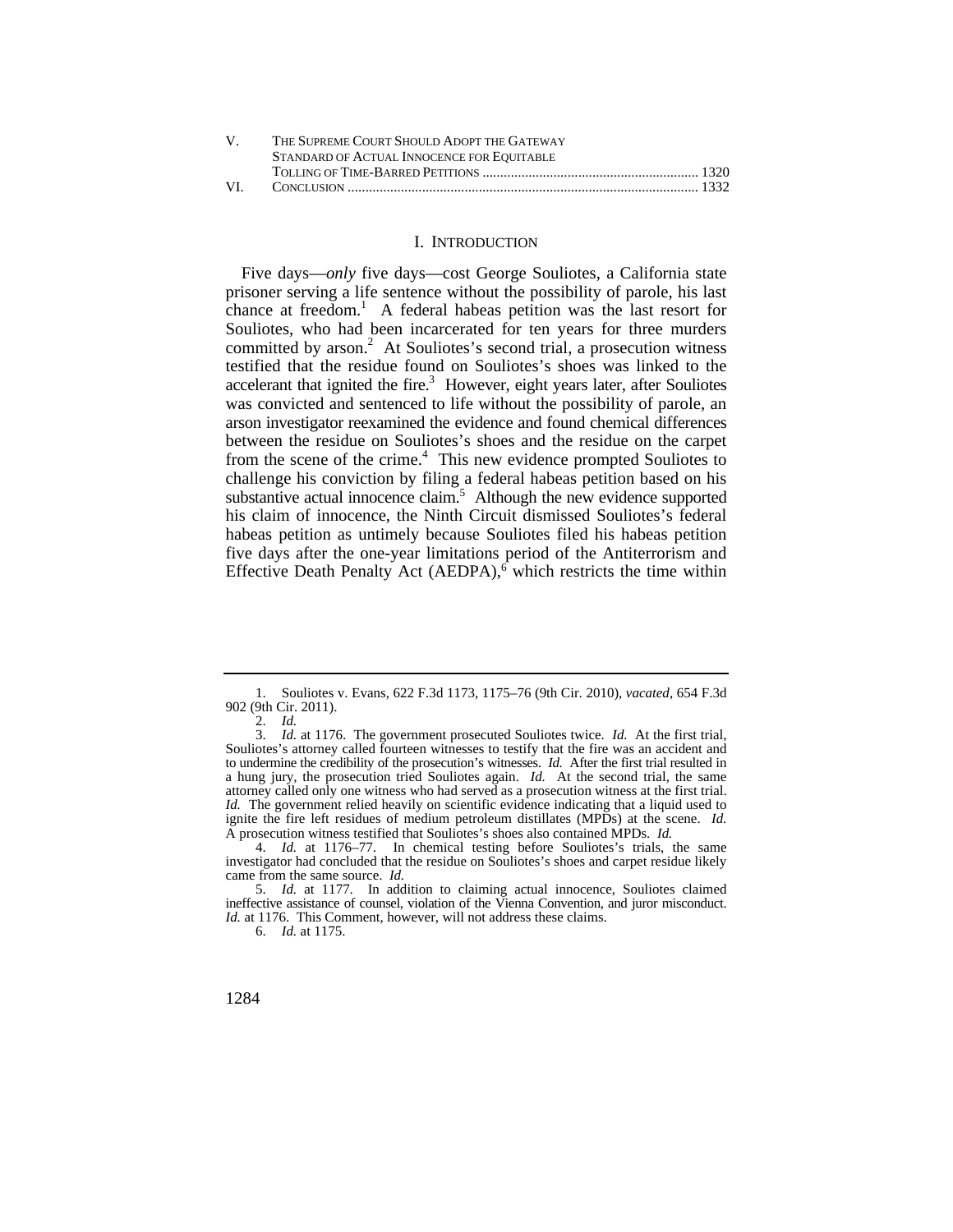| V — | THE SUPREME COURT SHOULD ADOPT THE GATEWAY |  |
|-----|--------------------------------------------|--|
|     | STANDARD OF ACTUAL INNOCENCE FOR EQUITABLE |  |
|     |                                            |  |
| VL. |                                            |  |

## I. INTRODUCTION

Five days—*only* five days—cost George Souliotes, a California state prisoner serving a life sentence without the possibility of parole, his last chance at freedom.<sup>1</sup> A federal habeas petition was the last resort for Souliotes, who had been incarcerated for ten years for three murders committed by  $arson.<sup>2</sup>$  At Souliotes's second trial, a prosecution witness testified that the residue found on Souliotes's shoes was linked to the accelerant that ignited the fire. $3$  However, eight years later, after Souliotes was convicted and sentenced to life without the possibility of parole, an arson investigator reexamined the evidence and found chemical differences between the residue on Souliotes's shoes and the residue on the carpet from the scene of the crime. $4$  This new evidence prompted Souliotes to challenge his conviction by filing a federal habeas petition based on his substantive actual innocence claim.<sup>5</sup> Although the new evidence supported his claim of innocence, the Ninth Circuit dismissed Souliotes's federal habeas petition as untimely because Souliotes filed his habeas petition five days after the one-year limitations period of the Antiterrorism and Effective Death Penalty Act  $(AEDPA)$ , which restricts the time within

<sup>1.</sup> Souliotes v. Evans, 622 F.3d 1173, 1175–76 (9th Cir. 2010), *vacated*, 654 F.3d 902 (9th Cir. 2011).

<sup>2.</sup> *Id.* 

 to undermine the credibility of the prosecution's witnesses. *Id.* After the first trial resulted in attorney called only one witness who had served as a prosecution witness at the first trial. 3. *Id.* at 1176. The government prosecuted Souliotes twice. *Id.* At the first trial, Souliotes's attorney called fourteen witnesses to testify that the fire was an accident and a hung jury, the prosecution tried Souliotes again. *Id.* At the second trial, the same *Id.* The government relied heavily on scientific evidence indicating that a liquid used to ignite the fire left residues of medium petroleum distillates (MPDs) at the scene. *Id.* A prosecution witness testified that Souliotes's shoes also contained MPDs. *Id.* 

<sup>4.</sup> *Id.* at 1176–77. In chemical testing before Souliotes's trials, the same investigator had concluded that the residue on Souliotes's shoes and carpet residue likely came from the same source. *Id.* 

 ineffective assistance of counsel, violation of the Vienna Convention, and juror misconduct. 5. *Id.* at 1177. In addition to claiming actual innocence, Souliotes claimed *Id.* at 1176. This Comment, however, will not address these claims.

<sup>6.</sup> *Id.* at 1175.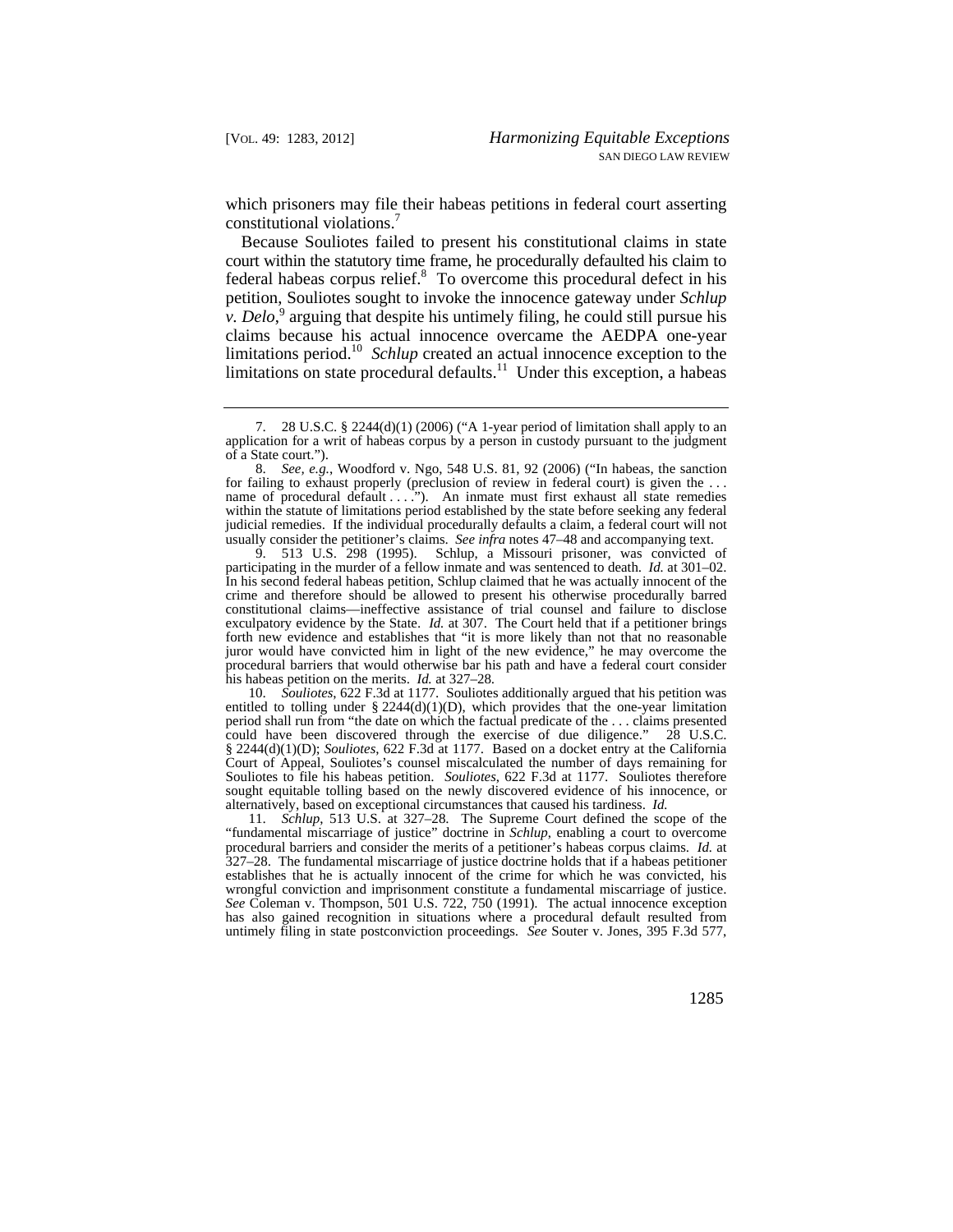which prisoners may file their habeas petitions in federal court asserting constitutional violations.<sup>7</sup>

 court within the statutory time frame, he procedurally defaulted his claim to limitations period.<sup>10</sup> *Schlup* created an actual innocence exception to the limitations on state procedural defaults.<sup>11</sup> Under this exception, a habeas Because Souliotes failed to present his constitutional claims in state federal habeas corpus relief.<sup>8</sup> To overcome this procedural defect in his petition, Souliotes sought to invoke the innocence gateway under *Schlup v*. Delo,<sup>9</sup> arguing that despite his untimely filing, he could still pursue his claims because his actual innocence overcame the AEDPA one-year

 participating in the murder of a fellow inmate and was sentenced to death. *Id.* at 301–02. crime and therefore should be allowed to present his otherwise procedurally barred 9. 513 U.S. 298 (1995). Schlup, a Missouri prisoner, was convicted of In his second federal habeas petition, Schlup claimed that he was actually innocent of the constitutional claims—ineffective assistance of trial counsel and failure to disclose exculpatory evidence by the State. *Id.* at 307. The Court held that if a petitioner brings forth new evidence and establishes that "it is more likely than not that no reasonable juror would have convicted him in light of the new evidence," he may overcome the procedural barriers that would otherwise bar his path and have a federal court consider his habeas petition on the merits. *Id.* at 327–28.

 alternatively, based on exceptional circumstances that caused his tardiness. *Id.*  10. *Souliotes*, 622 F.3d at 1177. Souliotes additionally argued that his petition was entitled to tolling under § 2244(d)(1)(D), which provides that the one-year limitation period shall run from "the date on which the factual predicate of the . . . claims presented could have been discovered through the exercise of due diligence." 28 U.S.C. § 2244(d)(1)(D); *Souliotes*, 622 F.3d at 1177. Based on a docket entry at the California Court of Appeal, Souliotes's counsel miscalculated the number of days remaining for Souliotes to file his habeas petition. *Souliotes*, 622 F.3d at 1177. Souliotes therefore sought equitable tolling based on the newly discovered evidence of his innocence, or

11. *Schlup*, 513 U.S. at 327–28. The Supreme Court defined the scope of the "fundamental miscarriage of justice" doctrine in *Schlup*, enabling a court to overcome procedural barriers and consider the merits of a petitioner's habeas corpus claims. *Id.* at 327–28. The fundamental miscarriage of justice doctrine holds that if a habeas petitioner establishes that he is actually innocent of the crime for which he was convicted, his wrongful conviction and imprisonment constitute a fundamental miscarriage of justice. *See* Coleman v. Thompson, 501 U.S. 722, 750 (1991). The actual innocence exception has also gained recognition in situations where a procedural default resulted from untimely filing in state postconviction proceedings. *See* Souter v. Jones, 395 F.3d 577,

<sup>7. 28</sup> U.S.C. § 2244(d)(1) (2006) ("A 1-year period of limitation shall apply to an application for a writ of habeas corpus by a person in custody pursuant to the judgment of a State court.").

 for failing to exhaust properly (preclusion of review in federal court) is given the . . . name of procedural default . . . ."). An inmate must first exhaust all state remedies 8. *See, e.g.*, Woodford v. Ngo, 548 U.S. 81, 92 (2006) ("In habeas, the sanction within the statute of limitations period established by the state before seeking any federal judicial remedies. If the individual procedurally defaults a claim, a federal court will not usually consider the petitioner's claims. *See infra* notes 47–48 and accompanying text.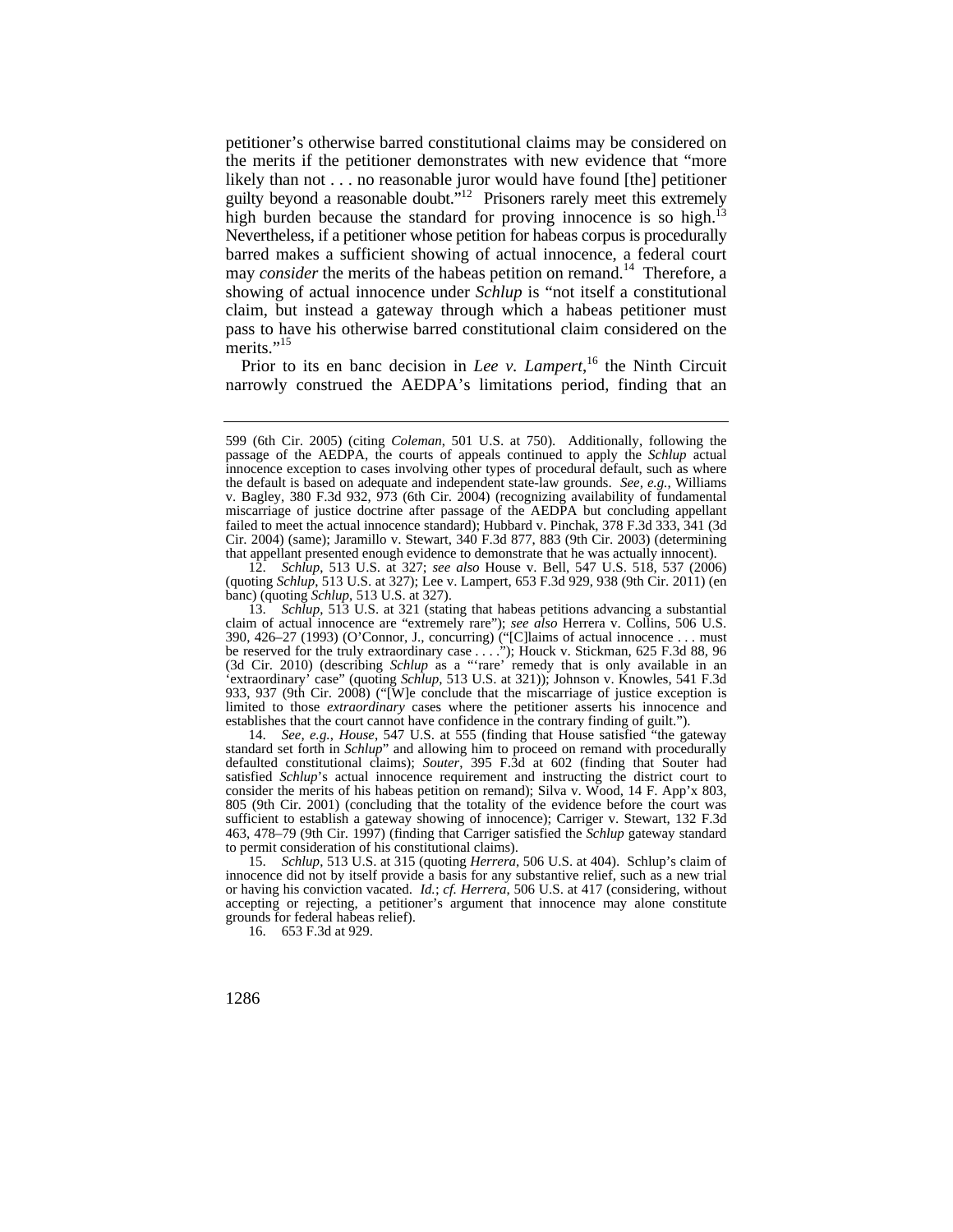petitioner's otherwise barred constitutional claims may be considered on the merits if the petitioner demonstrates with new evidence that "more likely than not . . . no reasonable juror would have found [the] petitioner guilty beyond a reasonable doubt."<sup>12</sup> Prisoners rarely meet this extremely high burden because the standard for proving innocence is so high.<sup>13</sup> Nevertheless, if a petitioner whose petition for habeas corpus is procedurally barred makes a sufficient showing of actual innocence, a federal court may *consider* the merits of the habeas petition on remand.<sup>14</sup> Therefore, a showing of actual innocence under *Schlup* is "not itself a constitutional claim, but instead a gateway through which a habeas petitioner must pass to have his otherwise barred constitutional claim considered on the merits."<sup>15</sup>

Prior to its en banc decision in *Lee v. Lampert*,<sup>16</sup> the Ninth Circuit narrowly construed the AEDPA's limitations period, finding that an

12. *Schlup*, 513 U.S. at 327; *see also* House v. Bell, 547 U.S. 518, 537 (2006) (quoting *Schlup*, 513 U.S. at 327); Lee v. Lampert, 653 F.3d 929, 938 (9th Cir. 2011) (en banc) (quoting *Schlup*, 513 U.S. at 327).

13. *Schlup*, 513 U.S. at 321 (stating that habeas petitions advancing a substantial claim of actual innocence are "extremely rare"); *see also* Herrera v. Collins, 506 U.S. 390, 426–27 (1993) (O'Connor, J., concurring) ("[C]laims of actual innocence . . . must be reserved for the truly extraordinary case . . . ."); Houck v. Stickman, 625 F.3d 88, 96 (3d Cir. 2010) (describing *Schlup* as a "'rare' remedy that is only available in an 'extraordinary' case" (quoting *Schlup*, 513 U.S. at 321)); Johnson v. Knowles, 541 F.3d 933, 937 (9th Cir. 2008) ("[W]e conclude that the miscarriage of justice exception is limited to those *extraordinary* cases where the petitioner asserts his innocence and establishes that the court cannot have confidence in the contrary finding of guilt.").

14. *See, e.g.*, *House*, 547 U.S. at 555 (finding that House satisfied "the gateway standard set forth in *Schlup*" and allowing him to proceed on remand with procedurally defaulted constitutional claims); *Souter*, 395 F.3d at 602 (finding that Souter had satisfied *Schlup*'s actual innocence requirement and instructing the district court to consider the merits of his habeas petition on remand); Silva v. Wood, 14 F. App'x 803, 805 (9th Cir. 2001) (concluding that the totality of the evidence before the court was sufficient to establish a gateway showing of innocence); Carriger v. Stewart, 132 F.3d 463, 478–79 (9th Cir. 1997) (finding that Carriger satisfied the *Schlup* gateway standard to permit consideration of his constitutional claims).

 or having his conviction vacated. *Id.*; *cf. Herrera*, 506 U.S. at 417 (considering, without 15. *Schlup*, 513 U.S. at 315 (quoting *Herrera*, 506 U.S. at 404). Schlup's claim of innocence did not by itself provide a basis for any substantive relief, such as a new trial accepting or rejecting, a petitioner's argument that innocence may alone constitute grounds for federal habeas relief).

16. 653 F.3d at 929.

 that appellant presented enough evidence to demonstrate that he was actually innocent). 599 (6th Cir. 2005) (citing *Coleman*, 501 U.S. at 750). Additionally, following the passage of the AEDPA, the courts of appeals continued to apply the *Schlup* actual innocence exception to cases involving other types of procedural default, such as where the default is based on adequate and independent state-law grounds. *See, e.g.*, Williams v. Bagley, 380 F.3d 932, 973 (6th Cir. 2004) (recognizing availability of fundamental miscarriage of justice doctrine after passage of the AEDPA but concluding appellant failed to meet the actual innocence standard); Hubbard v. Pinchak, 378 F.3d 333, 341 (3d Cir. 2004) (same); Jaramillo v. Stewart, 340 F.3d 877, 883 (9th Cir. 2003) (determining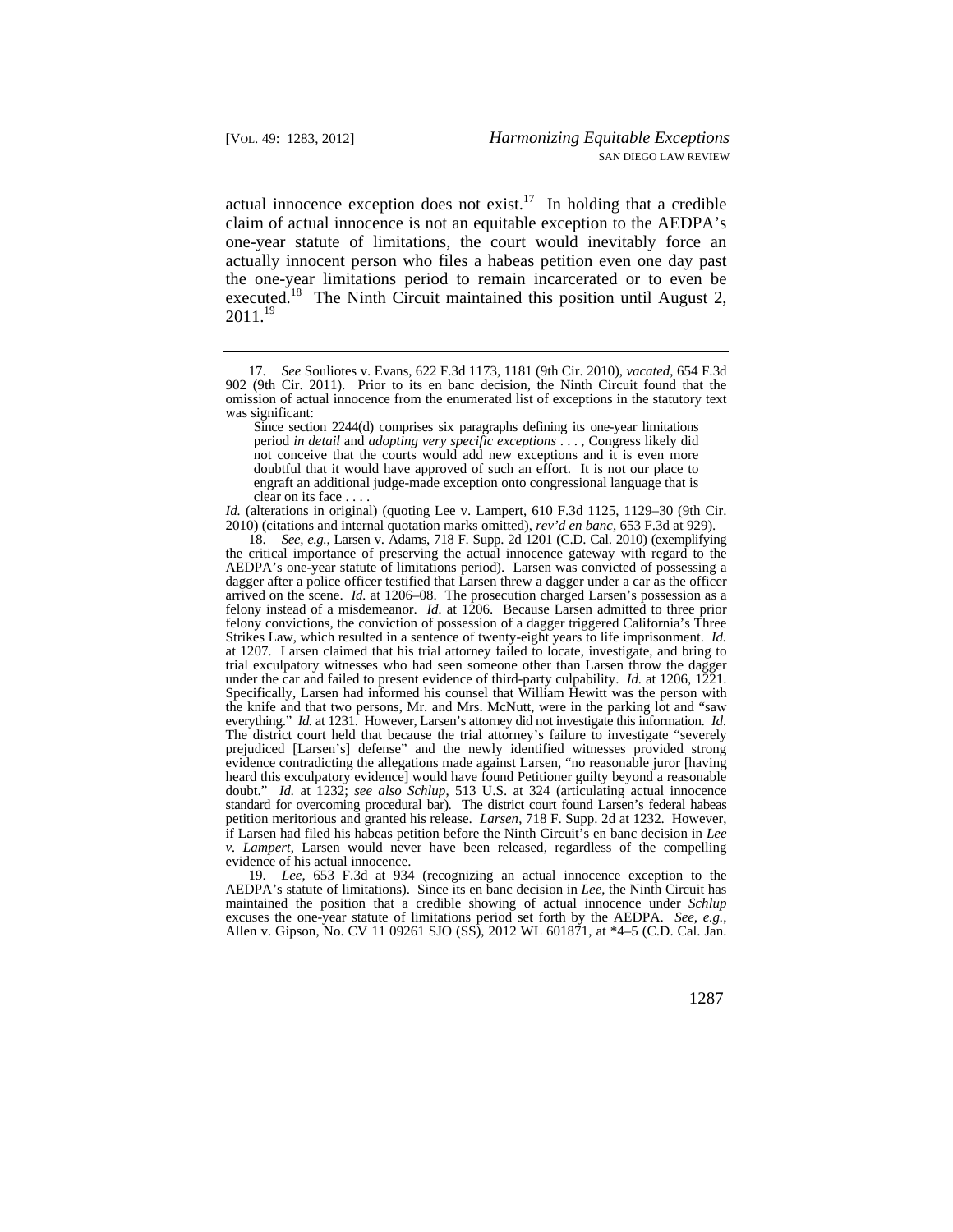actual innocence exception does not exist.<sup>17</sup> In holding that a credible claim of actual innocence is not an equitable exception to the AEDPA's one-year statute of limitations, the court would inevitably force an actually innocent person who files a habeas petition even one day past the one-year limitations period to remain incarcerated or to even be executed.<sup>18</sup> The Ninth Circuit maintained this position until August 2,  $2011.<sup>19</sup>$ 

*Id.* (alterations in original) (quoting Lee v. Lampert, 610 F.3d 1125, 1129–30 (9th Cir. 2010) (citations and internal quotation marks omitted), *rev'd en banc*, 653 F.3d at 929).

 AEDPA's statute of limitations). Since its en banc decision in *Lee*, the Ninth Circuit has 19. *Lee*, 653 F.3d at 934 (recognizing an actual innocence exception to the maintained the position that a credible showing of actual innocence under *Schlup*  excuses the one-year statute of limitations period set forth by the AEDPA. *See, e.g.*, Allen v. Gipson, No. CV 11 09261 SJO (SS), 2012 WL 601871, at \*4–5 (C.D. Cal. Jan.

<sup>17.</sup> *See* Souliotes v. Evans, 622 F.3d 1173, 1181 (9th Cir. 2010), *vacated*, 654 F.3d 902 (9th Cir. 2011). Prior to its en banc decision, the Ninth Circuit found that the omission of actual innocence from the enumerated list of exceptions in the statutory text was significant:

Since section 2244(d) comprises six paragraphs defining its one-year limitations period *in detail* and *adopting very specific exceptions* . . . , Congress likely did not conceive that the courts would add new exceptions and it is even more doubtful that it would have approved of such an effort. It is not our place to engraft an additional judge-made exception onto congressional language that is clear on its face . . . .

 under the car and failed to present evidence of third-party culpability. *Id.* at 1206, 1221. everything." *Id.* at 1231. However, Larsen's attorney did not investigate this information. *Id.*  standard for overcoming procedural bar). The district court found Larsen's federal habeas petition meritorious and granted his release. *Larsen*, 718 F. Supp. 2d at 1232. However, 18. *See, e.g.*, Larsen v. Adams, 718 F. Supp. 2d 1201 (C.D. Cal. 2010) (exemplifying the critical importance of preserving the actual innocence gateway with regard to the AEDPA's one-year statute of limitations period). Larsen was convicted of possessing a dagger after a police officer testified that Larsen threw a dagger under a car as the officer arrived on the scene. *Id.* at 1206–08. The prosecution charged Larsen's possession as a felony instead of a misdemeanor. *Id.* at 1206. Because Larsen admitted to three prior felony convictions, the conviction of possession of a dagger triggered California's Three Strikes Law, which resulted in a sentence of twenty-eight years to life imprisonment. *Id.*  at 1207. Larsen claimed that his trial attorney failed to locate, investigate, and bring to trial exculpatory witnesses who had seen someone other than Larsen throw the dagger Specifically, Larsen had informed his counsel that William Hewitt was the person with the knife and that two persons, Mr. and Mrs. McNutt, were in the parking lot and "saw The district court held that because the trial attorney's failure to investigate "severely prejudiced [Larsen's] defense" and the newly identified witnesses provided strong evidence contradicting the allegations made against Larsen, "no reasonable juror [having heard this exculpatory evidence] would have found Petitioner guilty beyond a reasonable doubt." *Id.* at 1232; *see also Schlup*, 513 U.S. at 324 (articulating actual innocence if Larsen had filed his habeas petition before the Ninth Circuit's en banc decision in *Lee v. Lampert*, Larsen would never have been released, regardless of the compelling evidence of his actual innocence.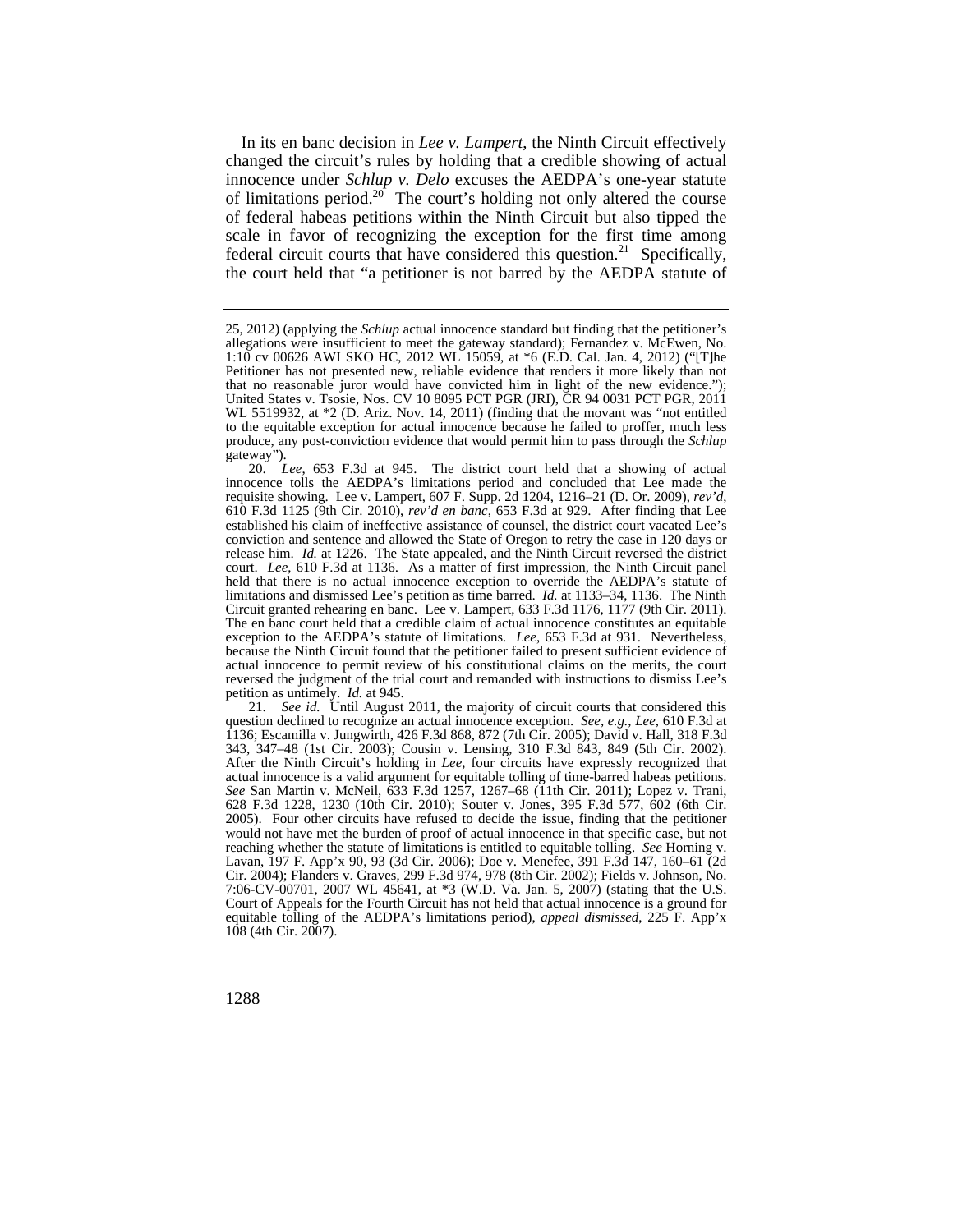scale in favor of recognizing the exception for the first time among In its en banc decision in *Lee v. Lampert*, the Ninth Circuit effectively changed the circuit's rules by holding that a credible showing of actual innocence under *Schlup v. Delo* excuses the AEDPA's one-year statute of limitations period.<sup>20</sup> The court's holding not only altered the course of federal habeas petitions within the Ninth Circuit but also tipped the federal circuit courts that have considered this question.<sup>21</sup> Specifically, the court held that "a petitioner is not barred by the AEDPA statute of

 question declined to recognize an actual innocence exception. *See, e.g.*, *Lee*, 610 F.3d at reaching whether the statute of limitations is entitled to equitable tolling. *See* Horning v. 21. *See id.* Until August 2011, the majority of circuit courts that considered this 1136; Escamilla v. Jungwirth, 426 F.3d 868, 872 (7th Cir. 2005); David v. Hall, 318 F.3d 343, 347–48 (1st Cir. 2003); Cousin v. Lensing, 310 F.3d 843, 849 (5th Cir. 2002). After the Ninth Circuit's holding in *Lee*, four circuits have expressly recognized that actual innocence is a valid argument for equitable tolling of time-barred habeas petitions. *See* San Martin v. McNeil, 633 F.3d 1257, 1267–68 (11th Cir. 2011); Lopez v. Trani, 628 F.3d 1228, 1230 (10th Cir. 2010); Souter v. Jones, 395 F.3d 577, 602 (6th Cir. 2005). Four other circuits have refused to decide the issue, finding that the petitioner would not have met the burden of proof of actual innocence in that specific case, but not Lavan, 197 F. App'x 90, 93 (3d Cir. 2006); Doe v. Menefee, 391 F.3d 147, 160–61 (2d Cir. 2004); Flanders v. Graves, 299 F.3d 974, 978 (8th Cir. 2002); Fields v. Johnson, No. 7:06-CV-00701, 2007 WL 45641, at \*3 (W.D. Va. Jan. 5, 2007) (stating that the U.S. Court of Appeals for the Fourth Circuit has not held that actual innocence is a ground for equitable tolling of the AEDPA's limitations period), *appeal dismissed*, 225 F. App'x 108 (4th Cir. 2007).

 1:10 cv 00626 AWI SKO HC, 2012 WL 15059, at \*6 (E.D. Cal. Jan. 4, 2012) ("[T]he 25, 2012) (applying the *Schlup* actual innocence standard but finding that the petitioner's allegations were insufficient to meet the gateway standard); Fernandez v. McEwen, No. Petitioner has not presented new, reliable evidence that renders it more likely than not that no reasonable juror would have convicted him in light of the new evidence."); United States v. Tsosie, Nos. CV 10 8095 PCT PGR (JRI), CR 94 0031 PCT PGR, 2011 WL 5519932, at \*2 (D. Ariz. Nov. 14, 2011) (finding that the movant was "not entitled to the equitable exception for actual innocence because he failed to proffer, much less produce, any post-conviction evidence that would permit him to pass through the *Schlup*  gateway").

 release him. *Id.* at 1226. The State appealed, and the Ninth Circuit reversed the district exception to the AEDPA's statute of limitations. *Lee*, 653 F.3d at 931. Nevertheless, petition as untimely. *Id.* at 945. 20. *Lee*, 653 F.3d at 945. The district court held that a showing of actual innocence tolls the AEDPA's limitations period and concluded that Lee made the requisite showing. Lee v. Lampert, 607 F. Supp. 2d 1204, 1216–21 (D. Or. 2009), *rev'd*, 610 F.3d 1125 (9th Cir. 2010), *rev'd en banc*, 653 F.3d at 929. After finding that Lee established his claim of ineffective assistance of counsel, the district court vacated Lee's conviction and sentence and allowed the State of Oregon to retry the case in 120 days or court. *Lee*, 610 F.3d at 1136. As a matter of first impression, the Ninth Circuit panel held that there is no actual innocence exception to override the AEDPA's statute of limitations and dismissed Lee's petition as time barred. *Id.* at 1133–34, 1136. The Ninth Circuit granted rehearing en banc. Lee v. Lampert, 633 F.3d 1176, 1177 (9th Cir. 2011). The en banc court held that a credible claim of actual innocence constitutes an equitable because the Ninth Circuit found that the petitioner failed to present sufficient evidence of actual innocence to permit review of his constitutional claims on the merits, the court reversed the judgment of the trial court and remanded with instructions to dismiss Lee's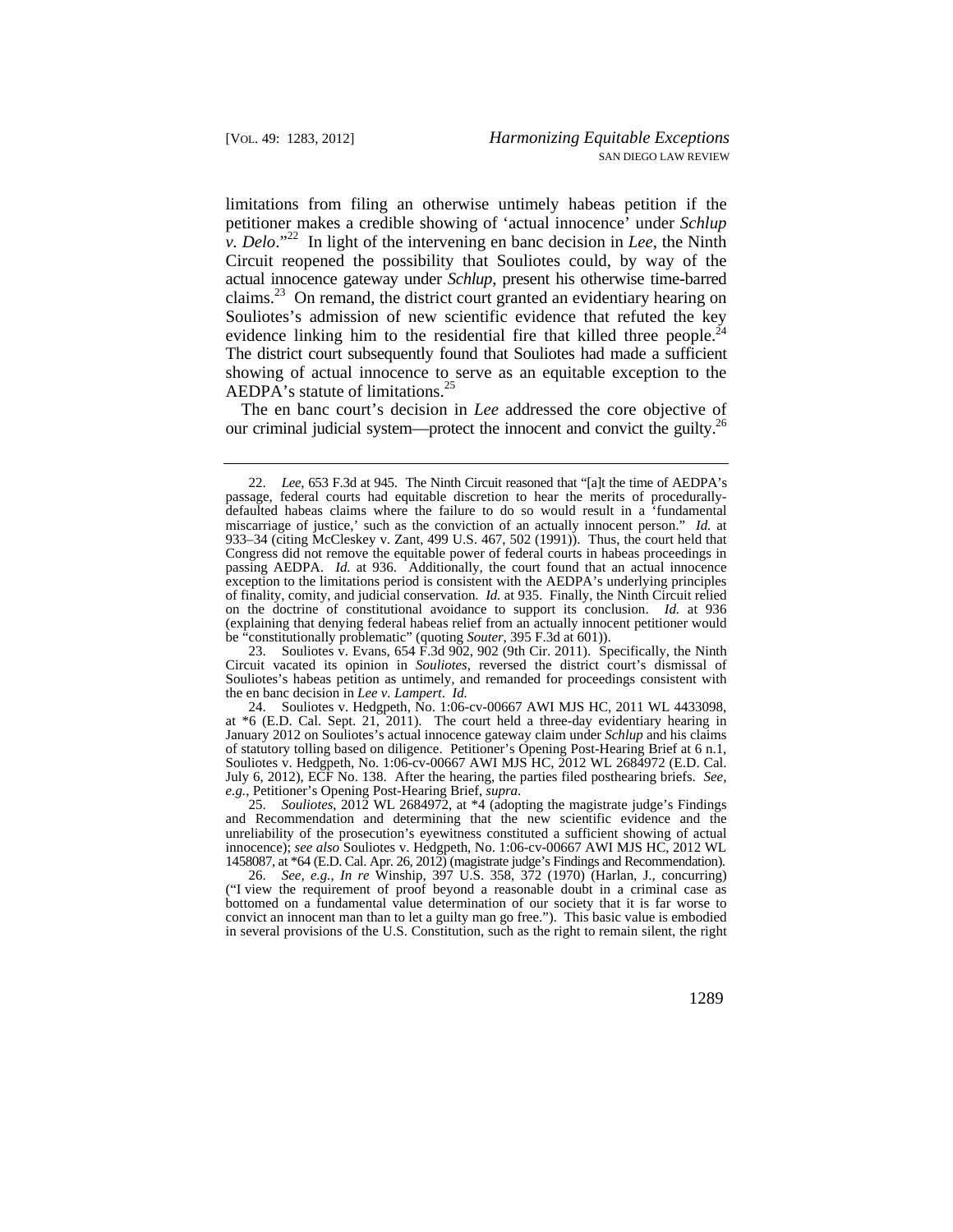evidence linking him to the residential fire that killed three people. $24$ limitations from filing an otherwise untimely habeas petition if the petitioner makes a credible showing of 'actual innocence' under *Schlup v. Delo*."22 In light of the intervening en banc decision in *Lee*, the Ninth Circuit reopened the possibility that Souliotes could, by way of the actual innocence gateway under *Schlup*, present his otherwise time-barred [claims.](https://claims.23)<sup>23</sup> On remand, the district court granted an evidentiary hearing on Souliotes's admission of new scientific evidence that refuted the key The district court subsequently found that Souliotes had made a sufficient showing of actual innocence to serve as an equitable exception to the AEDPA's statute of limitations.<sup>25</sup>

The en banc court's decision in *Lee* addressed the core objective of our criminal judicial system—protect the innocent and convict the guilty.<sup>26</sup>

23. Souliotes v. Evans, 654 F.3d 902, 902 (9th Cir. 2011). Specifically, the Ninth Circuit vacated its opinion in *Souliotes*, reversed the district court's dismissal of Souliotes's habeas petition as untimely, and remanded for proceedings consistent with the en banc decision in *Lee v. Lampert*. *Id.* 

24. Souliotes v. Hedgpeth, No. 1:06-cv-00667 AWI MJS HC, 2011 WL 4433098, at \*6 (E.D. Cal. Sept. 21, 2011). The court held a three-day evidentiary hearing in January 2012 on Souliotes's actual innocence gateway claim under *Schlup* and his claims of statutory tolling based on diligence. Petitioner's Opening Post-Hearing Brief at 6 n.1, Souliotes v. Hedgpeth, No. 1:06-cv-00667 AWI MJS HC, 2012 WL 2684972 (E.D. Cal. July 6, 2012), ECF No. 138. After the hearing, the parties filed posthearing briefs. *See, e.g.*, Petitioner's Opening Post-Hearing Brief, *supra*.

25. *Souliotes*, 2012 WL 2684972, at \*4 (adopting the magistrate judge's Findings and Recommendation and determining that the new scientific evidence and the unreliability of the prosecution's eyewitness constituted a sufficient showing of actual innocence); *see also* Souliotes v. Hedgpeth, No. 1:06-cv-00667 AWI MJS HC, 2012 WL 1458087, at \*64 (E.D. Cal. Apr. 26, 2012) (magistrate judge's Findings and Recommendation).

26. *See, e.g.*, *In re* Winship, 397 U.S. 358, 372 (1970) (Harlan, J., concurring) ("I view the requirement of proof beyond a reasonable doubt in a criminal case as bottomed on a fundamental value determination of our society that it is far worse to convict an innocent man than to let a guilty man go free."). This basic value is embodied in several provisions of the U.S. Constitution, such as the right to remain silent, the right

 of finality, comity, and judicial conservation. *Id.* at 935. Finally, the Ninth Circuit relied 22. *Lee*, 653 F.3d at 945. The Ninth Circuit reasoned that "[a]t the time of AEDPA's passage, federal courts had equitable discretion to hear the merits of procedurallydefaulted habeas claims where the failure to do so would result in a 'fundamental miscarriage of justice,' such as the conviction of an actually innocent person." *Id.* at 933–34 (citing McCleskey v. Zant, 499 U.S. 467, 502 (1991)). Thus, the court held that Congress did not remove the equitable power of federal courts in habeas proceedings in passing AEDPA. *Id.* at 936. Additionally, the court found that an actual innocence exception to the limitations period is consistent with the AEDPA's underlying principles on the doctrine of constitutional avoidance to support its conclusion. *Id.* at 936 (explaining that denying federal habeas relief from an actually innocent petitioner would be "constitutionally problematic" (quoting *Souter*, 395 F.3d at 601)).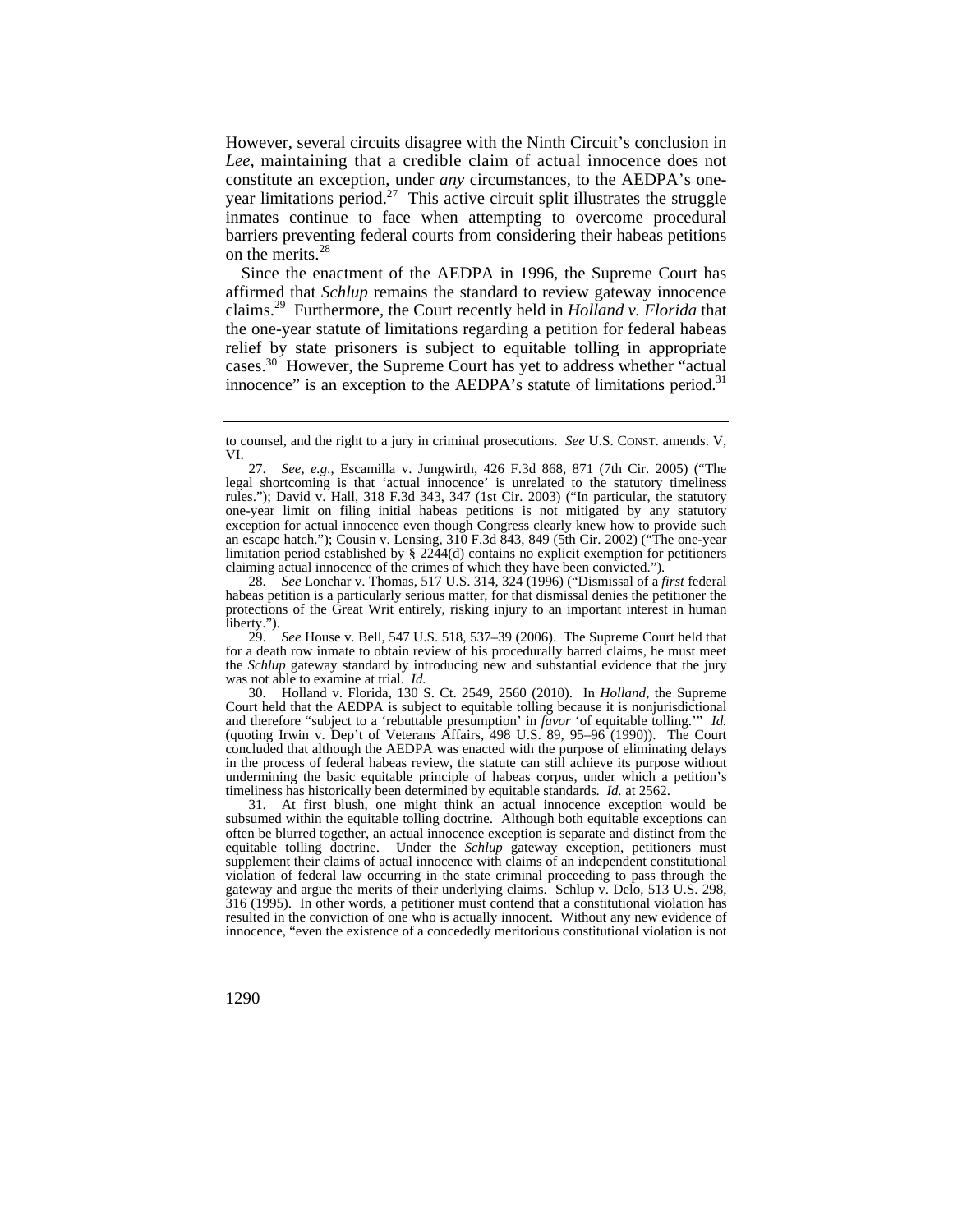*Lee*, maintaining that a credible claim of actual innocence does not However, several circuits disagree with the Ninth Circuit's conclusion in constitute an exception, under *any* circumstances, to the AEDPA's oneyear limitations period.<sup>27</sup> This active circuit split illustrates the struggle inmates continue to face when attempting to overcome procedural barriers preventing federal courts from considering their habeas petitions on the [merits.](https://merits.28)<sup>28</sup>

Since the enactment of the AEDPA in 1996, the Supreme Court has affirmed that *Schlup* remains the standard to review gateway innocence [claims.](https://claims.29)29 Furthermore, the Court recently held in *Holland v. Florida* that the one-year statute of limitations regarding a petition for federal habeas relief by state prisoners is subject to equitable tolling in appropriate [cases.30](https://cases.30) However, the Supreme Court has yet to address whether "actual innocence" is an exception to the AEDPA's statute of limitations period.<sup>31</sup>

 was not able to examine at trial. *Id.*  29. *See* House v. Bell, 547 U.S. 518, 537–39 (2006). The Supreme Court held that for a death row inmate to obtain review of his procedurally barred claims, he must meet the *Schlup* gateway standard by introducing new and substantial evidence that the jury

 timeliness has historically been determined by equitable standards. *Id.* at 2562. 30. Holland v. Florida, 130 S. Ct. 2549, 2560 (2010). In *Holland*, the Supreme Court held that the AEDPA is subject to equitable tolling because it is nonjurisdictional and therefore "subject to a 'rebuttable presumption' in *favor* 'of equitable tolling.'" *Id.*  (quoting Irwin v. Dep't of Veterans Affairs, 498 U.S. 89, 95–96 (1990)). The Court concluded that although the AEDPA was enacted with the purpose of eliminating delays in the process of federal habeas review, the statute can still achieve its purpose without undermining the basic equitable principle of habeas corpus, under which a petition's

31. At first blush, one might think an actual innocence exception would be subsumed within the equitable tolling doctrine. Although both equitable exceptions can often be blurred together, an actual innocence exception is separate and distinct from the equitable tolling doctrine. Under the *Schlup* gateway exception, petitioners must supplement their claims of actual innocence with claims of an independent constitutional violation of federal law occurring in the state criminal proceeding to pass through the gateway and argue the merits of their underlying claims. Schlup v. Delo, 513 U.S. 298, 316 (1995). In other words, a petitioner must contend that a constitutional violation has resulted in the conviction of one who is actually innocent. Without any new evidence of innocence, "even the existence of a concededly meritorious constitutional violation is not

to counsel, and the right to a jury in criminal prosecutions. *See* U.S. CONST. amends. V, VI.

<sup>27.</sup> *See, e.g.*, Escamilla v. Jungwirth, 426 F.3d 868, 871 (7th Cir. 2005) ("The legal shortcoming is that 'actual innocence' is unrelated to the statutory timeliness rules."); David v. Hall, 318 F.3d 343, 347 (1st Cir. 2003) ("In particular, the statutory one-year limit on filing initial habeas petitions is not mitigated by any statutory exception for actual innocence even though Congress clearly knew how to provide such an escape hatch."); Cousin v. Lensing, 310 F.3d 843, 849 (5th Cir. 2002) ("The one-year limitation period established by § 2244(d) contains no explicit exemption for petitioners claiming actual innocence of the crimes of which they have been convicted.").

<sup>28.</sup> *See* Lonchar v. Thomas, 517 U.S. 314, 324 (1996) ("Dismissal of a *first* federal habeas petition is a particularly serious matter, for that dismissal denies the petitioner the protections of the Great Writ entirely, risking injury to an important interest in human liberty.").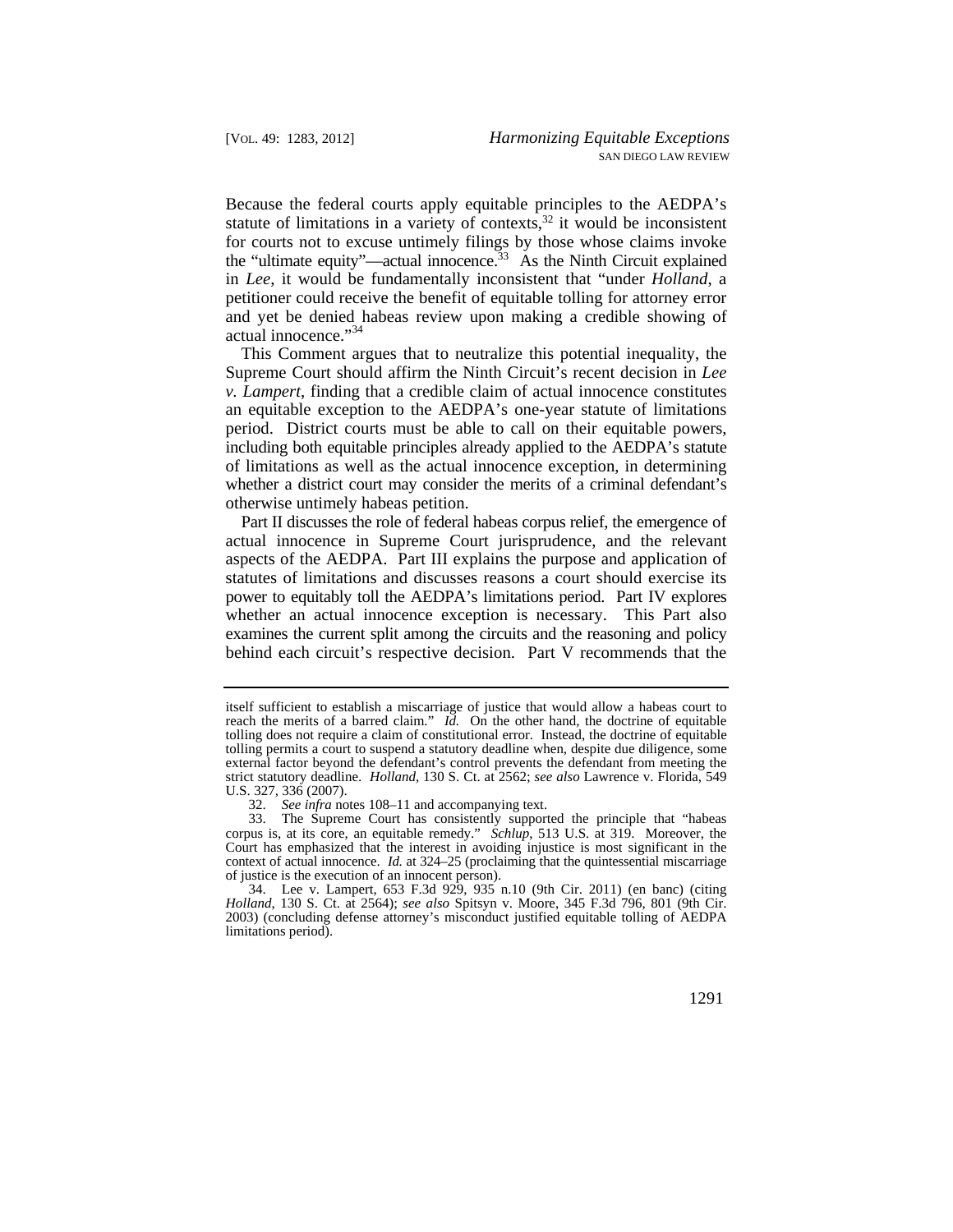Because the federal courts apply equitable principles to the AEDPA's statute of limitations in a variety of contexts, $32$  it would be inconsistent for courts not to excuse untimely filings by those whose claims invoke the "ultimate equity"—actual innocence. $33$  As the Ninth Circuit explained in *Lee*, it would be fundamentally inconsistent that "under *Holland*, a petitioner could receive the benefit of equitable tolling for attorney error and yet be denied habeas review upon making a credible showing of actual innocence."<sup>34</sup>

This Comment argues that to neutralize this potential inequality, the Supreme Court should affirm the Ninth Circuit's recent decision in *Lee v. Lampert*, finding that a credible claim of actual innocence constitutes an equitable exception to the AEDPA's one-year statute of limitations period. District courts must be able to call on their equitable powers, including both equitable principles already applied to the AEDPA's statute of limitations as well as the actual innocence exception, in determining whether a district court may consider the merits of a criminal defendant's otherwise untimely habeas petition.

 Part II discusses the role of federal habeas corpus relief, the emergence of actual innocence in Supreme Court jurisprudence, and the relevant aspects of the AEDPA. Part III explains the purpose and application of statutes of limitations and discusses reasons a court should exercise its power to equitably toll the AEDPA's limitations period. Part IV explores whether an actual innocence exception is necessary. This Part also examines the current split among the circuits and the reasoning and policy behind each circuit's respective decision. Part V recommends that the

34. Lee v. Lampert, 653 F.3d 929, 935 n.10 (9th Cir. 2011) (en banc) (citing *Holland*, 130 S. Ct. at 2564); *see also* Spitsyn v. Moore, 345 F.3d 796, 801 (9th Cir. 2003) (concluding defense attorney's misconduct justified equitable tolling of AEDPA limitations period).

itself sufficient to establish a miscarriage of justice that would allow a habeas court to reach the merits of a barred claim." *Id.* On the other hand, the doctrine of equitable tolling does not require a claim of constitutional error. Instead, the doctrine of equitable tolling permits a court to suspend a statutory deadline when, despite due diligence, some external factor beyond the defendant's control prevents the defendant from meeting the strict statutory deadline. *Holland*, 130 S. Ct. at 2562; *see also* Lawrence v. Florida, 549 U.S. 327, 336 (2007).

<sup>32.</sup> *See infra* notes 108–11 and accompanying text.

<sup>33.</sup> The Supreme Court has consistently supported the principle that "habeas corpus is, at its core, an equitable remedy." *Schlup*, 513 U.S. at 319. Moreover, the Court has emphasized that the interest in avoiding injustice is most significant in the context of actual innocence. *Id.* at 324–25 (proclaiming that the quintessential miscarriage of justice is the execution of an innocent person).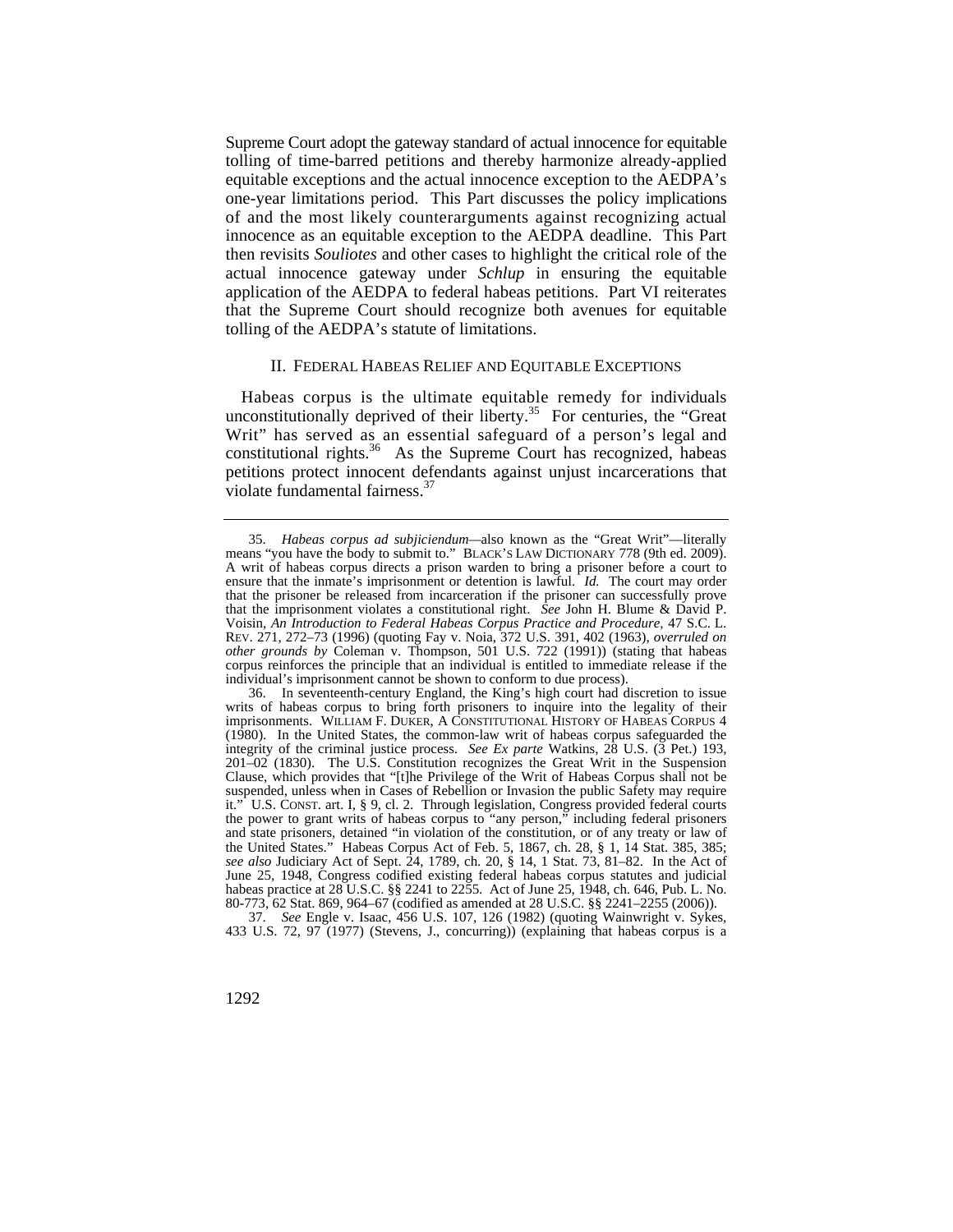Supreme Court adopt the gateway standard of actual innocence for equitable tolling of time-barred petitions and thereby harmonize already-applied equitable exceptions and the actual innocence exception to the AEDPA's one-year limitations period. This Part discusses the policy implications of and the most likely counterarguments against recognizing actual innocence as an equitable exception to the AEDPA deadline. This Part then revisits *Souliotes* and other cases to highlight the critical role of the actual innocence gateway under *Schlup* in ensuring the equitable application of the AEDPA to federal habeas petitions. Part VI reiterates that the Supreme Court should recognize both avenues for equitable tolling of the AEDPA's statute of limitations.

## II. FEDERAL HABEAS RELIEF AND EQUITABLE EXCEPTIONS

Habeas corpus is the ultimate equitable remedy for individuals unconstitutionally deprived of their liberty.<sup>35</sup> For centuries, the "Great Writ" has served as an essential safeguard of a person's legal and constitutional rights.<sup>36</sup> As the Supreme Court has recognized, habeas petitions protect innocent defendants against unjust incarcerations that violate fundamental [fairness.](https://fairness.37)<sup>37</sup>

37. *See* Engle v. Isaac, 456 U.S. 107, 126 (1982) (quoting Wainwright v. Sykes, 433 U.S. 72, 97 (1977) (Stevens, J., concurring)) (explaining that habeas corpus is a

<sup>35.</sup> *Habeas corpus ad subjiciendum—*also known as the "Great Writ"—literally means "you have the body to submit to." BLACK'S LAW DICTIONARY 778 (9th ed. 2009). A writ of habeas corpus directs a prison warden to bring a prisoner before a court to ensure that the inmate's imprisonment or detention is lawful. *Id.* The court may order that the prisoner be released from incarceration if the prisoner can successfully prove that the imprisonment violates a constitutional right. *See* John H. Blume & David P. Voisin, *An Introduction to Federal Habeas Corpus Practice and Procedure*, 47 S.C. L. REV. 271, 272–73 (1996) (quoting Fay v. Noia, 372 U.S. 391, 402 (1963), *overruled on other grounds by* Coleman v. Thompson, 501 U.S. 722 (1991)) (stating that habeas corpus reinforces the principle that an individual is entitled to immediate release if the individual's imprisonment cannot be shown to conform to due process).

 36. In seventeenth-century England, the King's high court had discretion to issue writs of habeas corpus to bring forth prisoners to inquire into the legality of their imprisonments. WILLIAM F. DUKER, A CONSTITUTIONAL HISTORY OF HABEAS CORPUS 4 (1980). In the United States, the common-law writ of habeas corpus safeguarded the integrity of the criminal justice process. *See Ex parte* Watkins, 28 U.S. (3 Pet.) 193, 201–02 (1830). The U.S. Constitution recognizes the Great Writ in the Suspension Clause, which provides that "[t]he Privilege of the Writ of Habeas Corpus shall not be suspended, unless when in Cases of Rebellion or Invasion the public Safety may require it." U.S. CONST. art. I, § 9, cl. 2. Through legislation, Congress provided federal courts the power to grant writs of habeas corpus to "any person," including federal prisoners and state prisoners, detained "in violation of the constitution, or of any treaty or law of the United States." Habeas Corpus Act of Feb. 5, 1867, ch. 28, § 1, 14 Stat. 385, 385; *see also* Judiciary Act of Sept. 24, 1789, ch. 20, § 14, 1 Stat. 73, 81–82. In the Act of June 25, 1948, Congress codified existing federal habeas corpus statutes and judicial habeas practice at 28 U.S.C. §§ 2241 to 2255. Act of June 25, 1948, ch. 646, Pub. L. No. 80-773, 62 Stat. 869, 964–67 (codified as amended at 28 U.S.C. §§ 2241–2255 (2006)).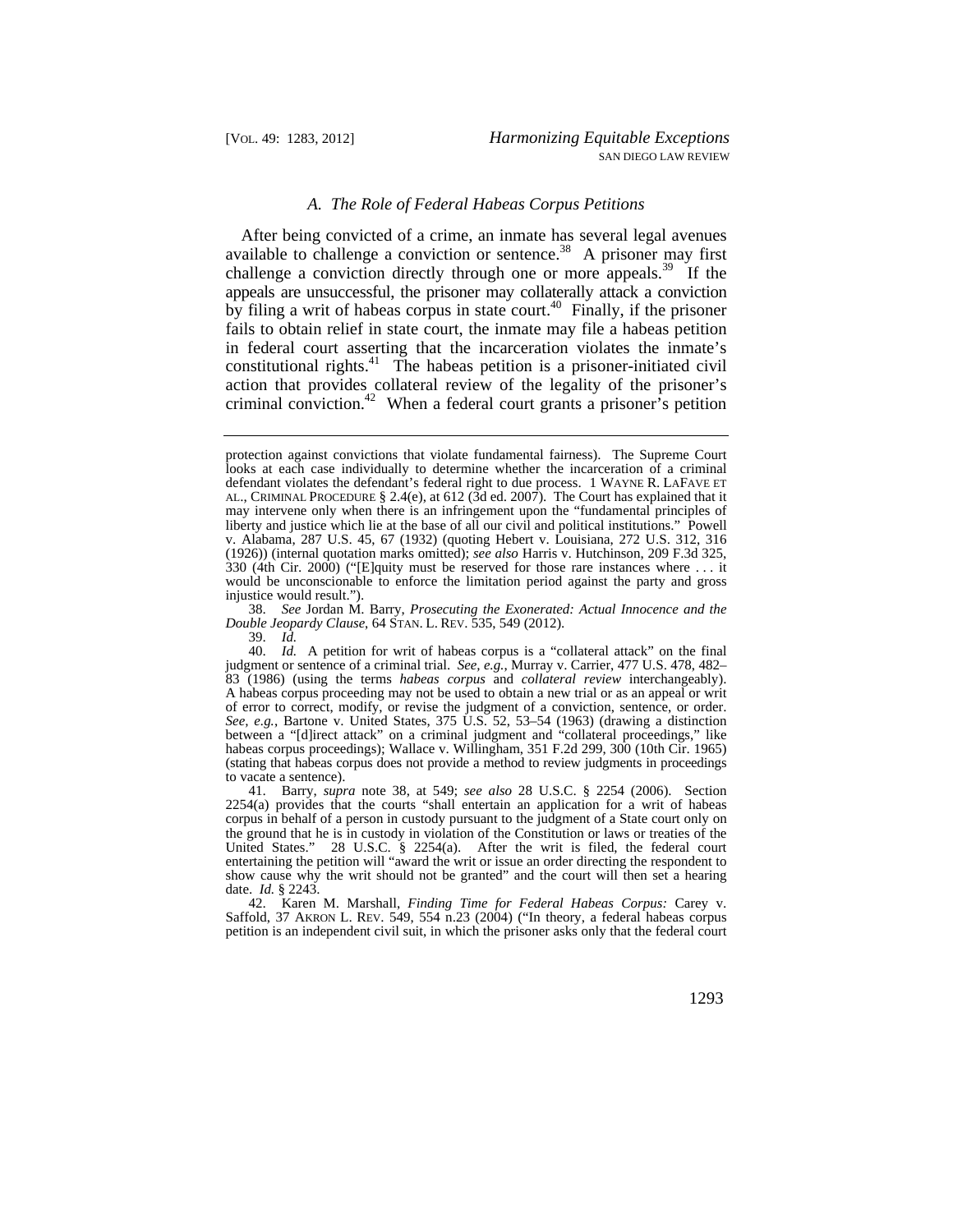## *A. The Role of Federal Habeas Corpus Petitions*

After being convicted of a crime, an inmate has several legal avenues After being convicted of a crime, an image as  $\frac{1}{28}$  A prisoner may first available to challenge a conviction or [sentence.](https://sentence.38)<sup>38</sup> A prisoner may first challenge a conviction directly through one or more [appeals.](https://appeals.39)<sup>39</sup> If the appeals are unsuccessful, the prisoner may collaterally attack a conviction by filing a writ of habeas corpus in state court.<sup>40</sup> Finally, if the prisoner fails to obtain relief in state court, the inmate may file a habeas petition in federal court asserting that the incarceration violates the inmate's constitutional rights.<sup>41</sup> The habeas petition is a prisoner-initiated civil action that provides collateral review of the legality of the prisoner's criminal conviction.<sup>42</sup> When a federal court grants a prisoner's petition

 *Double Jeopardy Clause*, 64 STAN. L. REV. 535, 549 (2012). 38. *See* Jordan M. Barry, *Prosecuting the Exonerated: Actual Innocence and the* 

39. *Id.* 

40. *Id.* A petition for writ of habeas corpus is a "collateral attack" on the final judgment or sentence of a criminal trial. *See, e.g.*, Murray v. Carrier, 477 U.S. 478, 482– 83 (1986) (using the terms *habeas corpus* and *collateral review* interchangeably). A habeas corpus proceeding may not be used to obtain a new trial or as an appeal or writ of error to correct, modify, or revise the judgment of a conviction, sentence, or order. *See, e.g.*, Bartone v. United States, 375 U.S. 52, 53–54 (1963) (drawing a distinction between a "[d]irect attack" on a criminal judgment and "collateral proceedings," like habeas corpus proceedings); Wallace v. Willingham, 351 F.2d 299, 300 (10th Cir. 1965) (stating that habeas corpus does not provide a method to review judgments in proceedings to vacate a sentence).

 the ground that he is in custody in violation of the Constitution or laws or treaties of the 41. Barry, *supra* note 38, at 549; *see also* 28 U.S.C. § 2254 (2006). Section 2254(a) provides that the courts "shall entertain an application for a writ of habeas corpus in behalf of a person in custody pursuant to the judgment of a State court only on United States." 28 U.S.C. § 2254(a). After the writ is filed, the federal court entertaining the petition will "award the writ or issue an order directing the respondent to show cause why the writ should not be granted" and the court will then set a hearing date. *Id.* § 2243.

42. Karen M. Marshall, *Finding Time for Federal Habeas Corpus:* Carey v. Saffold, 37 AKRON L. REV. 549, 554 n.23 (2004) ("In theory, a federal habeas corpus petition is an independent civil suit, in which the prisoner asks only that the federal court

protection against convictions that violate fundamental fairness). The Supreme Court looks at each case individually to determine whether the incarceration of a criminal defendant violates the defendant's federal right to due process. 1 WAYNE R. LAFAVE ET AL., CRIMINAL PROCEDURE § 2.4(e), at 612 (3d ed. 2007). The Court has explained that it may intervene only when there is an infringement upon the "fundamental principles of liberty and justice which lie at the base of all our civil and political institutions." Powell v. Alabama, 287 U.S. 45, 67 (1932) (quoting Hebert v. Louisiana, 272 U.S. 312, 316 (1926)) (internal quotation marks omitted); *see also* Harris v. Hutchinson, 209 F.3d 325, 330 (4th Cir. 2000) ("[E]quity must be reserved for those rare instances where . . . it would be unconscionable to enforce the limitation period against the party and gross injustice would result.").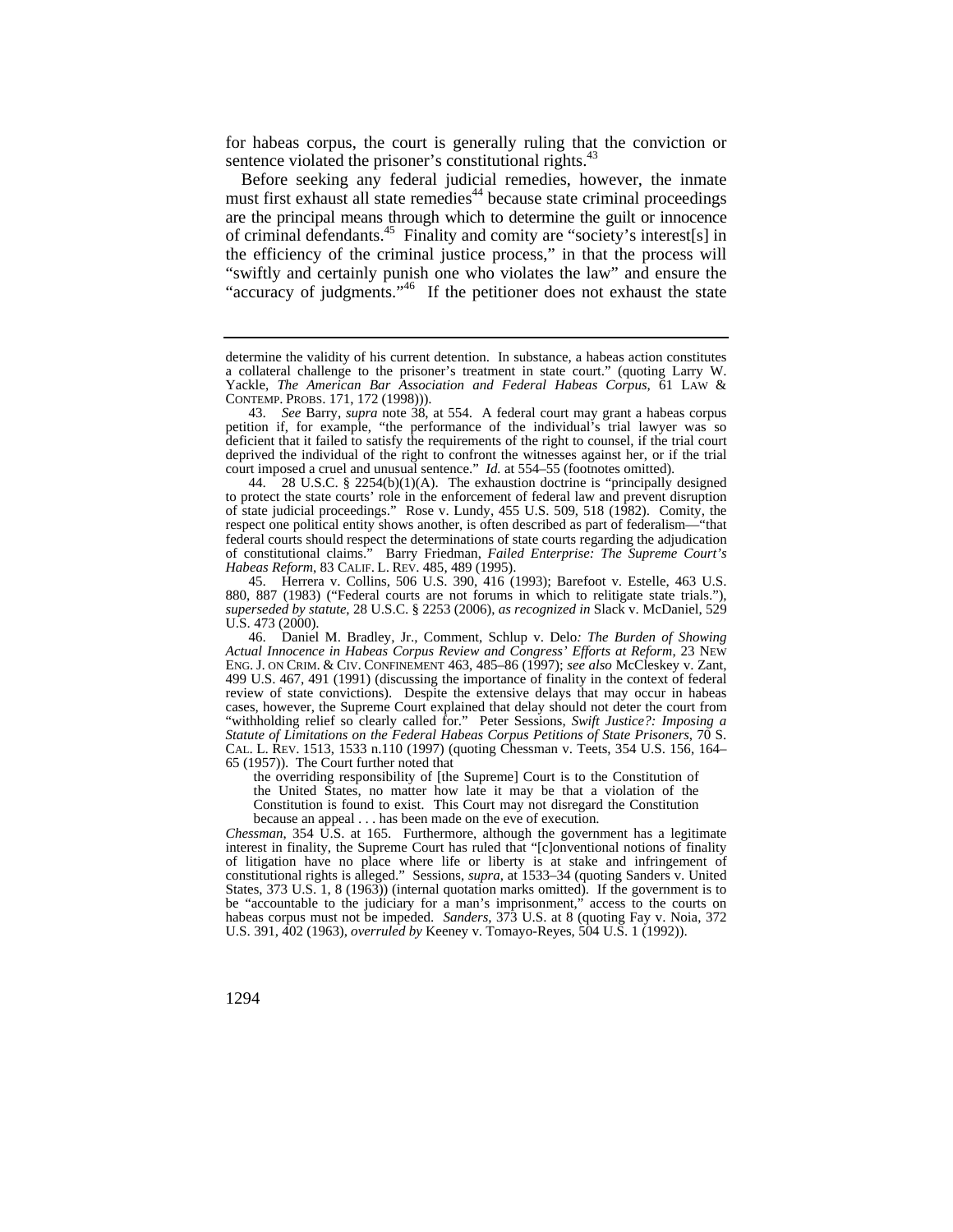for habeas corpus, the court is generally ruling that the conviction or sentence violated the prisoner's constitutional rights.<sup>43</sup>

Before seeking any federal judicial remedies, however, the inmate must first exhaust all state remedies<sup>44</sup> because state criminal proceedings are the principal means through which to determine the guilt or innocence of criminal [defendants.45](https://defendants.45) Finality and comity are "society's interest[s] in the efficiency of the criminal justice process," in that the process will "swiftly and certainly punish one who violates the law" and ensure the "accuracy of judgments."<sup>46</sup> If the petitioner does not exhaust the state

 of state judicial proceedings." Rose v. Lundy, 455 U.S. 509, 518 (1982). Comity, the *Habeas Reform*, 83 CALIF. L. REV. 485, 489 (1995). 44. 28 U.S.C. § 2254(b)(1)(A). The exhaustion doctrine is "principally designed to protect the state courts' role in the enforcement of federal law and prevent disruption respect one political entity shows another, is often described as part of federalism— $\overline{ }$ federal courts should respect the determinations of state courts regarding the adjudication of constitutional claims." Barry Friedman, *Failed Enterprise: The Supreme Court's* 

45. Herrera v. Collins, 506 U.S. 390, 416 (1993); Barefoot v. Estelle, 463 U.S. 880, 887 (1983) ("Federal courts are not forums in which to relitigate state trials."), *superseded by statute*, 28 U.S.C. § 2253 (2006), *as recognized in* Slack v. McDaniel, 529 U.S. 473 (2000).

 ENG. J. ON CRIM. & CIV. CONFINEMENT 463, 485–86 (1997); *see also* McCleskey v. Zant, CAL. L. REV. 1513, 1533 n.110 (1997) (quoting Chessman v. Teets, 354 U.S. 156, 164– 46. Daniel M. Bradley, Jr., Comment, Schlup v. Delo*: The Burden of Showing Actual Innocence in Habeas Corpus Review and Congress' Efforts at Reform*, 23 NEW 499 U.S. 467, 491 (1991) (discussing the importance of finality in the context of federal review of state convictions). Despite the extensive delays that may occur in habeas cases, however, the Supreme Court explained that delay should not deter the court from "withholding relief so clearly called for." Peter Sessions, *Swift Justice?: Imposing a Statute of Limitations on the Federal Habeas Corpus Petitions of State Prisoners*, 70 S. 65 (1957)). The Court further noted that

 because an appeal . . . has been made on the eve of execution. the overriding responsibility of [the Supreme] Court is to the Constitution of the United States, no matter how late it may be that a violation of the Constitution is found to exist. This Court may not disregard the Constitution

*Chessman*, 354 U.S. at 165. Furthermore, although the government has a legitimate interest in finality, the Supreme Court has ruled that "[c]onventional notions of finality of litigation have no place where life or liberty is at stake and infringement of constitutional rights is alleged." Sessions, *supra*, at 1533–34 (quoting Sanders v. United States, 373 U.S. 1, 8 (1963)) (internal quotation marks omitted). If the government is to be "accountable to the judiciary for a man's imprisonment," access to the courts on habeas corpus must not be impeded. *Sanders*, 373 U.S. at 8 (quoting Fay v. Noia, 372 U.S. 391, 402 (1963), *overruled by* Keeney v. Tomayo-Reyes, 504 U.S. 1 (1992)).

determine the validity of his current detention. In substance, a habeas action constitutes a collateral challenge to the prisoner's treatment in state court." (quoting Larry W. Yackle, *The American Bar Association and Federal Habeas Corpus*, 61 LAW & CONTEMP. PROBS. 171, 172 (1998))).

<sup>43.</sup> *See* Barry, *supra* note 38, at 554. A federal court may grant a habeas corpus petition if, for example, "the performance of the individual's trial lawyer was so deficient that it failed to satisfy the requirements of the right to counsel, if the trial court deprived the individual of the right to confront the witnesses against her, or if the trial court imposed a cruel and unusual sentence." *Id.* at 554–55 (footnotes omitted).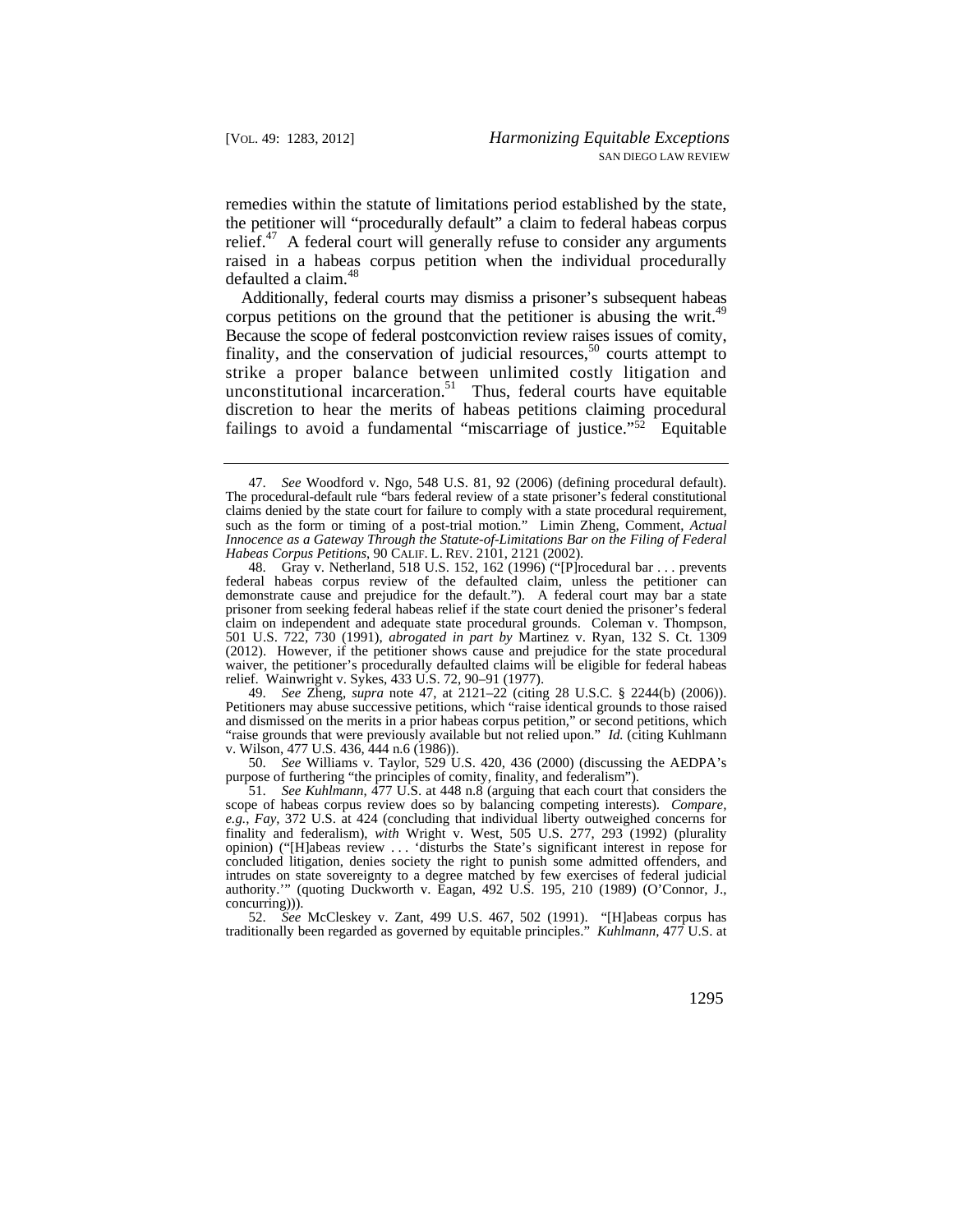remedies within the statute of limitations period established by the state, the petitioner will "procedurally default" a claim to federal habeas corpus [relief.](https://relief.47) $47$  A federal court will generally refuse to consider any arguments raised in a habeas corpus petition when the individual procedurally defaulted a [claim.](https://claim.48) $48$ 

corpus petitions on the ground that the petitioner is abusing the writ.<sup>49</sup> Additionally, federal courts may dismiss a prisoner's subsequent habeas Because the scope of federal postconviction review raises issues of comity, finality, and the conservation of judicial resources,<sup>50</sup> courts attempt to strike a proper balance between unlimited costly litigation and unconstitutional incarceration.<sup>51</sup> Thus, federal courts have equitable discretion to hear the merits of habeas petitions claiming procedural failings to avoid a fundamental "miscarriage of justice." $52$  Equitable

49. *See* Zheng, *supra* note 47, at 2121–22 (citing 28 U.S.C. § 2244(b) (2006)). Petitioners may abuse successive petitions, which "raise identical grounds to those raised and dismissed on the merits in a prior habeas corpus petition," or second petitions, which "raise grounds that were previously available but not relied upon." *Id.* (citing Kuhlmann v. Wilson, 477 U.S. 436, 444 n.6 (1986)).

50. *See* Williams v. Taylor, 529 U.S. 420, 436 (2000) (discussing the AEDPA's purpose of furthering "the principles of comity, finality, and federalism").

 scope of habeas corpus review does so by balancing competing interests). *Compare,*  51. *See Kuhlmann*, 477 U.S. at 448 n.8 (arguing that each court that considers the *e.g.*, *Fay*, 372 U.S. at 424 (concluding that individual liberty outweighed concerns for finality and federalism), *with* Wright v. West, 505 U.S. 277, 293 (1992) (plurality opinion) ("[H]abeas review . . . 'disturbs the State's significant interest in repose for concluded litigation, denies society the right to punish some admitted offenders, and intrudes on state sovereignty to a degree matched by few exercises of federal judicial authority.'" (quoting Duckworth v. Eagan, 492 U.S. 195, 210 (1989) (O'Connor, J., concurring))).

52. *See* McCleskey v. Zant, 499 U.S. 467, 502 (1991). "[H]abeas corpus has traditionally been regarded as governed by equitable principles." *Kuhlmann*, 477 U.S. at

 *Habeas Corpus Petitions*, 90 CALIF. L. REV. 2101, 2121 (2002). 47. *See* Woodford v. Ngo, 548 U.S. 81, 92 (2006) (defining procedural default). The procedural-default rule "bars federal review of a state prisoner's federal constitutional claims denied by the state court for failure to comply with a state procedural requirement, such as the form or timing of a post-trial motion." Limin Zheng, Comment, *Actual Innocence as a Gateway Through the Statute-of-Limitations Bar on the Filing of Federal* 

<sup>48.</sup> Gray v. Netherland, 518 U.S. 152, 162 (1996) ("[P]rocedural bar . . . prevents federal habeas corpus review of the defaulted claim, unless the petitioner can demonstrate cause and prejudice for the default."). A federal court may bar a state prisoner from seeking federal habeas relief if the state court denied the prisoner's federal claim on independent and adequate state procedural grounds. Coleman v. Thompson, 501 U.S. 722, 730 (1991), *abrogated in part by* Martinez v. Ryan, 132 S. Ct. 1309 (2012). However, if the petitioner shows cause and prejudice for the state procedural waiver, the petitioner's procedurally defaulted claims will be eligible for federal habeas relief. Wainwright v. Sykes, 433 U.S. 72, 90–91 (1977).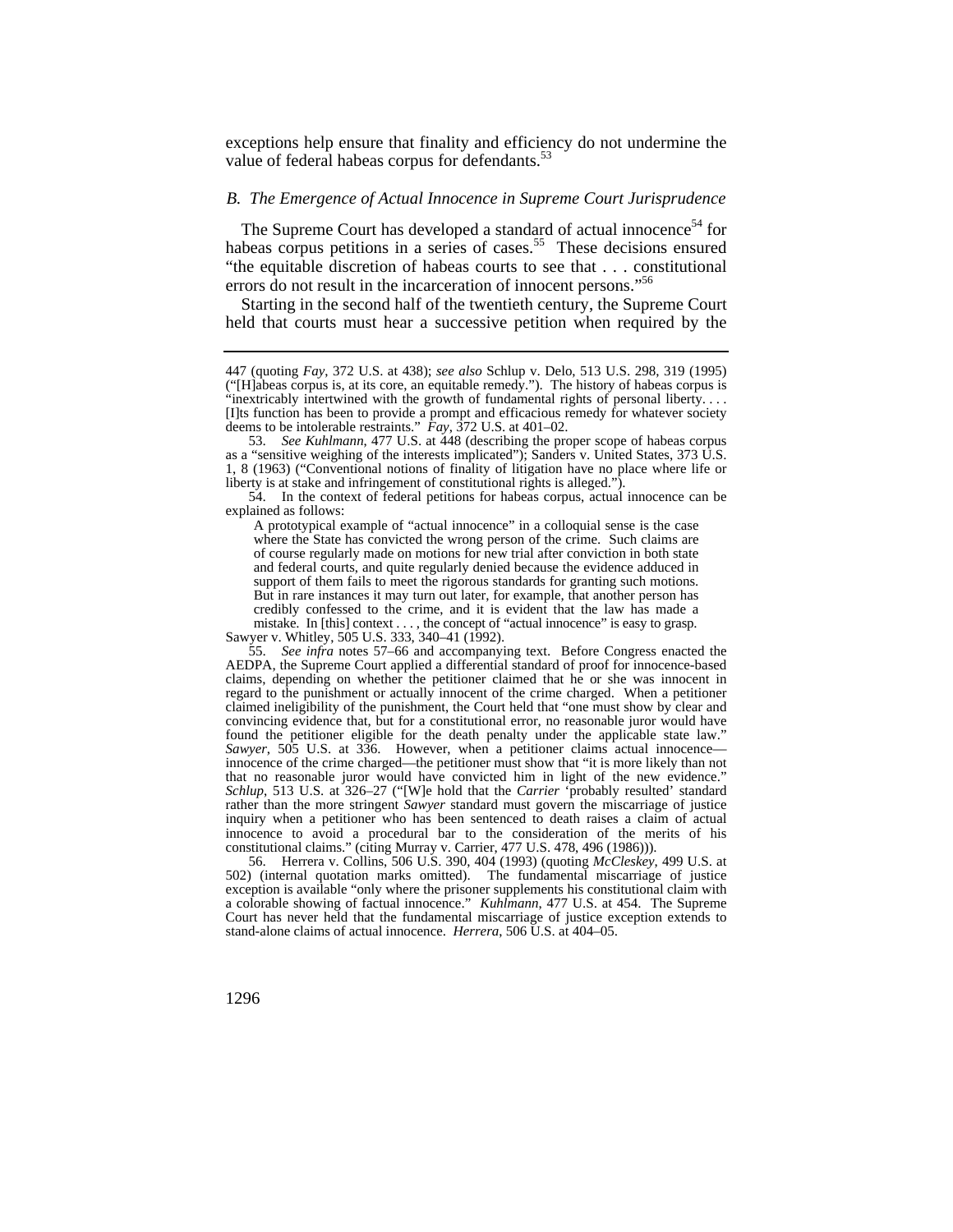exceptions help ensure that finality and efficiency do not undermine the value of federal habeas corpus for defendants.<sup>53</sup>

# *B. The Emergence of Actual Innocence in Supreme Court Jurisprudence*

The Supreme Court has developed a standard of actual innocence<sup>54</sup> for habeas corpus petitions in a series of [cases.](https://cases.55)<sup>55</sup> These decisions ensured "the equitable discretion of habeas courts to see that . . . constitutional errors do not result in the incarceration of innocent persons."<sup>56</sup>

Starting in the second half of the twentieth century, the Supreme Court held that courts must hear a successive petition when required by the

54. In the context of federal petitions for habeas corpus, actual innocence can be explained as follows:

A prototypical example of "actual innocence" in a colloquial sense is the case where the State has convicted the wrong person of the crime. Such claims are of course regularly made on motions for new trial after conviction in both state and federal courts, and quite regularly denied because the evidence adduced in support of them fails to meet the rigorous standards for granting such motions. But in rare instances it may turn out later, for example, that another person has credibly confessed to the crime, and it is evident that the law has made a mistake. In [this] context . . . , the concept of "actual innocence" is easy to grasp.

Sawyer v. Whitley, 505 U.S. 333, 340–41 (1992).

 stand-alone claims of actual innocence. *Herrera*, 506 U.S. at 404–05. 56. Herrera v. Collins, 506 U.S. 390, 404 (1993) (quoting *McCleskey*, 499 U.S. at 502) (internal quotation marks omitted). The fundamental miscarriage of justice exception is available "only where the prisoner supplements his constitutional claim with a colorable showing of factual innocence." *Kuhlmann*, 477 U.S. at 454. The Supreme Court has never held that the fundamental miscarriage of justice exception extends to

<sup>447 (</sup>quoting *Fay*, 372 U.S. at 438); *see also* Schlup v. Delo, 513 U.S. 298, 319 (1995) ("[H]abeas corpus is, at its core, an equitable remedy."). The history of habeas corpus is "inextricably intertwined with the growth of fundamental rights of personal liberty. . . . [I]ts function has been to provide a prompt and efficacious remedy for whatever society deems to be intolerable restraints." *Fay*, 372 U.S. at 401–02.

<sup>53.</sup> *See Kuhlmann*, 477 U.S. at 448 (describing the proper scope of habeas corpus as a "sensitive weighing of the interests implicated"); Sanders v. United States, 373 U.S. 1, 8 (1963) ("Conventional notions of finality of litigation have no place where life or liberty is at stake and infringement of constitutional rights is alleged.").

 innocence of the crime charged—the petitioner must show that "it is more likely than not 55. *See infra* notes 57–66 and accompanying text. Before Congress enacted the AEDPA, the Supreme Court applied a differential standard of proof for innocence-based claims, depending on whether the petitioner claimed that he or she was innocent in regard to the punishment or actually innocent of the crime charged. When a petitioner claimed ineligibility of the punishment, the Court held that "one must show by clear and convincing evidence that, but for a constitutional error, no reasonable juror would have found the petitioner eligible for the death penalty under the applicable state law." *Sawyer*, 505 U.S. at 336. However, when a petitioner claims actual innocence that no reasonable juror would have convicted him in light of the new evidence." *Schlup*, 513 U.S. at 326–27 ("[W]e hold that the *Carrier* 'probably resulted' standard rather than the more stringent *Sawyer* standard must govern the miscarriage of justice inquiry when a petitioner who has been sentenced to death raises a claim of actual innocence to avoid a procedural bar to the consideration of the merits of his constitutional claims." (citing Murray v. Carrier, 477 U.S. 478, 496 (1986))).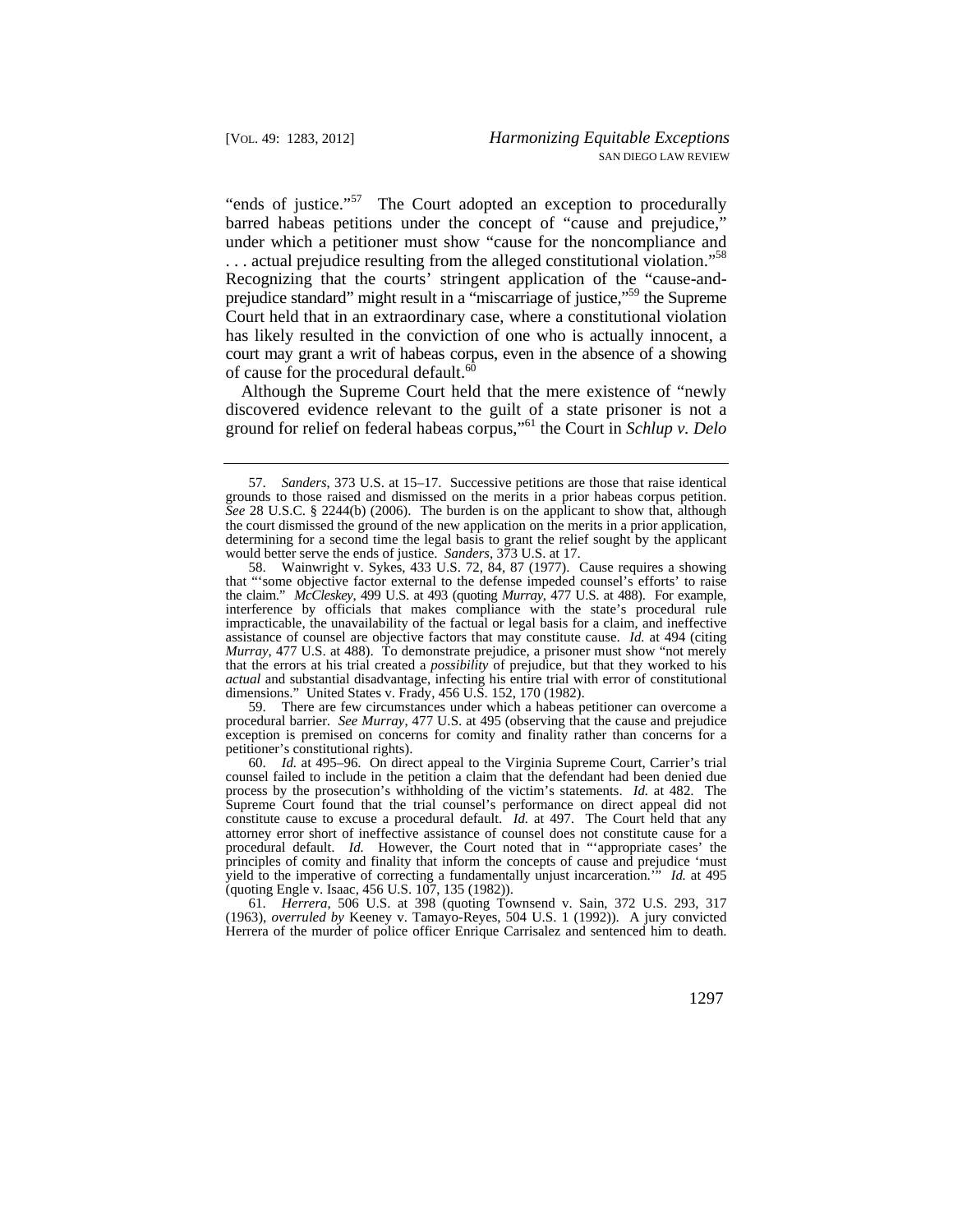... actual prejudice resulting from the alleged constitutional violation."<sup>58</sup> "ends of justice."<sup>57</sup> The Court adopted an exception to procedurally barred habeas petitions under the concept of "cause and prejudice," under which a petitioner must show "cause for the noncompliance and Recognizing that the courts' stringent application of the "cause-andprejudice standard" might result in a "miscarriage of justice,"59 the Supreme Court held that in an extraordinary case, where a constitutional violation has likely resulted in the conviction of one who is actually innocent, a court may grant a writ of habeas corpus, even in the absence of a showing of cause for the procedural default.<sup>60</sup>

Although the Supreme Court held that the mere existence of "newly discovered evidence relevant to the guilt of a state prisoner is not a ground for relief on federal habeas corpus,"61 the Court in *Schlup v. Delo* 

 petitioner's constitutional rights). 59. There are few circumstances under which a habeas petitioner can overcome a procedural barrier. *See Murray*, 477 U.S. at 495 (observing that the cause and prejudice exception is premised on concerns for comity and finality rather than concerns for a

 constitute cause to excuse a procedural default. *Id.* at 497. The Court held that any 60. *Id.* at 495–96. On direct appeal to the Virginia Supreme Court, Carrier's trial counsel failed to include in the petition a claim that the defendant had been denied due process by the prosecution's withholding of the victim's statements. *Id.* at 482. The Supreme Court found that the trial counsel's performance on direct appeal did not attorney error short of ineffective assistance of counsel does not constitute cause for a procedural default. *Id.* However, the Court noted that in "'appropriate cases' the principles of comity and finality that inform the concepts of cause and prejudice 'must yield to the imperative of correcting a fundamentally unjust incarceration.'" *Id.* at 495 (quoting Engle v. Isaac, 456 U.S. 107, 135 (1982)).

61. *Herrera*, 506 U.S. at 398 (quoting Townsend v. Sain, 372 U.S. 293, 317 (1963), *overruled by* Keeney v. Tamayo-Reyes, 504 U.S. 1 (1992)). A jury convicted Herrera of the murder of police officer Enrique Carrisalez and sentenced him to death.

<sup>57.</sup> *Sanders*, 373 U.S. at 15–17. Successive petitions are those that raise identical grounds to those raised and dismissed on the merits in a prior habeas corpus petition. *See* 28 U.S.C. § 2244(b) (2006). The burden is on the applicant to show that, although the court dismissed the ground of the new application on the merits in a prior application, determining for a second time the legal basis to grant the relief sought by the applicant would better serve the ends of justice. *Sanders*, 373 U.S. at 17.

 the claim." *McCleskey*, 499 U.S. at 493 (quoting *Murray*, 477 U.S. at 488). For example, 58. Wainwright v. Sykes, 433 U.S. 72, 84, 87 (1977). Cause requires a showing that "'some objective factor external to the defense impeded counsel's efforts' to raise interference by officials that makes compliance with the state's procedural rule impracticable, the unavailability of the factual or legal basis for a claim, and ineffective assistance of counsel are objective factors that may constitute cause. *Id.* at 494 (citing *Murray*, 477 U.S. at 488). To demonstrate prejudice, a prisoner must show "not merely that the errors at his trial created a *possibility* of prejudice, but that they worked to his *actual* and substantial disadvantage, infecting his entire trial with error of constitutional dimensions." United States v. Frady, 456 U.S. 152, 170 (1982).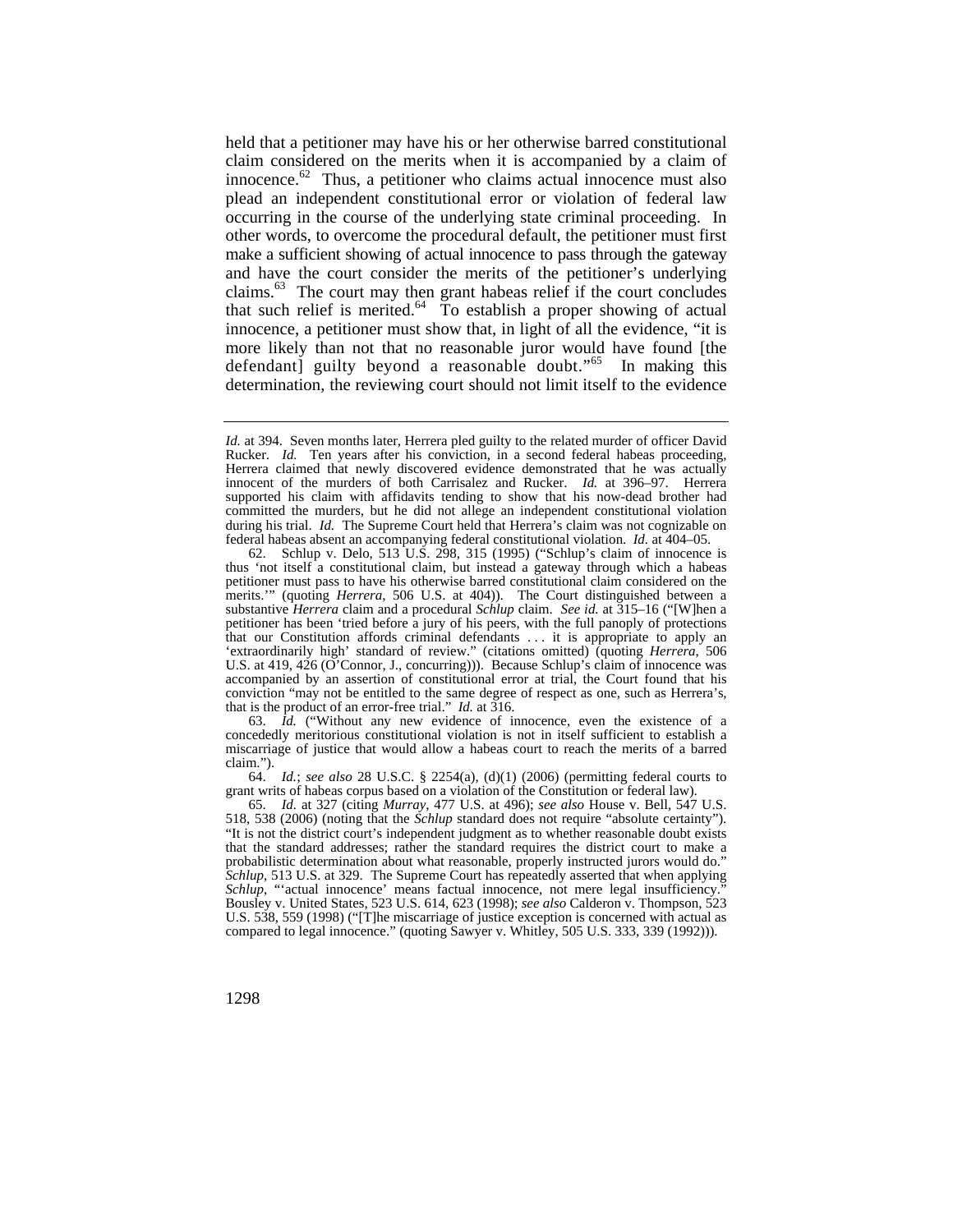[innocence.](https://innocence.62) $62$  Thus, a petitioner who claims actual innocence must also held that a petitioner may have his or her otherwise barred constitutional claim considered on the merits when it is accompanied by a claim of plead an independent constitutional error or violation of federal law occurring in the course of the underlying state criminal proceeding. In other words, to overcome the procedural default, the petitioner must first make a sufficient showing of actual innocence to pass through the gateway and have the court consider the merits of the petitioner's underlying [claims.](https://claims.63)63 The court may then grant habeas relief if the court concludes that such relief is [merited.](https://merited.64) $64\degree$  To establish a proper showing of actual innocence, a petitioner must show that, in light of all the evidence, "it is more likely than not that no reasonable juror would have found [the defendant] guilty beyond a reasonable doubt."<sup>65</sup> In making this determination, the reviewing court should not limit itself to the evidence

63. *Id.* ("Without any new evidence of innocence, even the existence of a concededly meritorious constitutional violation is not in itself sufficient to establish a miscarriage of justice that would allow a habeas court to reach the merits of a barred claim.").

64. *Id.*; *see also* 28 U.S.C. § 2254(a), (d)(1) (2006) (permitting federal courts to grant writs of habeas corpus based on a violation of the Constitution or federal law).

 Rucker. *Id.* Ten years after his conviction, in a second federal habeas proceeding, Herrera claimed that newly discovered evidence demonstrated that he was actually federal habeas absent an accompanying federal constitutional violation. *Id.* at 404–05. *Id.* at 394. Seven months later, Herrera pled guilty to the related murder of officer David innocent of the murders of both Carrisalez and Rucker. *Id.* at 396–97. Herrera supported his claim with affidavits tending to show that his now-dead brother had committed the murders, but he did not allege an independent constitutional violation during his trial. *Id.* The Supreme Court held that Herrera's claim was not cognizable on

 substantive *Herrera* claim and a procedural *Schlup* claim. *See id.* at 315–16 ("[W]hen a that our Constitution affords criminal defendants . . . it is appropriate to apply an 62. Schlup v. Delo, 513 U.S. 298, 315 (1995) ("Schlup's claim of innocence is thus 'not itself a constitutional claim, but instead a gateway through which a habeas petitioner must pass to have his otherwise barred constitutional claim considered on the merits.'" (quoting *Herrera*, 506 U.S. at 404)). The Court distinguished between a petitioner has been 'tried before a jury of his peers, with the full panoply of protections 'extraordinarily high' standard of review." (citations omitted) (quoting *Herrera*, 506 U.S. at 419, 426 (O'Connor, J., concurring))). Because Schlup's claim of innocence was accompanied by an assertion of constitutional error at trial, the Court found that his conviction "may not be entitled to the same degree of respect as one, such as Herrera's, that is the product of an error-free trial." *Id.* at 316.

<sup>65.</sup> *Id.* at 327 (citing *Murray*, 477 U.S. at 496); *see also* House v. Bell, 547 U.S. 518, 538 (2006) (noting that the *Schlup* standard does not require "absolute certainty"). "It is not the district court's independent judgment as to whether reasonable doubt exists that the standard addresses; rather the standard requires the district court to make a probabilistic determination about what reasonable, properly instructed jurors would do. *Schlup*, 513 U.S. at 329. The Supreme Court has repeatedly asserted that when applying *Schlup*, "'actual innocence' means factual innocence, not mere legal insufficiency. Bousley v. United States, 523 U.S. 614, 623 (1998); *see also* Calderon v. Thompson, 523 U.S. 538, 559 (1998) ("[T]he miscarriage of justice exception is concerned with actual as compared to legal innocence." (quoting Sawyer v. Whitley, 505 U.S. 333, 339 (1992))).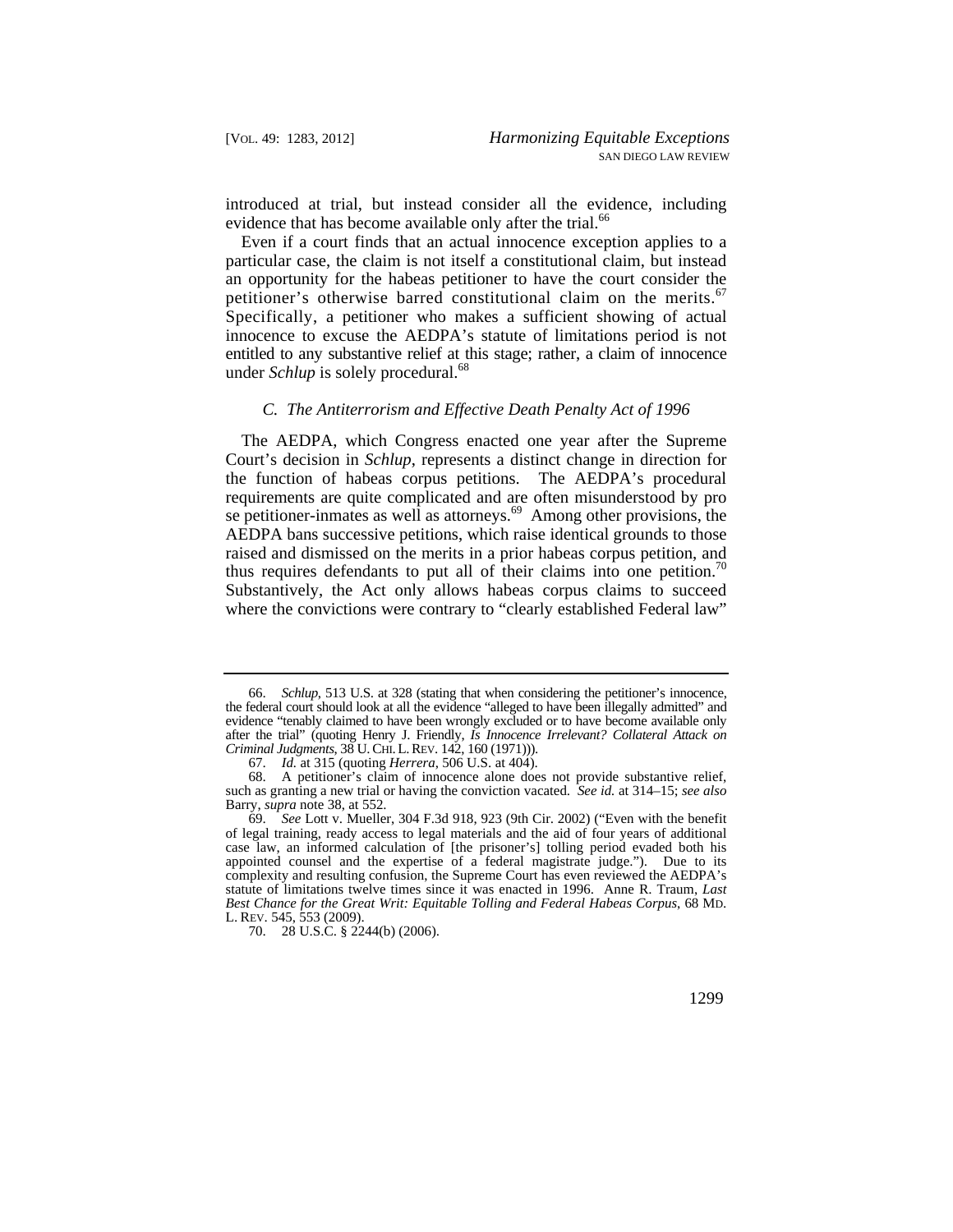introduced at trial, but instead consider all the evidence, including evidence that has become available only after the [trial.](https://trial.66)<sup>66</sup>

Even if a court finds that an actual innocence exception applies to a particular case, the claim is not itself a constitutional claim, but instead an opportunity for the habeas petitioner to have the court consider the petitioner's otherwise barred constitutional claim on the [merits.](https://merits.67)<sup>67</sup> Specifically, a petitioner who makes a sufficient showing of actual innocence to excuse the AEDPA's statute of limitations period is not entitled to any substantive relief at this stage; rather, a claim of innocence under *Schlup* is solely [procedural.](https://procedural.68)<sup>68</sup>

## *C. The Antiterrorism and Effective Death Penalty Act of 1996*

thus requires defendants to put all of their claims into one petition.<sup>70</sup> The AEDPA, which Congress enacted one year after the Supreme Court's decision in *Schlup*, represents a distinct change in direction for the function of habeas corpus petitions. The AEDPA's procedural requirements are quite complicated and are often misunderstood by pro se petitioner-inmates as well as [attorneys.](https://attorneys.69)<sup>69</sup> Among other provisions, the AEDPA bans successive petitions, which raise identical grounds to those raised and dismissed on the merits in a prior habeas corpus petition, and Substantively, the Act only allows habeas corpus claims to succeed where the convictions were contrary to "clearly established Federal law"

70. 28 U.S.C. § 2244(b) (2006).

 *Criminal Judgments*, 38 U. CHI. L. REV. 142, 160 (1971))). 66. *Schlup*, 513 U.S. at 328 (stating that when considering the petitioner's innocence, the federal court should look at all the evidence "alleged to have been illegally admitted" and evidence "tenably claimed to have been wrongly excluded or to have become available only after the trial" (quoting Henry J. Friendly, *Is Innocence Irrelevant? Collateral Attack on* 

<sup>67.</sup> *Id.* at 315 (quoting *Herrera*, 506 U.S. at 404).

<sup>68.</sup> A petitioner's claim of innocence alone does not provide substantive relief, such as granting a new trial or having the conviction vacated. *See id.* at 314–15; *see also*  Barry, *supra* note 38, at 552.

<sup>69.</sup> *See* Lott v. Mueller, 304 F.3d 918, 923 (9th Cir. 2002) ("Even with the benefit of legal training, ready access to legal materials and the aid of four years of additional case law, an informed calculation of [the prisoner's] tolling period evaded both his appointed counsel and the expertise of a federal magistrate judge."). Due to its complexity and resulting confusion, the Supreme Court has even reviewed the AEDPA's statute of limitations twelve times since it was enacted in 1996. Anne R. Traum, *Last Best Chance for the Great Writ: Equitable Tolling and Federal Habeas Corpus*, 68 MD. L. REV. 545, 553 (2009).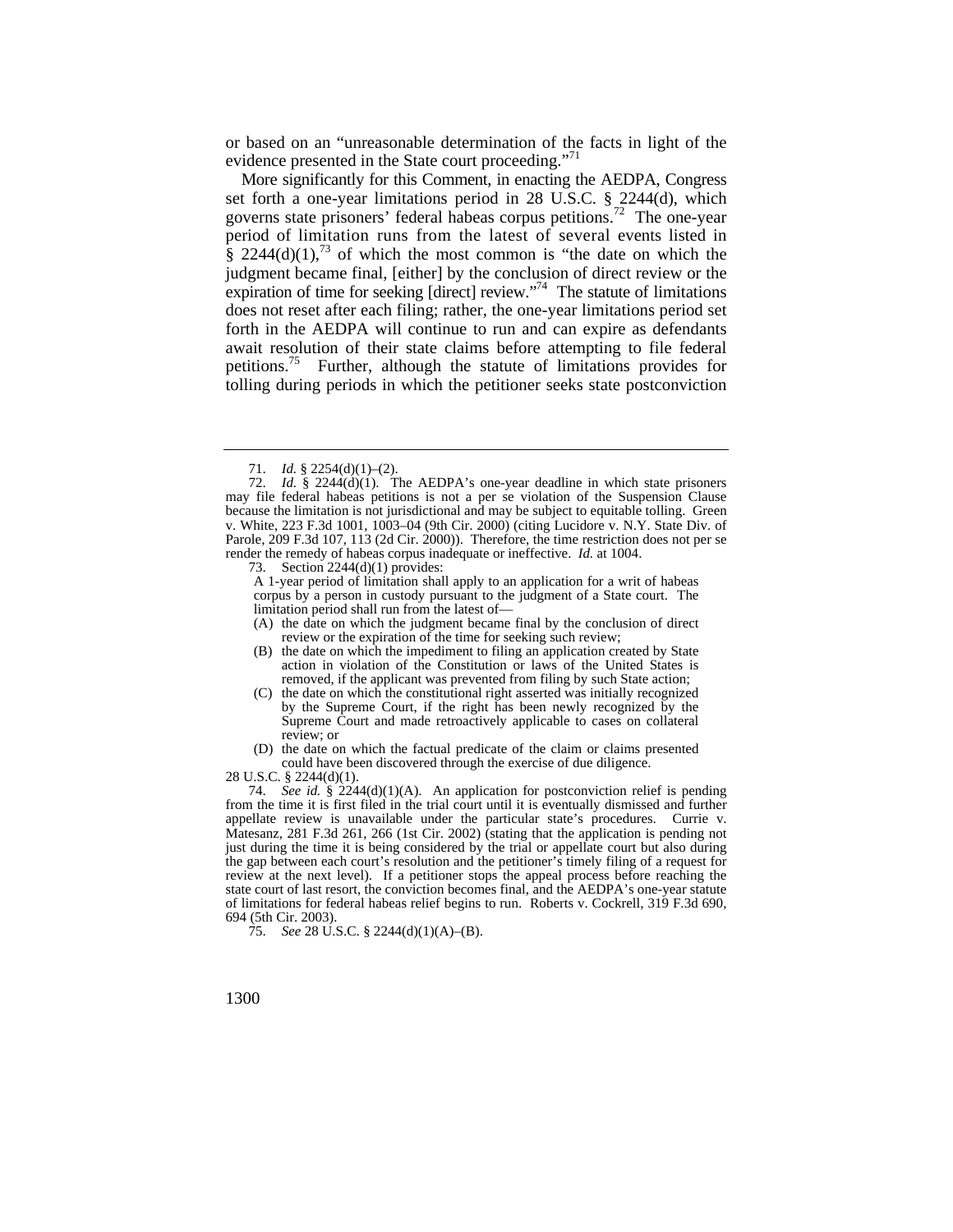or based on an "unreasonable determination of the facts in light of the evidence presented in the State court proceeding."<sup>71</sup>

 period of limitation runs from the latest of several events listed in More significantly for this Comment, in enacting the AEDPA, Congress set forth a one-year limitations period in 28 U.S.C. § 2244(d), which governs state prisoners' federal habeas corpus [petitions.](https://petitions.72)72 The one-year  $\frac{1}{8}$  2244(d)(1),<sup>73</sup> of which the most common is "the date on which the judgment became final, [either] by the conclusion of direct review or the expiration of time for seeking [direct] review."<sup>74</sup> The statute of limitations does not reset after each filing; rather, the one-year limitations period set forth in the AEDPA will continue to run and can expire as defendants await resolution of their state claims before attempting to file federal petitions.<sup>75</sup> Further, although the statute of limitations provides for tolling during periods in which the petitioner seeks state postconviction

73. Section 2244(d)(1) provides:

A 1-year period of limitation shall apply to an application for a writ of habeas corpus by a person in custody pursuant to the judgment of a State court. The limitation period shall run from the latest of—

- (A) the date on which the judgment became final by the conclusion of direct review or the expiration of the time for seeking such review;
- (B) the date on which the impediment to filing an application created by State action in violation of the Constitution or laws of the United States is removed, if the applicant was prevented from filing by such State action;

(C) the date on which the constitutional right asserted was initially recognized by the Supreme Court, if the right has been newly recognized by the Supreme Court and made retroactively applicable to cases on collateral review; or

(D) the date on which the factual predicate of the claim or claims presented could have been discovered through the exercise of due diligence.

28 U.S.C. § 2244(d)(1).

74. *See id.* § 2244(d)(1)(A). An application for postconviction relief is pending from the time it is first filed in the trial court until it is eventually dismissed and further appellate review is unavailable under the particular state's procedures. Currie v. Matesanz, 281 F.3d 261, 266 (1st Cir. 2002) (stating that the application is pending not just during the time it is being considered by the trial or appellate court but also during the gap between each court's resolution and the petitioner's timely filing of a request for review at the next level). If a petitioner stops the appeal process before reaching the state court of last resort, the conviction becomes final, and the AEDPA's one-year statute of limitations for federal habeas relief begins to run. Roberts v. Cockrell, 319 F.3d 690, 694 (5th Cir. 2003).

75. *See* 28 U.S.C. § 2244(d)(1)(A)–(B).

<sup>71.</sup> *Id.* § 2254(d)(1)–(2).

 render the remedy of habeas corpus inadequate or ineffective. *Id.* at 1004. 72. *Id.* § 2244(d)(1). The AEDPA's one-year deadline in which state prisoners may file federal habeas petitions is not a per se violation of the Suspension Clause because the limitation is not jurisdictional and may be subject to equitable tolling. Green v. White, 223 F.3d 1001, 1003–04 (9th Cir. 2000) (citing Lucidore v. N.Y. State Div. of Parole, 209 F.3d 107, 113 (2d Cir. 2000)). Therefore, the time restriction does not per se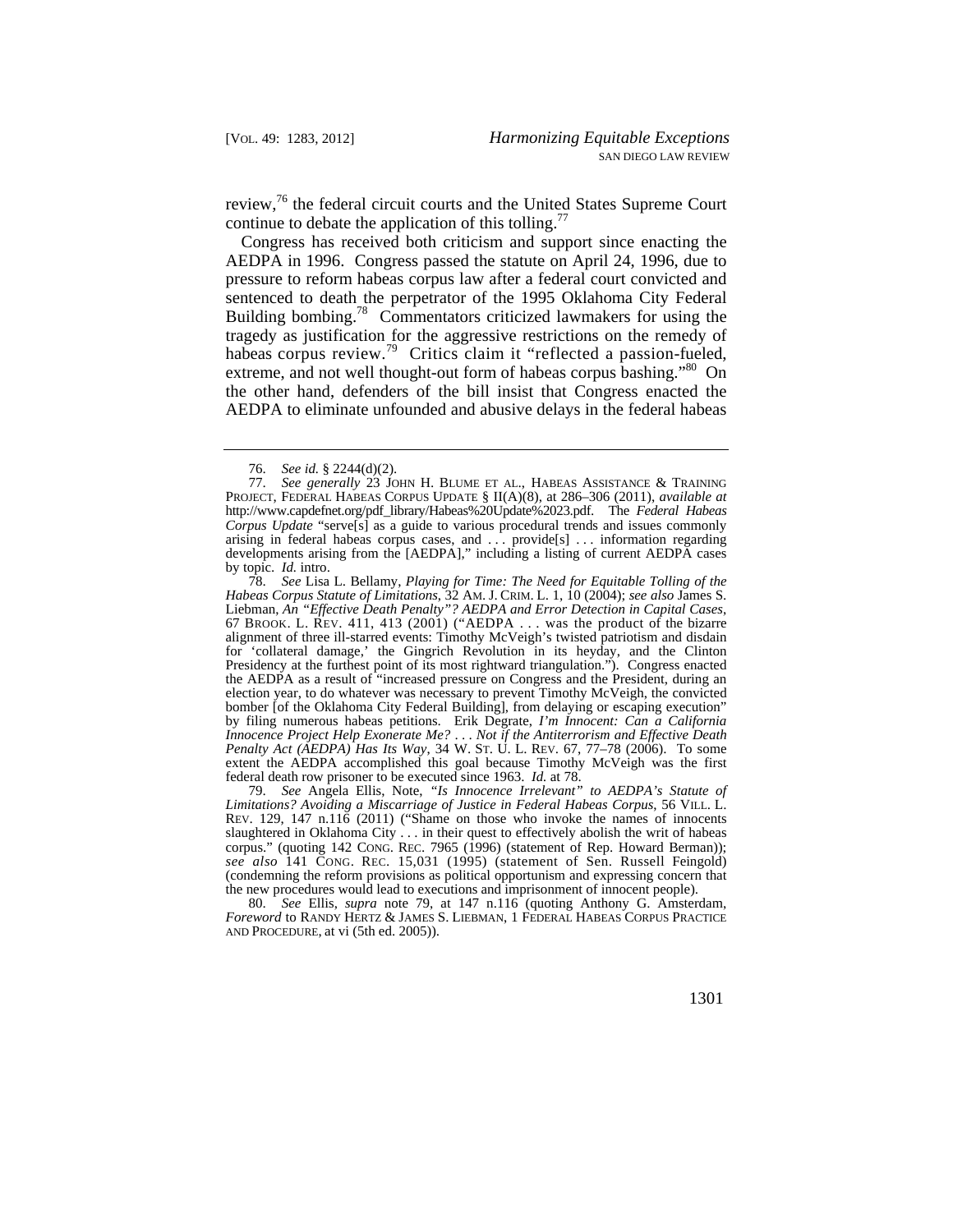review,<sup>76</sup> the federal circuit courts and the United States Supreme Court continue to debate the application of this tolling.<sup>77</sup>

Congress has received both criticism and support since enacting the AEDPA in 1996. Congress passed the statute on April 24, 1996, due to pressure to reform habeas corpus law after a federal court convicted and sentenced to death the perpetrator of the 1995 Oklahoma City Federal Building bombing.<sup>78</sup> Commentators criticized lawmakers for using the tragedy as justification for the aggressive restrictions on the remedy of habeas corpus [review.](https://review.79)<sup>79</sup> Critics claim it "reflected a passion-fueled, extreme, and not well thought-out form of habeas corpus bashing."<sup>80</sup> On the other hand, defenders of the bill insist that Congress enacted the AEDPA to eliminate unfounded and abusive delays in the federal habeas

79. *See* Angela Ellis, Note, *"Is Innocence Irrelevant" to AEDPA's Statute of Limitations? Avoiding a Miscarriage of Justice in Federal Habeas Corpus*, 56 VILL. L. REV. 129, 147 n.116 (2011) ("Shame on those who invoke the names of innocents slaughtered in Oklahoma City . . . in their quest to effectively abolish the writ of habeas corpus." (quoting 142 CONG. REC. 7965 (1996) (statement of Rep. Howard Berman)); *see also* 141 CONG. REC. 15,031 (1995) (statement of Sen. Russell Feingold) (condemning the reform provisions as political opportunism and expressing concern that the new procedures would lead to executions and imprisonment of innocent people).

80. *See* Ellis, *supra* note 79, at 147 n.116 (quoting Anthony G. Amsterdam, *Foreword* to RANDY HERTZ & JAMES S. LIEBMAN, 1 FEDERAL HABEAS CORPUS PRACTICE AND PROCEDURE, at vi (5th ed. 2005)).

<sup>76.</sup> *See id.* § 2244(d)(2).

<sup>77.</sup> *See generally* 23 JOHN H. BLUME ET AL., HABEAS ASSISTANCE & TRAINING PROJECT, FEDERAL HABEAS CORPUS UPDATE § II(A)(8), at 286–306 (2011), *available at*  [http://www.capdefnet.org/pdf\\_library/Habeas%20Update%2023.pdf.](http://www.capdefnet.org/pdf_library/Habeas%20Update%2023.pdf) The *Federal Habeas Corpus Update* "serve[s] as a guide to various procedural trends and issues commonly arising in federal habeas corpus cases, and . . . provide[s] . . . information regarding developments arising from the [AEDPA]," including a listing of current AEDPA cases by topic. *Id.* intro.

 *Habeas Corpus Statute of Limitations*, 32 AM. J. CRIM. L. 1, 10 (2004); *see also* James S. 67 BROOK. L. REV. 411, 413 (2001) ("AEDPA  $\dots$  was the product of the bizarre *Penalty Act (AEDPA) Has Its Way*, 34 W. ST. U. L. REV. 67, 77–78 (2006). To some 78. *See* Lisa L. Bellamy, *Playing for Time: The Need for Equitable Tolling of the*  Liebman, *An "Effective Death Penalty"? AEDPA and Error Detection in Capital Cases*, alignment of three ill-starred events: Timothy McVeigh's twisted patriotism and disdain for 'collateral damage,' the Gingrich Revolution in its heyday, and the Clinton Presidency at the furthest point of its most rightward triangulation."). Congress enacted the AEDPA as a result of "increased pressure on Congress and the President, during an election year, to do whatever was necessary to prevent Timothy McVeigh, the convicted bomber [of the Oklahoma City Federal Building], from delaying or escaping execution" by filing numerous habeas petitions. Erik Degrate, *I'm Innocent: Can a California Innocence Project Help Exonerate Me?* . . . *Not if the Antiterrorism and Effective Death*  extent the AEDPA accomplished this goal because Timothy McVeigh was the first federal death row prisoner to be executed since 1963. *Id.* at 78.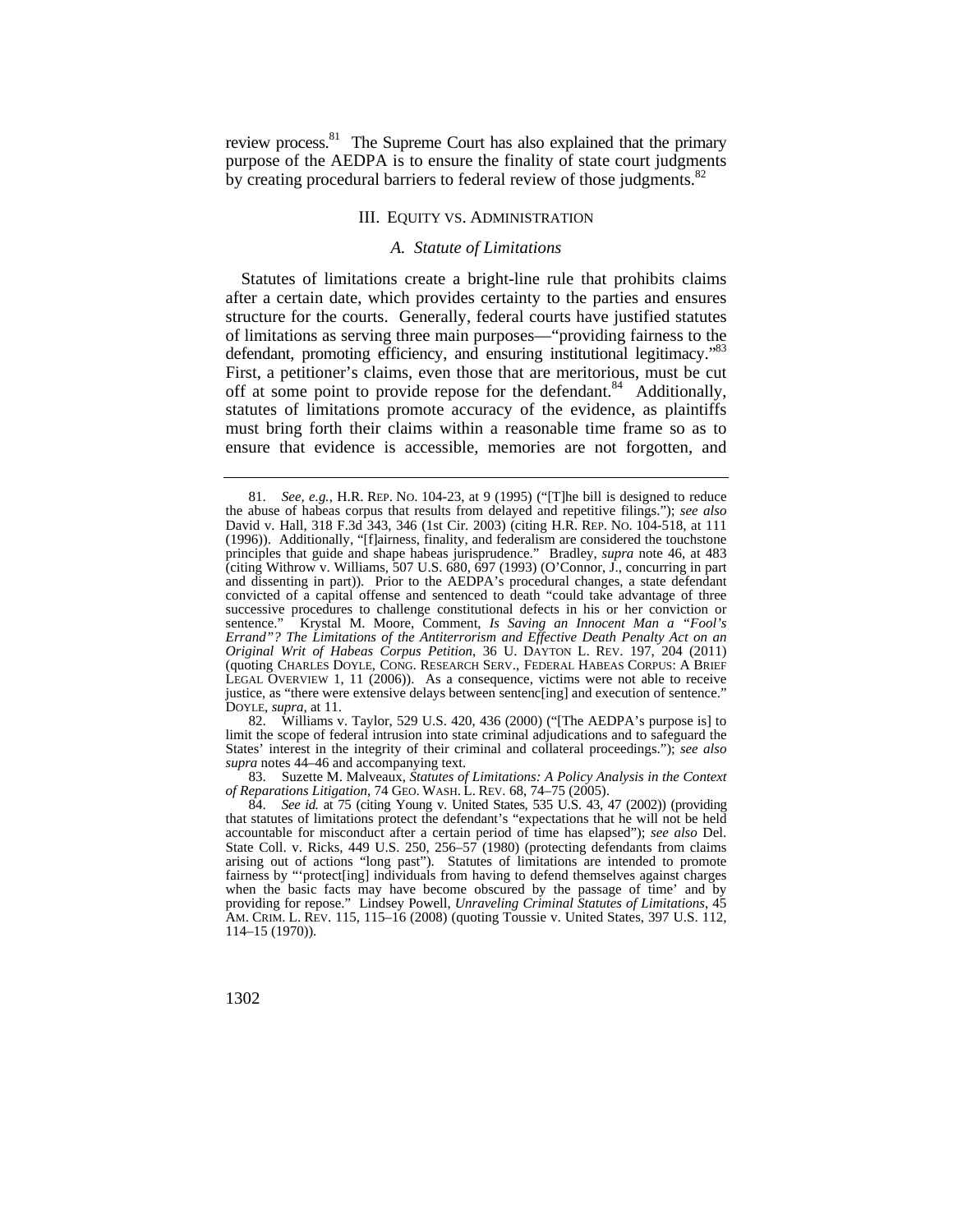review process.<sup>81</sup> The Supreme Court has also explained that the primary purpose of the AEDPA is to ensure the finality of state court judgments by creating procedural barriers to federal review of those judgments.<sup>82</sup>

## III. EQUITY VS. ADMINISTRATION

#### *A. Statute of Limitations*

Statutes of limitations create a bright-line rule that prohibits claims after a certain date, which provides certainty to the parties and ensures structure for the courts. Generally, federal courts have justified statutes of limitations as serving three main purposes—"providing fairness to the defendant, promoting efficiency, and ensuring institutional legitimacy."83 First, a petitioner's claims, even those that are meritorious, must be cut off at some point to provide repose for the defendant.<sup>84</sup> Additionally, statutes of limitations promote accuracy of the evidence, as plaintiffs must bring forth their claims within a reasonable time frame so as to ensure that evidence is accessible, memories are not forgotten, and

82. Williams v. Taylor, 529 U.S. 420, 436 (2000) ("[The AEDPA's purpose is] to limit the scope of federal intrusion into state criminal adjudications and to safeguard the States' interest in the integrity of their criminal and collateral proceedings."); *see also supra* notes 44–46 and accompanying text.

 *of Reparations Litigation*, 74 GEO. WASH. L. REV. 68, 74–75 (2005). 83. Suzette M. Malveaux, *Statutes of Limitations: A Policy Analysis in the Context* 

 AM. CRIM. L. REV. 115, 115–16 (2008) (quoting Toussie v. United States, 397 U.S. 112, 84. *See id.* at 75 (citing Young v. United States, 535 U.S. 43, 47 (2002)) (providing that statutes of limitations protect the defendant's "expectations that he will not be held accountable for misconduct after a certain period of time has elapsed"); *see also* Del. State Coll. v. Ricks, 449 U.S. 250, 256–57 (1980) (protecting defendants from claims arising out of actions "long past"). Statutes of limitations are intended to promote fairness by "'protect[ing] individuals from having to defend themselves against charges when the basic facts may have become obscured by the passage of time' and by providing for repose." Lindsey Powell, *Unraveling Criminal Statutes of Limitations*, 45 114–15 (1970)).

 81. *See, e.g.*, H.R. REP. NO. 104-23, at 9 (1995) ("[T]he bill is designed to reduce David v. Hall, 318 F.3d 343, 346 (1st Cir. 2003) (citing H.R. REP. NO. 104-518, at 111 principles that guide and shape habeas jurisprudence." Bradley, *supra* note 46, at 483 (quoting CHARLES DOYLE, CONG. RESEARCH SERV., FEDERAL HABEAS CORPUS: A BRIEF the abuse of habeas corpus that results from delayed and repetitive filings."); *see also*  (1996)). Additionally, "[f]airness, finality, and federalism are considered the touchstone (citing Withrow v. Williams, 507 U.S. 680, 697 (1993) (O'Connor, J., concurring in part and dissenting in part)). Prior to the AEDPA's procedural changes, a state defendant convicted of a capital offense and sentenced to death "could take advantage of three successive procedures to challenge constitutional defects in his or her conviction or sentence." Krystal M. Moore, Comment, *Is Saving an Innocent Man a "Fool's Errand"? The Limitations of the Antiterrorism and Effective Death Penalty Act on an Original Writ of Habeas Corpus Petition*, 36 U. DAYTON L. REV. 197, 204 (2011) LEGAL OVERVIEW 1, 11 (2006)). As a consequence, victims were not able to receive justice, as "there were extensive delays between sentenc[ing] and execution of sentence." DOYLE, *supra*, at 11.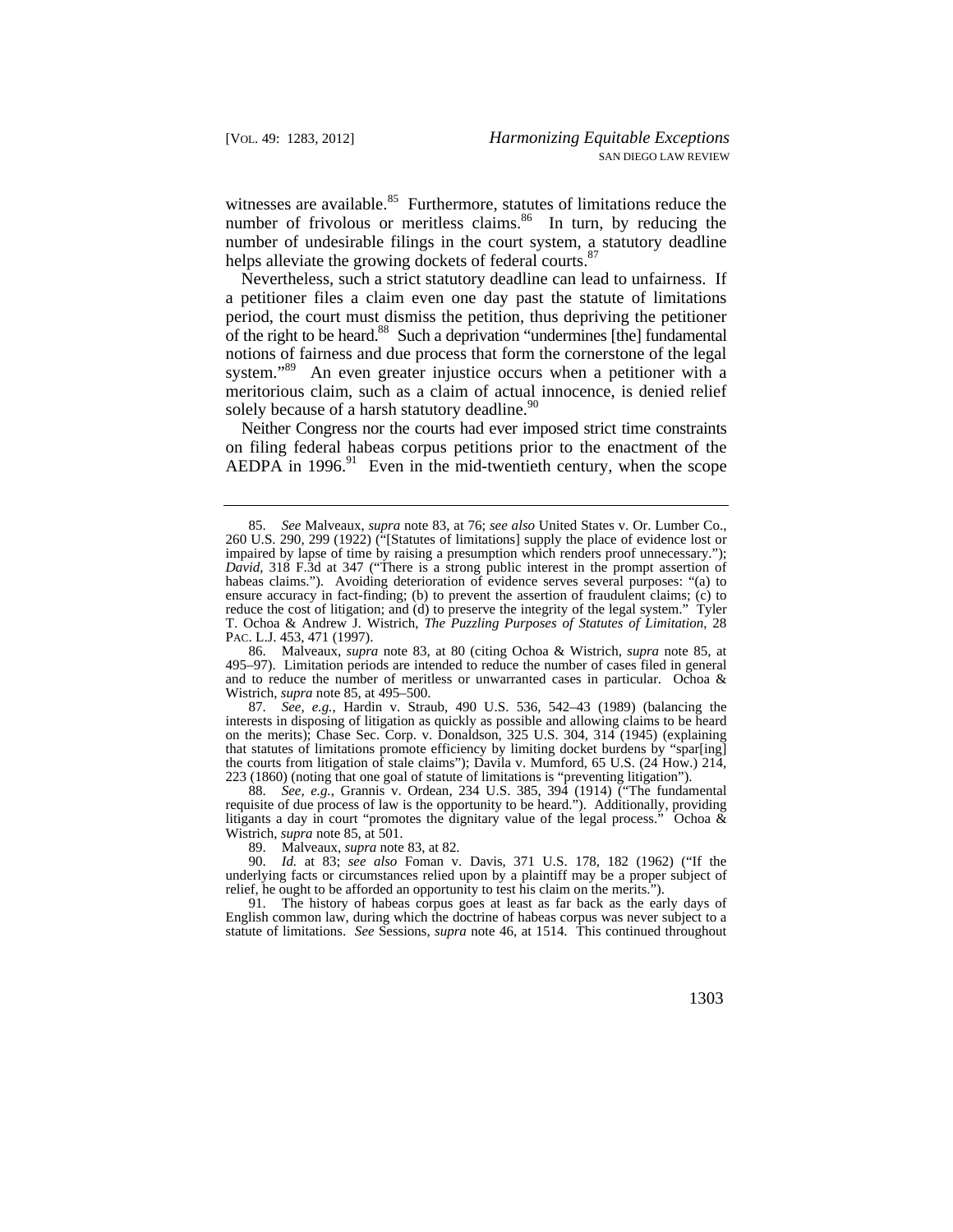witnesses are [available.](https://available.85)<sup>85</sup> Furthermore, statutes of limitations reduce the number of frivolous or meritless [claims.](https://claims.86) $86$  In turn, by reducing the number of undesirable filings in the court system, a statutory deadline helps alleviate the growing dockets of federal courts.<sup>87</sup>

Nevertheless, such a strict statutory deadline can lead to unfairness. If a petitioner files a claim even one day past the statute of limitations period, the court must dismiss the petition, thus depriving the petitioner of the right to be heard.<sup>88</sup> Such a deprivation "undermines [the] fundamental notions of fairness and due process that form the cornerstone of the legal system."<sup>89</sup> An even greater injustice occurs when a petitioner with a meritorious claim, such as a claim of actual innocence, is denied relief solely because of a harsh statutory deadline.<sup>90</sup>

Neither Congress nor the courts had ever imposed strict time constraints on filing federal habeas corpus petitions prior to the enactment of the AEDPA in  $1996<sup>91</sup>$  Even in the mid-twentieth century, when the scope

86. Malveaux, *supra* note 83, at 80 (citing Ochoa & Wistrich, *supra* note 85, at 495–97). Limitation periods are intended to reduce the number of cases filed in general and to reduce the number of meritless or unwarranted cases in particular. Ochoa & Wistrich, *supra* note 85, at 495–500.

87. *See, e.g.*, Hardin v. Straub, 490 U.S. 536, 542–43 (1989) (balancing the interests in disposing of litigation as quickly as possible and allowing claims to be heard on the merits); Chase Sec. Corp. v. Donaldson, 325 U.S. 304, 314 (1945) (explaining that statutes of limitations promote efficiency by limiting docket burdens by "spar[ing] the courts from litigation of stale claims"); Davila v. Mumford, 65 U.S. (24 How.) 214, 223 (1860) (noting that one goal of statute of limitations is "preventing litigation").

88. *See, e.g.*, Grannis v. Ordean, 234 U.S. 385, 394 (1914) ("The fundamental requisite of due process of law is the opportunity to be heard."). Additionally, providing litigants a day in court "promotes the dignitary value of the legal process." Ochoa  $\&$ Wistrich, *supra* note 85, at 501.

89. Malveaux, *supra* note 83, at 82.<br>90. Id. at 83; see also Foman v 90. *Id.* at 83; *see also* Foman v. Davis, 371 U.S. 178, 182 (1962) ("If the underlying facts or circumstances relied upon by a plaintiff may be a proper subject of relief, he ought to be afforded an opportunity to test his claim on the merits.").

91. The history of habeas corpus goes at least as far back as the early days of English common law, during which the doctrine of habeas corpus was never subject to a statute of limitations. *See* Sessions, *supra* note 46, at 1514. This continued throughout

<sup>85.</sup> *See* Malveaux, *supra* note 83, at 76; *see also* United States v. Or. Lumber Co., 260 U.S. 290, 299 (1922) ("[Statutes of limitations] supply the place of evidence lost or impaired by lapse of time by raising a presumption which renders proof unnecessary."); *David*, 318 F.3d at 347 ("There is a strong public interest in the prompt assertion of habeas claims."). Avoiding deterioration of evidence serves several purposes: "(a) to ensure accuracy in fact-finding; (b) to prevent the assertion of fraudulent claims; (c) to reduce the cost of litigation; and (d) to preserve the integrity of the legal system." Tyler T. Ochoa & Andrew J. Wistrich, *The Puzzling Purposes of Statutes of Limitation*, 28 PAC. L.J. 453, 471 (1997).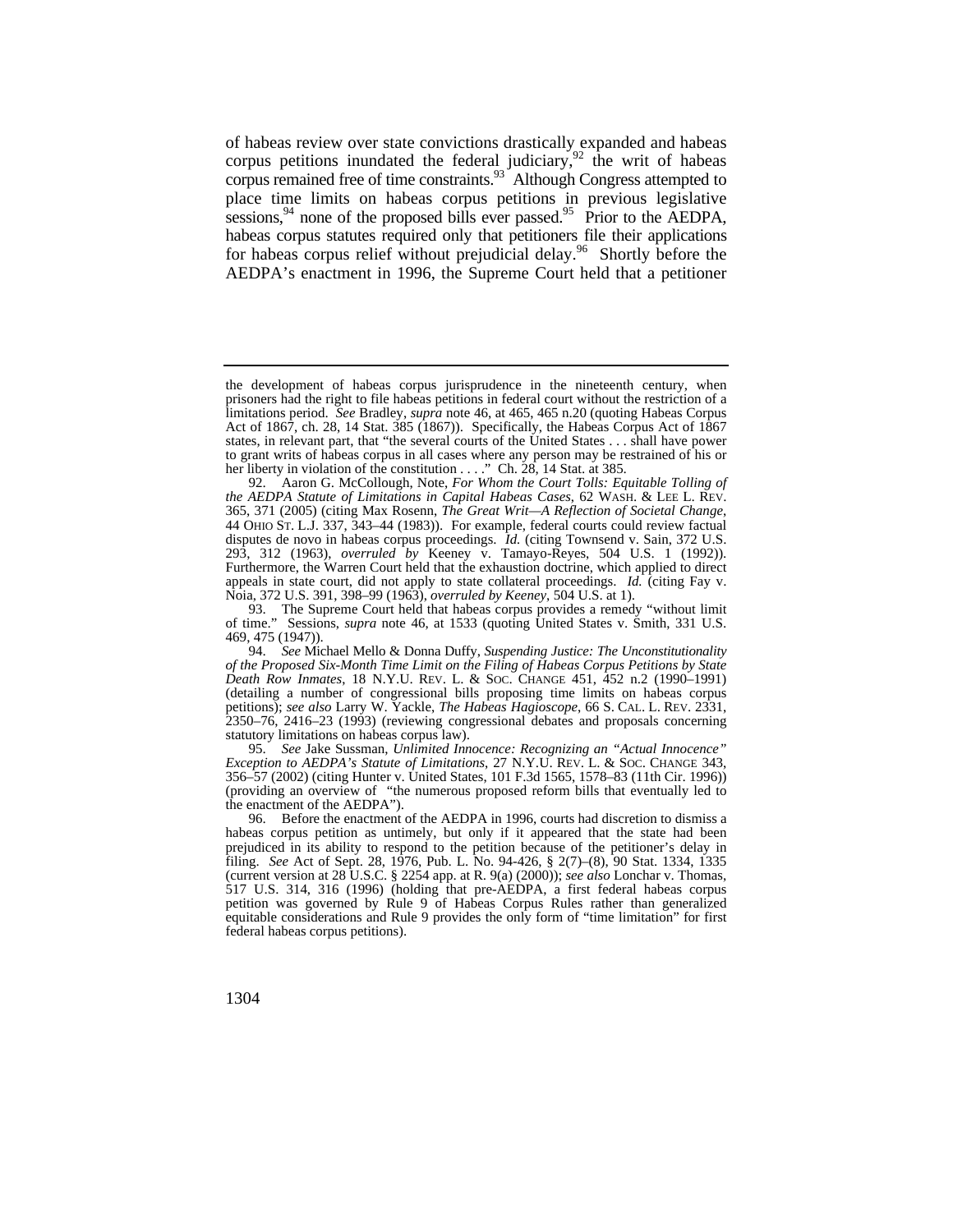of habeas review over state convictions drastically expanded and habeas corpus petitions inundated the federal judiciary,  $92$  the writ of habeas corpus remained free of time constraints.<sup>93</sup> Although Congress attempted to place time limits on habeas corpus petitions in previous legislative sessions,  $94$  none of the proposed bills ever passed.<sup>95</sup> Prior to the AEDPA, habeas corpus statutes required only that petitioners file their applications for habeas corpus relief without prejudicial [delay.](https://delay.96)<sup>96</sup> Shortly before the AEDPA's enactment in 1996, the Supreme Court held that a petitioner

 states, in relevant part, that "the several courts of the United States . . . shall have power her liberty in violation of the constitution . . . ." Ch. 28, 14 Stat. at 385. the development of habeas corpus jurisprudence in the nineteenth century, when prisoners had the right to file habeas petitions in federal court without the restriction of a limitations period. *See* Bradley, *supra* note 46, at 465, 465 n.20 (quoting Habeas Corpus Act of 1867, ch. 28, 14 Stat.  $385(1867)$ ). Specifically, the Habeas Corpus Act of  $1867$ to grant writs of habeas corpus in all cases where any person may be restrained of his or

 *the AEDPA Statute of Limitations in Capital Habeas Cases*, 62 WASH. & LEE L. REV. 92. Aaron G. McCollough, Note, *For Whom the Court Tolls: Equitable Tolling of* 365, 371 (2005) (citing Max Rosenn, *The Great Writ—A Reflection of Societal Change*, 44 OHIO ST. L.J. 337, 343–44 (1983)). For example, federal courts could review factual disputes de novo in habeas corpus proceedings. *Id.* (citing Townsend v. Sain, 372 U.S. 293, 312 (1963), *overruled by* Keeney v. Tamayo-Reyes, 504 U.S. 1 (1992)). Furthermore, the Warren Court held that the exhaustion doctrine, which applied to direct appeals in state court, did not apply to state collateral proceedings. *Id.* (citing Fay v. Noia, 372 U.S. 391, 398–99 (1963), *overruled by Keeney*, 504 U.S. at 1).

<sup>93.</sup> The Supreme Court held that habeas corpus provides a remedy "without limit of time." Sessions, *supra* note 46, at 1533 (quoting United States v. Smith, 331 U.S. 469, 475 (1947)).

 *Death Row Inmates*, 18 N.Y.U. REV. L. & SOC. CHANGE 451, 452 n.2 (1990–1991) petitions); *see also* Larry W. Yackle, *The Habeas Hagioscope*, 66 S. CAL. L. REV. 2331, 94. *See* Michael Mello & Donna Duffy, *Suspending Justice: The Unconstitutionality of the Proposed Six-Month Time Limit on the Filing of Habeas Corpus Petitions by State*  (detailing a number of congressional bills proposing time limits on habeas corpus 2350–76, 2416–23 (1993) (reviewing congressional debates and proposals concerning statutory limitations on habeas corpus law).

 *Exception to AEDPA's Statute of Limitations*, 27 N.Y.U. REV. L. & SOC. CHANGE 343, 95. *See* Jake Sussman, *Unlimited Innocence: Recognizing an "Actual Innocence"* 356–57 (2002) (citing Hunter v. United States, 101 F.3d 1565, 1578–83 (11th Cir. 1996)) (providing an overview of "the numerous proposed reform bills that eventually led to the enactment of the AEDPA").

<sup>96.</sup> Before the enactment of the AEDPA in 1996, courts had discretion to dismiss a habeas corpus petition as untimely, but only if it appeared that the state had been prejudiced in its ability to respond to the petition because of the petitioner's delay in filing. *See* Act of Sept. 28, 1976, Pub. L. No. 94-426, § 2(7)–(8), 90 Stat. 1334, 1335 (current version at 28 U.S.C. § 2254 app. at R. 9(a) (2000)); *see also* Lonchar v. Thomas, 517 U.S. 314, 316 (1996) (holding that pre-AEDPA, a first federal habeas corpus petition was governed by Rule 9 of Habeas Corpus Rules rather than generalized equitable considerations and Rule 9 provides the only form of "time limitation" for first federal habeas corpus petitions).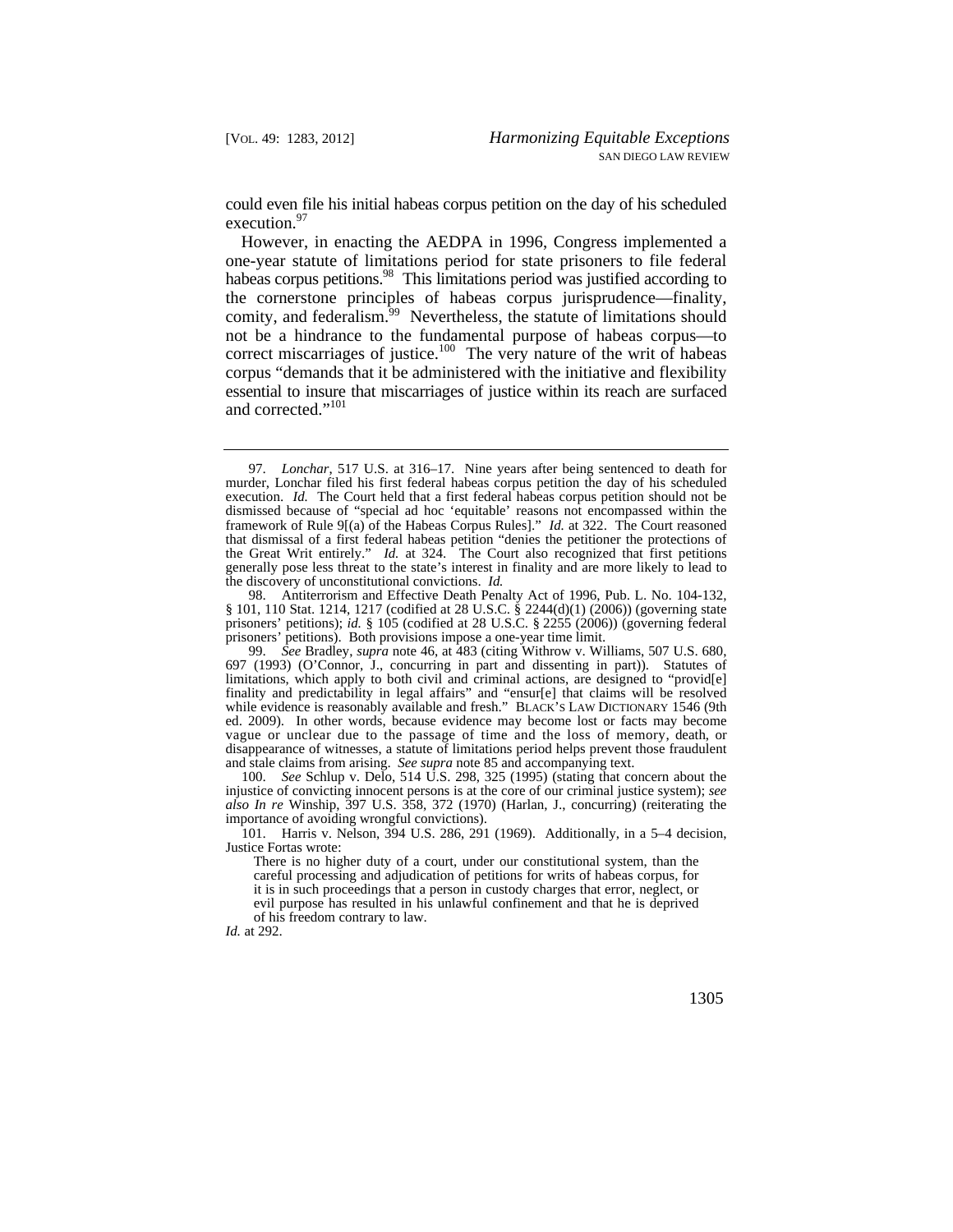could even file his initial habeas corpus petition on the day of his scheduled execution.<sup>97</sup>

comity, and federalism.<sup>99</sup> Nevertheless, the statute of limitations should However, in enacting the AEDPA in 1996, Congress implemented a one-year statute of limitations period for state prisoners to file federal habeas corpus petitions.<sup>98</sup> This limitations period was justified according to the cornerstone principles of habeas corpus jurisprudence—finality, not be a hindrance to the fundamental purpose of habeas corpus—to correct miscarriages of justice.<sup>100</sup> The very nature of the writ of habeas corpus "demands that it be administered with the initiative and flexibility essential to insure that miscarriages of justice within its reach are surfaced and corrected."<sup>101</sup>

98. Antiterrorism and Effective Death Penalty Act of 1996, Pub. L. No. 104-132, § 101, 110 Stat. 1214, 1217 (codified at 28 U.S.C. § 2244(d)(1) (2006)) (governing state prisoners' petitions); *id.* § 105 (codified at 28 U.S.C. § 2255 (2006)) (governing federal prisoners' petitions). Both provisions impose a one-year time limit.

 ed. 2009). In other words, because evidence may become lost or facts may become vague or unclear due to the passage of time and the loss of memory, death, or and stale claims from arising. *See supra* note 85 and accompanying text. 99. *See* Bradley, *supra* note 46, at 483 (citing Withrow v. Williams, 507 U.S. 680, 697 (1993) (O'Connor, J., concurring in part and dissenting in part)). Statutes of limitations, which apply to both civil and criminal actions, are designed to "provid[e] finality and predictability in legal affairs" and "ensur[e] that claims will be resolved while evidence is reasonably available and fresh." BLACK'S LAW DICTIONARY 1546 (9th disappearance of witnesses, a statute of limitations period helps prevent those fraudulent

100. *See* Schlup v. Delo, 514 U.S. 298, 325 (1995) (stating that concern about the injustice of convicting innocent persons is at the core of our criminal justice system); *see also In re* Winship, 397 U.S. 358, 372 (1970) (Harlan, J., concurring) (reiterating the importance of avoiding wrongful convictions).

101. Harris v. Nelson, 394 U.S. 286, 291 (1969). Additionally, in a 5–4 decision, Justice Fortas wrote:

There is no higher duty of a court, under our constitutional system, than the careful processing and adjudication of petitions for writs of habeas corpus, for it is in such proceedings that a person in custody charges that error, neglect, or evil purpose has resulted in his unlawful confinement and that he is deprived of his freedom contrary to law.

*Id.* at 292.

 execution. *Id.* The Court held that a first federal habeas corpus petition should not be 97. *Lonchar*, 517 U.S. at 316–17. Nine years after being sentenced to death for murder, Lonchar filed his first federal habeas corpus petition the day of his scheduled dismissed because of "special ad hoc 'equitable' reasons not encompassed within the framework of Rule 9[(a) of the Habeas Corpus Rules]." *Id.* at 322. The Court reasoned that dismissal of a first federal habeas petition "denies the petitioner the protections of the Great Writ entirely." *Id.* at 324. The Court also recognized that first petitions generally pose less threat to the state's interest in finality and are more likely to lead to the discovery of unconstitutional convictions. *Id.*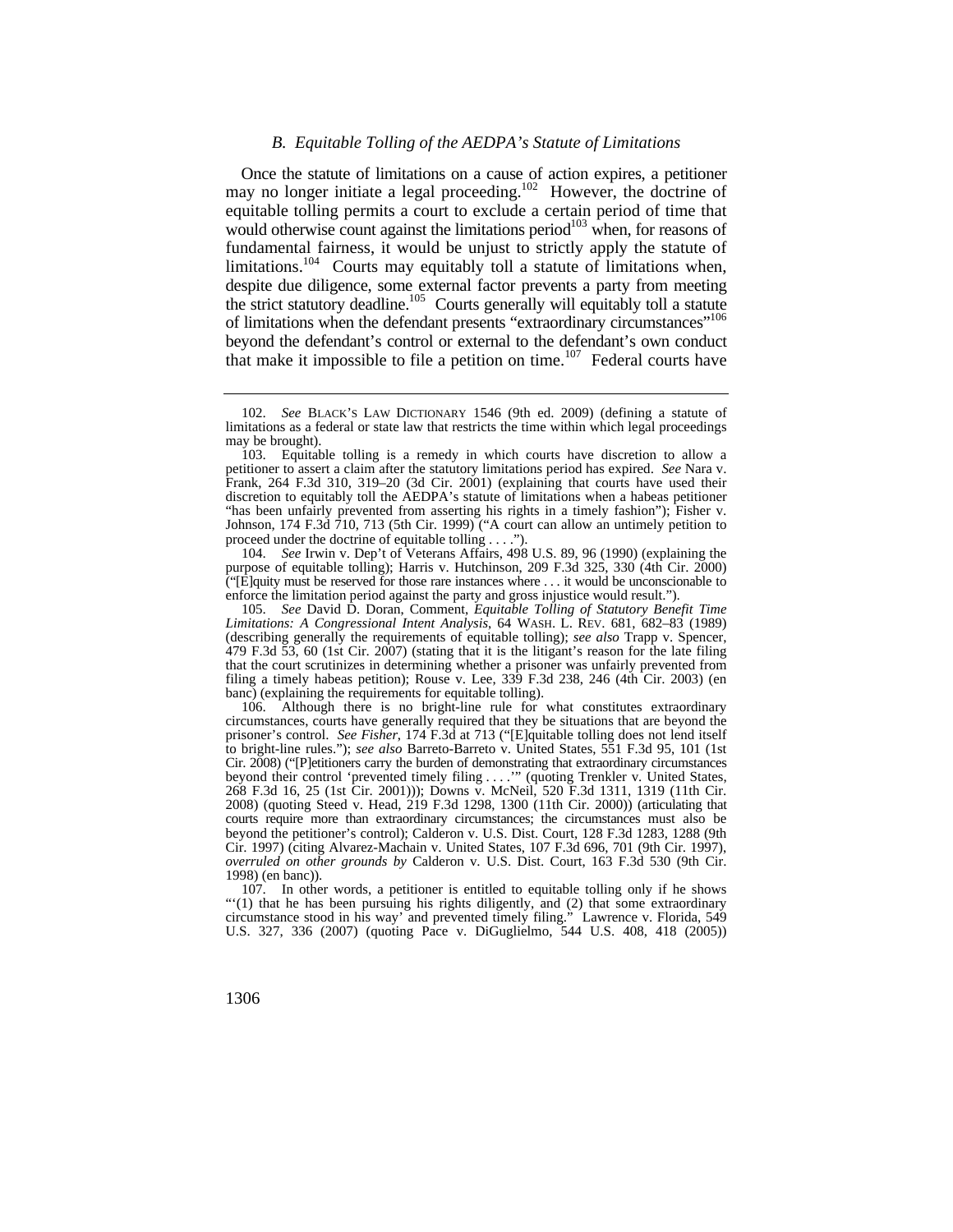## *B. Equitable Tolling of the AEDPA's Statute of Limitations*

Once the statute of limitations on a cause of action expires, a petitioner may no longer initiate a legal proceeding.<sup>102</sup> However, the doctrine of equitable tolling permits a court to exclude a certain period of time that would otherwise count against the limitations period<sup>103</sup> when, for reasons of fundamental fairness, it would be unjust to strictly apply the statute of limitations.<sup>104</sup> Courts may equitably toll a statute of limitations when, despite due diligence, some external factor prevents a party from meeting the strict statutory deadline.<sup>105</sup> Courts generally will equitably toll a statute of limitations when the defendant presents "extraordinary circumstances"<sup>106</sup> beyond the defendant's control or external to the defendant's own conduct that make it impossible to file a petition on time.<sup>107</sup> Federal courts have

 $\tilde{C}$ [E]quity must be reserved for those rare instances where  $\dots$  it would be unconscionable to 104. *See* Irwin v. Dep't of Veterans Affairs, 498 U.S. 89, 96 (1990) (explaining the purpose of equitable tolling); Harris v. Hutchinson, 209 F.3d 325, 330 (4th Cir. 2000) enforce the limitation period against the party and gross injustice would result.").

 *Limitations: A Congressional Intent Analysis*, 64 WASH. L. REV. 681, 682–83 (1989) 105. *See* David D. Doran, Comment, *Equitable Tolling of Statutory Benefit Time*  (describing generally the requirements of equitable tolling); *see also* Trapp v. Spencer, 479 F.3d 53, 60 (1st Cir. 2007) (stating that it is the litigant's reason for the late filing that the court scrutinizes in determining whether a prisoner was unfairly prevented from filing a timely habeas petition); Rouse v. Lee,  $339$  F.3d  $238$ ,  $246$  ( $4th$  Cir. 2003) (en banc) (explaining the requirements for equitable tolling).

 beyond their control 'prevented timely filing . . . .'" (quoting Trenkler v. United States, 2008) (quoting Steed v. Head, 219 F.3d 1298, 1300 (11th Cir. 2000)) (articulating that 106. Although there is no bright-line rule for what constitutes extraordinary circumstances, courts have generally required that they be situations that are beyond the prisoner's control. *See Fisher*, 174 F.3d at 713 ("[E]quitable tolling does not lend itself to bright-line rules."); *see also* Barreto-Barreto v. United States, 551 F.3d 95, 101 (1st Cir. 2008) ("[P]etitioners carry the burden of demonstrating that extraordinary circumstances 268 F.3d 16, 25 (1st Cir. 2001))); Downs v. McNeil, 520 F.3d 1311, 1319 (11th Cir. courts require more than extraordinary circumstances; the circumstances must also be beyond the petitioner's control); Calderon v. U.S. Dist. Court, 128 F.3d 1283, 1288 (9th Cir. 1997) (citing Alvarez-Machain v. United States, 107 F.3d 696, 701 (9th Cir. 1997), *overruled on other grounds by* Calderon v. U.S. Dist. Court, 163 F.3d 530 (9th Cir. 1998) (en banc)).

107. In other words, a petitioner is entitled to equitable tolling only if he shows "'(1) that he has been pursuing his rights diligently, and (2) that some extraordinary circumstance stood in his way' and prevented timely filing." Lawrence v. Florida, 549 U.S. 327, 336 (2007) (quoting Pace v. DiGuglielmo, 544 U.S. 408, 418 (2005))

<sup>102.</sup> *See* BLACK'S LAW DICTIONARY 1546 (9th ed. 2009) (defining a statute of limitations as a federal or state law that restricts the time within which legal proceedings may be brought).

<sup>103.</sup> Equitable tolling is a remedy in which courts have discretion to allow a petitioner to assert a claim after the statutory limitations period has expired. *See* Nara v. Frank, 264 F.3d 310, 319–20 (3d Cir. 2001) (explaining that courts have used their discretion to equitably toll the AEDPA's statute of limitations when a habeas petitioner "has been unfairly prevented from asserting his rights in a timely fashion"); Fisher v. Johnson, 174 F.3d 710, 713 (5th Cir. 1999) ("A court can allow an untimely petition to proceed under the doctrine of equitable tolling . . . .").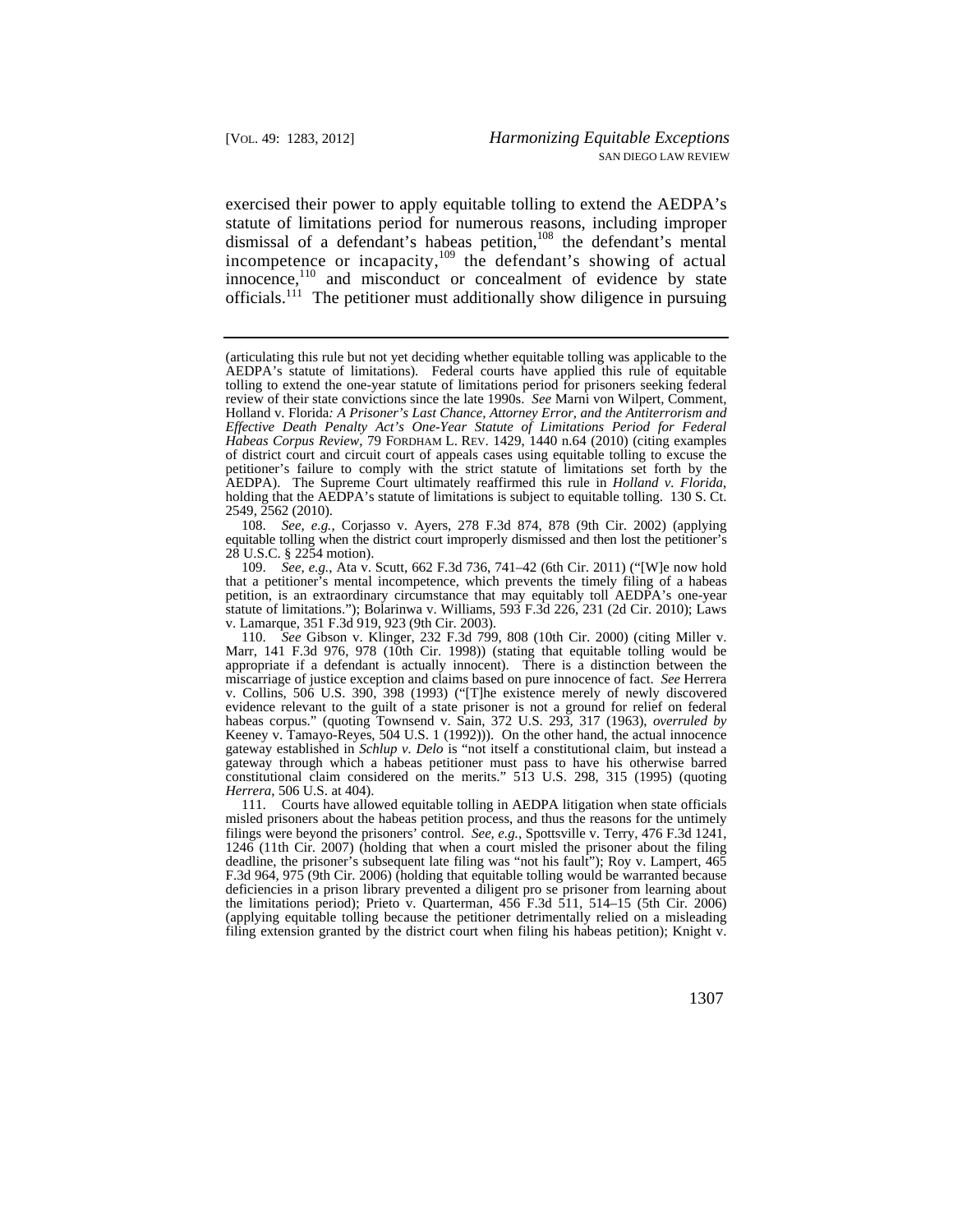exercised their power to apply equitable tolling to extend the AEDPA's statute of limitations period for numerous reasons, including improper dismissal of a defendant's habeas petition,<sup>108</sup> the defendant's mental incompetence or incapacity,<sup>109</sup> the defendant's showing of actual innocence,<sup>110</sup> and misconduct or concealment of evidence by state officials.111 The petitioner must additionally show diligence in pursuing

108. *See, e.g.*, Corjasso v. Ayers, 278 F.3d 874, 878 (9th Cir. 2002) (applying equitable tolling when the district court improperly dismissed and then lost the petitioner's 28 U.S.C. § 2254 motion).

 petition, is an extraordinary circumstance that may equitably toll AEDPA's one-year 109. *See, e.g.*, Ata v. Scutt, 662 F.3d 736, 741–42 (6th Cir. 2011) ("[W]e now hold that a petitioner's mental incompetence, which prevents the timely filing of a habeas statute of limitations."); Bolarinwa v. Williams, 593 F.3d 226, 231 (2d Cir. 2010); Laws v. Lamarque, 351 F.3d 919, 923 (9th Cir. 2003).

110. *See* Gibson v. Klinger, 232 F.3d 799, 808 (10th Cir. 2000) (citing Miller v. Marr, 141 F.3d 976, 978 (10th Cir. 1998)) (stating that equitable tolling would be appropriate if a defendant is actually innocent). There is a distinction between the miscarriage of justice exception and claims based on pure innocence of fact. *See* Herrera v. Collins, 506 U.S. 390, 398 (1993) ("[T]he existence merely of newly discovered evidence relevant to the guilt of a state prisoner is not a ground for relief on federal habeas corpus." (quoting Townsend v. Sain, 372 U.S. 293, 317 (1963), *overruled by*  Keeney v. Tamayo-Reyes, 504 U.S. 1 (1992))). On the other hand, the actual innocence gateway established in *Schlup v. Delo* is "not itself a constitutional claim, but instead a gateway through which a habeas petitioner must pass to have his otherwise barred constitutional claim considered on the merits." 513 U.S. 298, 315 (1995) (quoting *Herrera*, 506 U.S. at 404).

 filing extension granted by the district court when filing his habeas petition); Knight v. 111. Courts have allowed equitable tolling in AEDPA litigation when state officials misled prisoners about the habeas petition process, and thus the reasons for the untimely filings were beyond the prisoners' control. *See, e.g.*, Spottsville v. Terry, 476 F.3d 1241, 1246 (11th Cir. 2007) (holding that when a court misled the prisoner about the filing deadline, the prisoner's subsequent late filing was "not his fault"); Roy v. Lampert, 465 F.3d 964, 975 (9th Cir. 2006) (holding that equitable tolling would be warranted because deficiencies in a prison library prevented a diligent pro se prisoner from learning about the limitations period); Prieto v. Quarterman, 456 F.3d 511, 514–15 (5th Cir. 2006) (applying equitable tolling because the petitioner detrimentally relied on a misleading

 (articulating this rule but not yet deciding whether equitable tolling was applicable to the AEDPA's statute of limitations). Federal courts have applied this rule of equitable tolling to extend the one-year statute of limitations period for prisoners seeking federal review of their state convictions since the late 1990s. *See* Marni von Wilpert, Comment, Holland v. Florida*: A Prisoner's Last Chance, Attorney Error, and the Antiterrorism and Effective Death Penalty Act's One-Year Statute of Limitations Period for Federal Habeas Corpus Review*, 79 FORDHAM L. REV. 1429, 1440 n.64 (2010) (citing examples of district court and circuit court of appeals cases using equitable tolling to excuse the petitioner's failure to comply with the strict statute of limitations set forth by the AEDPA). The Supreme Court ultimately reaffirmed this rule in *Holland v. Florida*, holding that the AEDPA's statute of limitations is subject to equitable tolling. 130 S. Ct. 2549, 2562 (2010).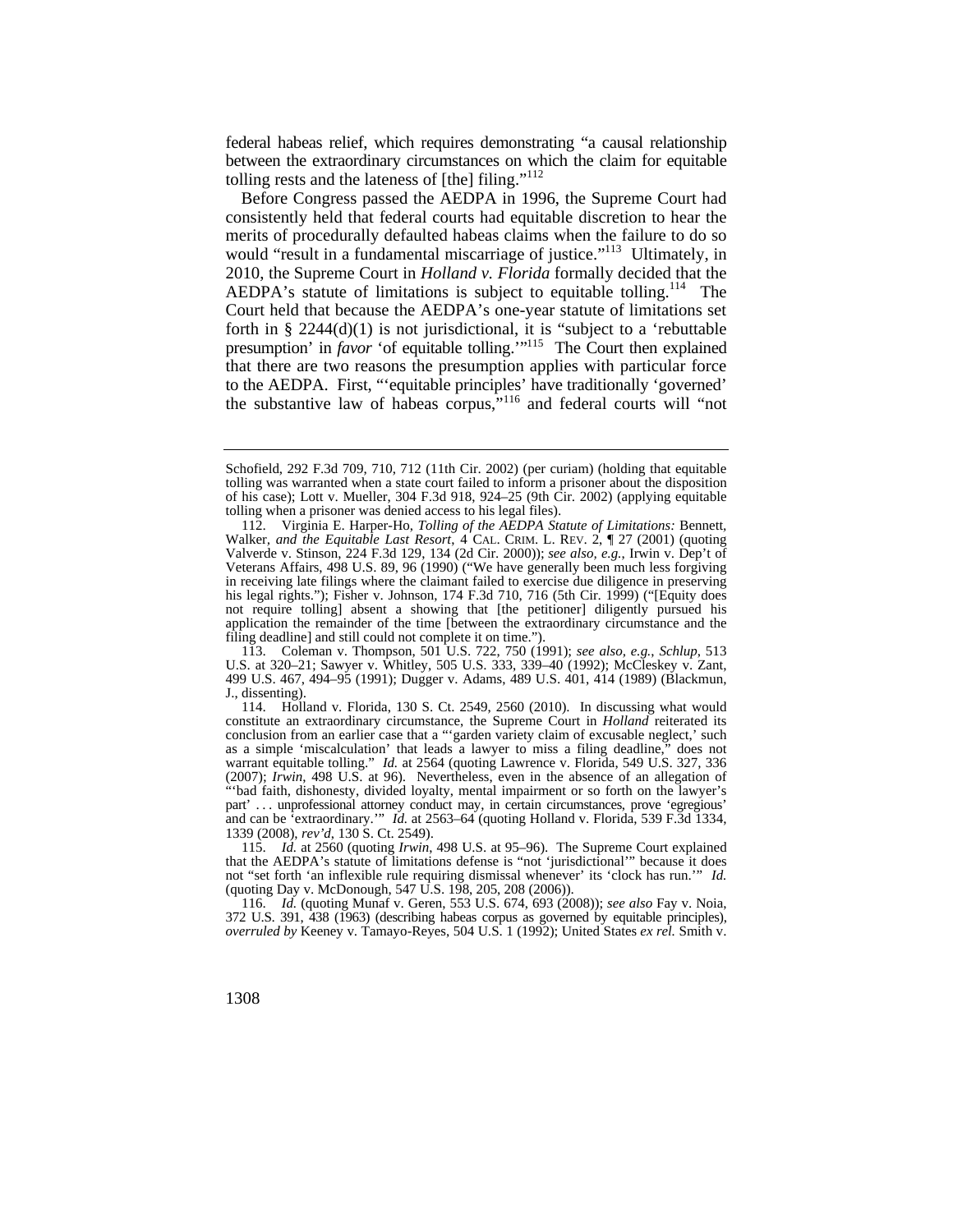federal habeas relief, which requires demonstrating "a causal relationship between the extraordinary circumstances on which the claim for equitable tolling rests and the lateness of  $[$ the $]$  filing."<sup>112</sup>

Before Congress passed the AEDPA in 1996, the Supreme Court had consistently held that federal courts had equitable discretion to hear the merits of procedurally defaulted habeas claims when the failure to do so would "result in a fundamental miscarriage of justice."<sup>113</sup> Ultimately, in 2010, the Supreme Court in *Holland v. Florida* formally decided that the AEDPA's statute of limitations is subject to equitable tolling.<sup>114</sup> The Court held that because the AEDPA's one-year statute of limitations set forth in  $\S 2244(d)(1)$  is not jurisdictional, it is "subject to a 'rebuttable presumption' in *favor* 'of equitable tolling.'"<sup>115</sup> The Court then explained that there are two reasons the presumption applies with particular force to the AEDPA. First, "'equitable principles' have traditionally 'governed' the substantive law of habeas corpus,"116 and federal courts will "not

Schofield, 292 F.3d 709, 710, 712 (11th Cir. 2002) (per curiam) (holding that equitable tolling was warranted when a state court failed to inform a prisoner about the disposition of his case); Lott v. Mueller, 304 F.3d 918, 924–25 (9th Cir. 2002) (applying equitable tolling when a prisoner was denied access to his legal files).

 Walker*, and the Equitable Last Resort*, 4 CAL. CRIM. L. REV. 2, ¶ 27 (2001) (quoting 112. Virginia E. Harper-Ho, *Tolling of the AEDPA Statute of Limitations:* Bennett*,*  Valverde v. Stinson, 224 F.3d 129, 134 (2d Cir. 2000)); *see also, e.g.*, Irwin v. Dep't of Veterans Affairs, 498 U.S. 89, 96 (1990) ("We have generally been much less forgiving in receiving late filings where the claimant failed to exercise due diligence in preserving his legal rights."); Fisher v. Johnson, 174 F.3d 710, 716 (5th Cir. 1999) ("[Equity does not require tolling] absent a showing that [the petitioner] diligently pursued his application the remainder of the time [between the extraordinary circumstance and the filing deadline] and still could not complete it on time.").

<sup>113.</sup> Coleman v. Thompson, 501 U.S. 722, 750 (1991); *see also, e.g.*, *Schlup*, 513 U.S. at 320–21; Sawyer v. Whitley, 505 U.S. 333, 339–40 (1992); McCleskey v. Zant, 499 U.S. 467, 494–95 (1991); Dugger v. Adams, 489 U.S. 401, 414 (1989) (Blackmun, J., dissenting).

 part' . . . unprofessional attorney conduct may, in certain circumstances, prove 'egregious' 114. Holland v. Florida, 130 S. Ct. 2549, 2560 (2010). In discussing what would constitute an extraordinary circumstance, the Supreme Court in *Holland* reiterated its conclusion from an earlier case that a "'garden variety claim of excusable neglect,' such as a simple 'miscalculation' that leads a lawyer to miss a filing deadline," does not warrant equitable tolling." *Id.* at 2564 (quoting Lawrence v. Florida, 549 U.S. 327, 336 (2007); *Irwin*, 498 U.S. at 96). Nevertheless, even in the absence of an allegation of "'bad faith, dishonesty, divided loyalty, mental impairment or so forth on the lawyer's and can be 'extraordinary.'" *Id.* at 2563–64 (quoting Holland v. Florida, 539 F.3d 1334, 1339 (2008), *rev'd*, 130 S. Ct. 2549).

 not "set forth 'an inflexible rule requiring dismissal whenever' its 'clock has run.'" *Id.*  115. *Id.* at 2560 (quoting *Irwin*, 498 U.S. at 95–96). The Supreme Court explained that the AEDPA's statute of limitations defense is "not 'jurisdictional'" because it does (quoting Day v. McDonough, 547 U.S. 198, 205, 208 (2006)).

<sup>116.</sup> *Id.* (quoting Munaf v. Geren, 553 U.S. 674, 693 (2008)); *see also* Fay v. Noia, 372 U.S. 391, 438 (1963) (describing habeas corpus as governed by equitable principles), *overruled by* Keeney v. Tamayo-Reyes, 504 U.S. 1 (1992); United States *ex rel.* Smith v.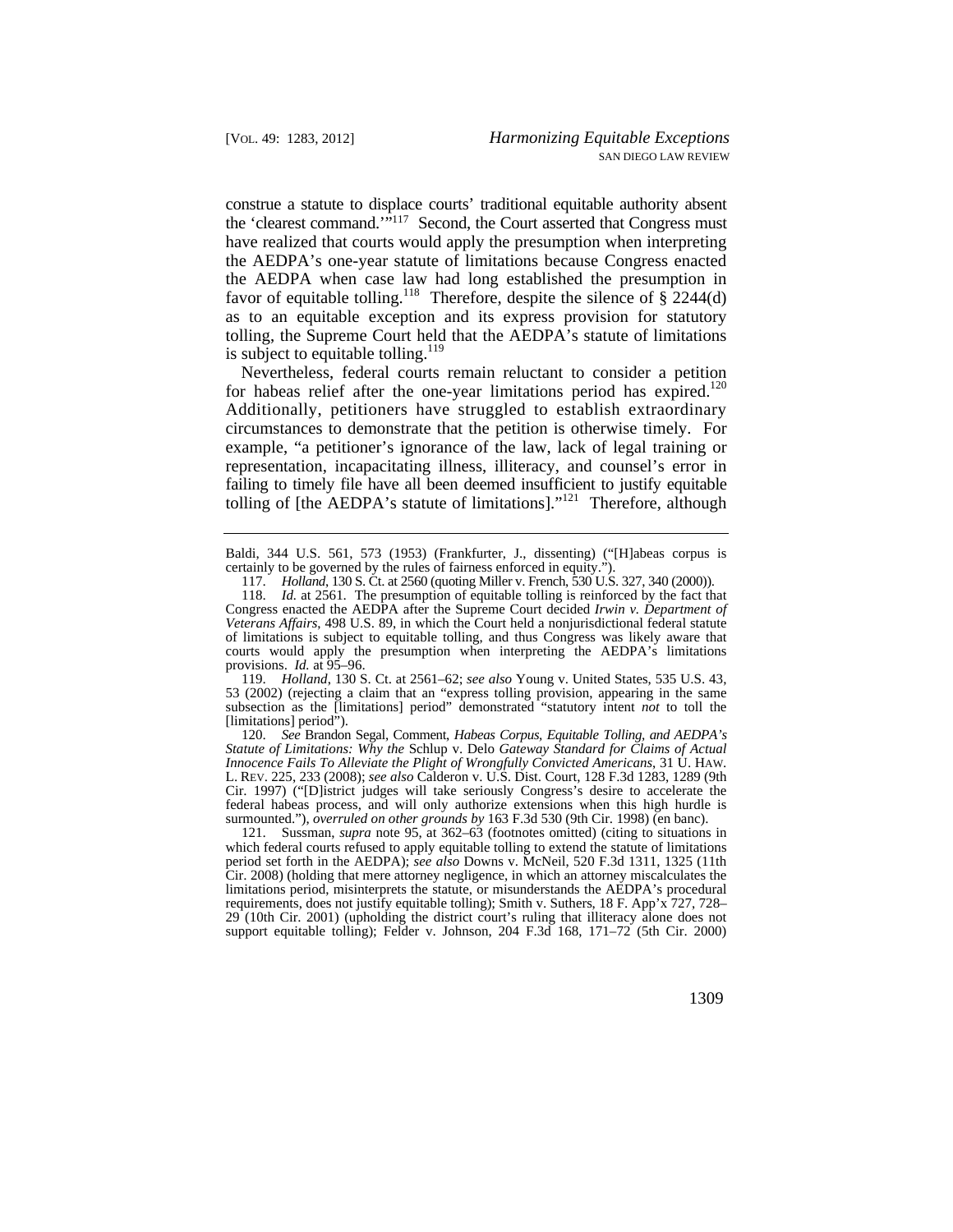favor of equitable tolling.<sup>118</sup> Therefore, despite the silence of  $\S$  2244(d) construe a statute to displace courts' traditional equitable authority absent the 'clearest command.'"<sup>117</sup> Second, the Court asserted that Congress must have realized that courts would apply the presumption when interpreting the AEDPA's one-year statute of limitations because Congress enacted the AEDPA when case law had long established the presumption in as to an equitable exception and its express provision for statutory tolling, the Supreme Court held that the AEDPA's statute of limitations is subject to equitable tolling. $119$ 

for habeas relief after the one-year limitations period has expired.<sup>120</sup> Nevertheless, federal courts remain reluctant to consider a petition Additionally, petitioners have struggled to establish extraordinary circumstances to demonstrate that the petition is otherwise timely. For example, "a petitioner's ignorance of the law, lack of legal training or representation, incapacitating illness, illiteracy, and counsel's error in failing to timely file have all been deemed insufficient to justify equitable tolling of [the AEDPA's statute of limitations]."<sup>121</sup> Therefore, although

Baldi, 344 U.S. 561, 573 (1953) (Frankfurter, J., dissenting) ("[H]abeas corpus is certainly to be governed by the rules of fairness enforced in equity.

119. *Holland*, 130 S. Ct. at 2561–62; *see also* Young v. United States, 535 U.S. 43, 53 (2002) (rejecting a claim that an "express tolling provision, appearing in the same subsection as the [limitations] period" demonstrated "statutory intent *not* to toll the [limitations] period").

120. *See* Brandon Segal, Comment, *Habeas Corpus, Equitable Tolling, and AEDPA's Statute of Limitations: Why the* Schlup v. Delo *Gateway Standard for Claims of Actual Innocence Fails To Alleviate the Plight of Wrongfully Convicted Americans*, 31 U. HAW. L. REV. 225, 233 (2008); *see also* Calderon v. U.S. Dist. Court, 128 F.3d 1283, 1289 (9th Cir. 1997) ("[D]istrict judges will take seriously Congress's desire to accelerate the federal habeas process, and will only authorize extensions when this high hurdle is surmounted."), *overruled on other grounds by* 163 F.3d 530 (9th Cir. 1998) (en banc).

 121. Sussman, *supra* note 95, at 362–63 (footnotes omitted) (citing to situations in which federal courts refused to apply equitable tolling to extend the statute of limitations period set forth in the AEDPA); *see also* Downs v. McNeil, 520 F.3d 1311, 1325 (11th Cir. 2008) (holding that mere attorney negligence, in which an attorney miscalculates the limitations period, misinterprets the statute, or misunderstands the AEDPA's procedural requirements, does not justify equitable tolling); Smith v. Suthers, 18 F. App'x 727, 728– 29 (10th Cir. 2001) (upholding the district court's ruling that illiteracy alone does not support equitable tolling); Felder v. Johnson, 204 F.3d 168, 171–72 (5th Cir. 2000)

 117. *Holland*, 130 S. Ct. at 2560 (quoting Miller v. French, 530 U.S. 327, 340 (2000)).

<sup>118.</sup> *Id.* at 2561. The presumption of equitable tolling is reinforced by the fact that Congress enacted the AEDPA after the Supreme Court decided *Irwin v. Department of Veterans Affairs*, 498 U.S. 89, in which the Court held a nonjurisdictional federal statute of limitations is subject to equitable tolling, and thus Congress was likely aware that courts would apply the presumption when interpreting the AEDPA's limitations provisions. *Id.* at 95–96.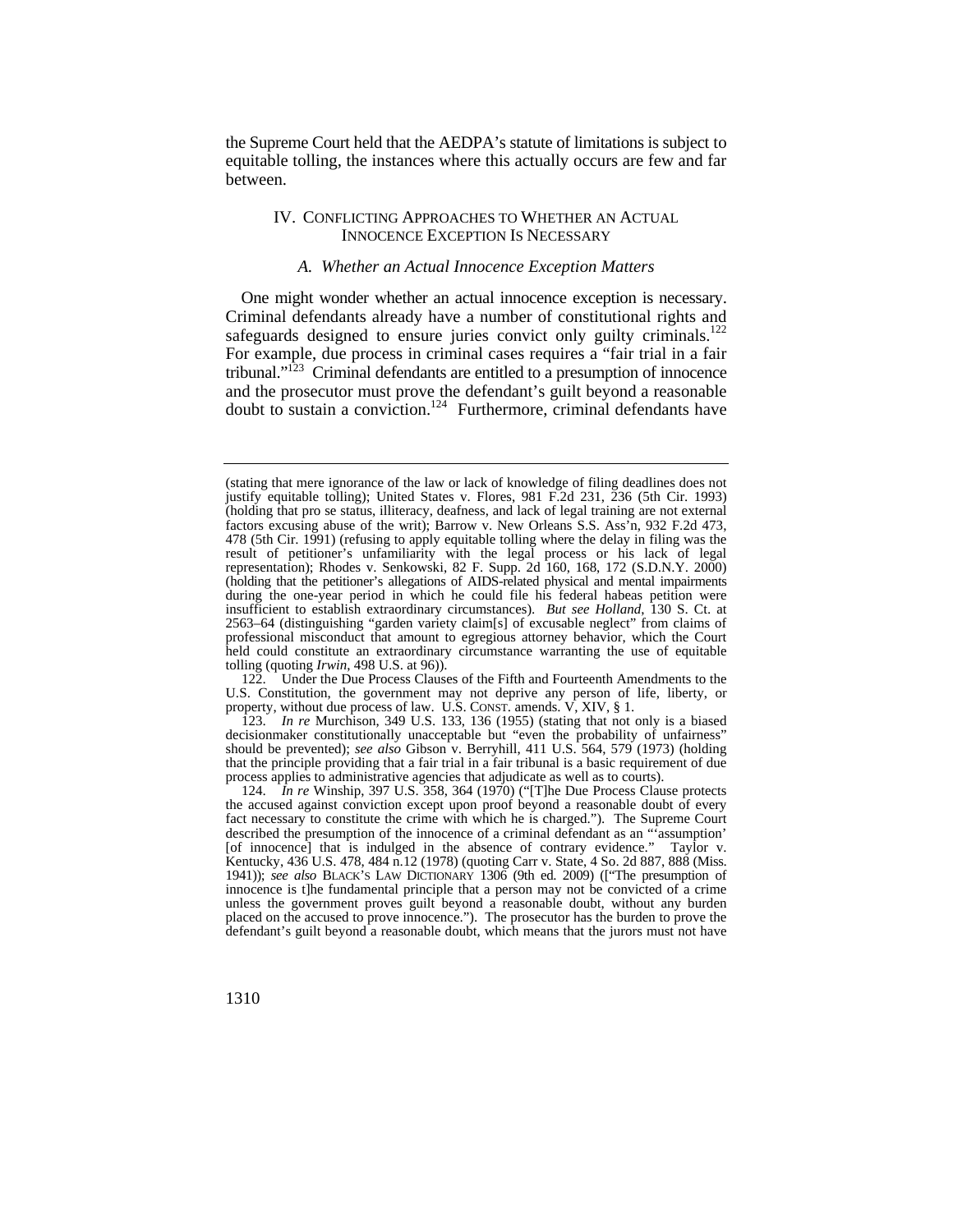the Supreme Court held that the AEDPA's statute of limitations is subject to equitable tolling, the instances where this actually occurs are few and far between.

## IV. CONFLICTING APPROACHES TO WHETHER AN ACTUAL INNOCENCE EXCEPTION IS NECESSARY

## *A. Whether an Actual Innocence Exception Matters*

safeguards designed to ensure juries convict only guilty criminals.<sup>122</sup> One might wonder whether an actual innocence exception is necessary. Criminal defendants already have a number of constitutional rights and For example, due process in criminal cases requires a "fair trial in a fair tribunal."123 Criminal defendants are entitled to a presumption of innocence and the prosecutor must prove the defendant's guilt beyond a reasonable doubt to sustain a conviction.<sup>124</sup> Furthermore, criminal defendants have

122. Under the Due Process Clauses of the Fifth and Fourteenth Amendments to the U.S. Constitution, the government may not deprive any person of life, liberty, or property, without due process of law. U.S. CONST. amends. V, XIV, § 1.

123. *In re* Murchison, 349 U.S. 133, 136 (1955) (stating that not only is a biased decisionmaker constitutionally unacceptable but "even the probability of unfairness" should be prevented); *see also* Gibson v. Berryhill, 411 U.S. 564, 579 (1973) (holding that the principle providing that a fair trial in a fair tribunal is a basic requirement of due process applies to administrative agencies that adjudicate as well as to courts).

124. *In re* Winship, 397 U.S. 358, 364 (1970) ("[T]he Due Process Clause protects the accused against conviction except upon proof beyond a reasonable doubt of every fact necessary to constitute the crime with which he is charged."). The Supreme Court described the presumption of the innocence of a criminal defendant as an "'assumption' [of innocence] that is indulged in the absence of contrary evidence." Taylor v. Kentucky, 436 U.S. 478, 484 n.12 (1978) (quoting Carr v. State, 4 So. 2d 887, 888 (Miss. 1941)); *see also* BLACK'S LAW DICTIONARY 1306 (9th ed. 2009) (["The presumption of innocence is t]he fundamental principle that a person may not be convicted of a crime unless the government proves guilt beyond a reasonable doubt, without any burden placed on the accused to prove innocence."). The prosecutor has the burden to prove the defendant's guilt beyond a reasonable doubt, which means that the jurors must not have

 (holding that pro se status, illiteracy, deafness, and lack of legal training are not external 478 (5th Cir. 1991) (refusing to apply equitable tolling where the delay in filing was the (stating that mere ignorance of the law or lack of knowledge of filing deadlines does not justify equitable tolling); United States v. Flores, 981 F.2d 231, 236 (5th Cir. 1993) factors excusing abuse of the writ); Barrow v. New Orleans S.S. Ass'n, 932 F.2d 473, result of petitioner's unfamiliarity with the legal process or his lack of legal representation); Rhodes v. Senkowski, 82 F. Supp. 2d 160, 168, 172 (S.D.N.Y. 2000) (holding that the petitioner's allegations of AIDS-related physical and mental impairments during the one-year period in which he could file his federal habeas petition were insufficient to establish extraordinary circumstances). *But see Holland*, 130 S. Ct. at 2563–64 (distinguishing "garden variety claim[s] of excusable neglect" from claims of professional misconduct that amount to egregious attorney behavior, which the Court held could constitute an extraordinary circumstance warranting the use of equitable tolling (quoting *Irwin*, 498 U.S. at 96)).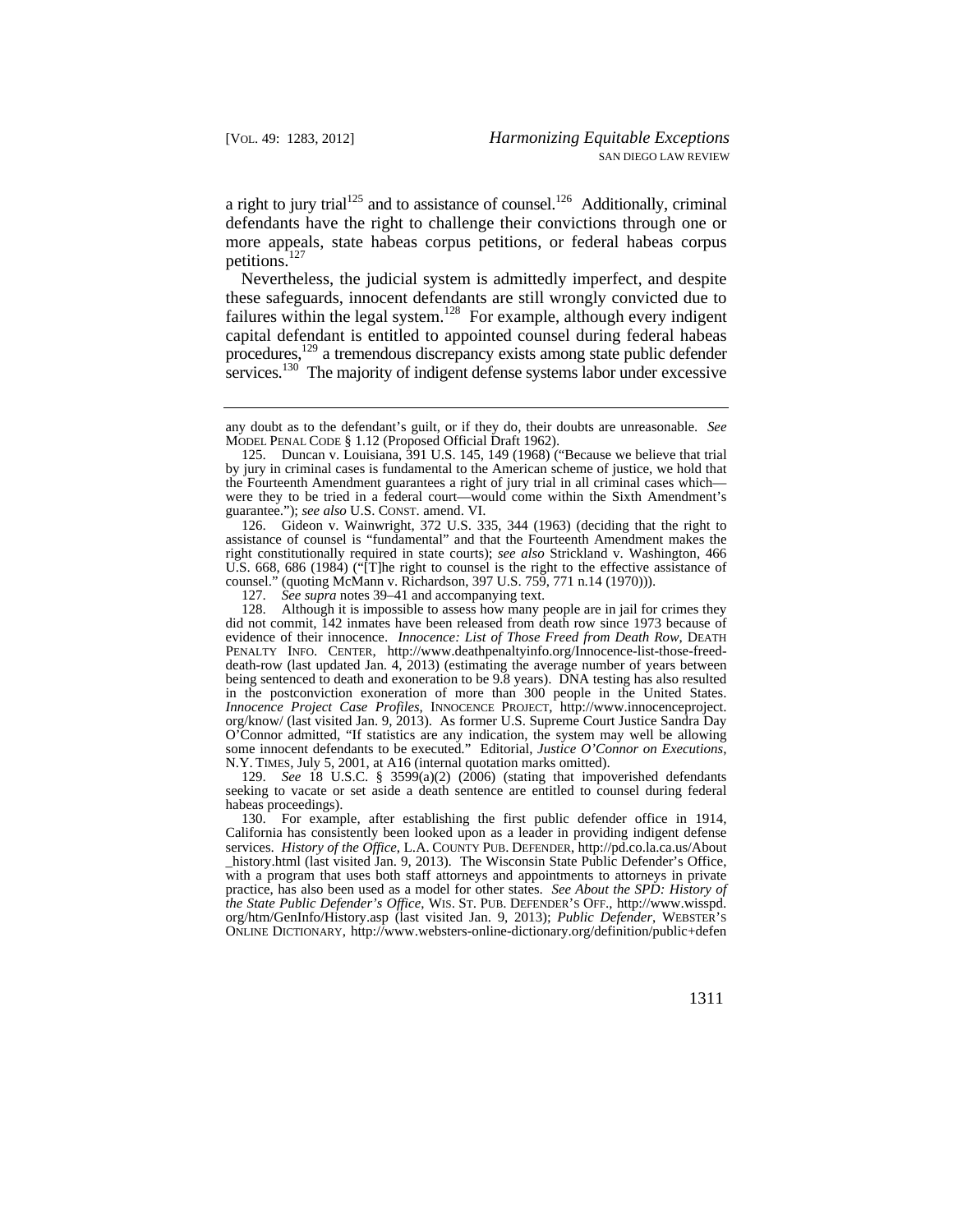a right to jury trial<sup>125</sup> and to assistance of counsel.<sup>126</sup> Additionally, criminal defendants have the right to challenge their convictions through one or more appeals, state habeas corpus petitions, or federal habeas corpus petitions. $127$ 

Nevertheless, the judicial system is admittedly imperfect, and despite these safeguards, innocent defendants are still wrongly convicted due to failures within the legal system.<sup>128</sup> For example, although every indigent capital defendant is entitled to appointed counsel during federal habeas procedures,<sup>129</sup> a tremendous discrepancy exists among state public defender services.<sup>130</sup> The majority of indigent defense systems labor under excessive

126. Gideon v. Wainwright, 372 U.S. 335, 344 (1963) (deciding that the right to assistance of counsel is "fundamental" and that the Fourteenth Amendment makes the right constitutionally required in state courts); *see also* Strickland v. Washington, 466 U.S. 668, 686 (1984) ("[T]he right to counsel is the right to the effective assistance of counsel." (quoting McMann v. Richardson, 397 U.S. 759, 771 n.14 (1970))).

127. *See supra* notes 39–41 and accompanying text.

128. Although it is impossible to assess how many people are in jail for crimes they did not commit, 142 inmates have been released from death row since 1973 because of evidence of their innocence. *Innocence: List of Those Freed from Death Row*, DEATH PENALTY INFO. CENTER, <http://www.deathpenaltyinfo.org/Innocence-list-those-freed>death-row (last updated Jan. 4, 2013) (estimating the average number of years between being sentenced to death and exoneration to be 9.8 years). DNA testing has also resulted in the postconviction exoneration of more than 300 people in the United States. *Innocence Project Case Profiles*, INNOCENCE PROJECT, [http://www.innocenceproject.](http://www.innocenceproject) org/know/ (last visited Jan. 9, 2013). As former U.S. Supreme Court Justice Sandra Day O'Connor admitted, "If statistics are any indication, the system may well be allowing some innocent defendants to be executed." Editorial, *Justice O'Connor on Executions*, N.Y. TIMES, July 5, 2001, at A16 (internal quotation marks omitted).

129. *See* 18 U.S.C. § 3599(a)(2) (2006) (stating that impoverished defendants seeking to vacate or set aside a death sentence are entitled to counsel during federal habeas proceedings).

 services. *History of the Office*, L.A. COUNTY PUB. DEFENDER, <http://pd.co.la.ca.us/About> *the State Public Defender's Office*, WIS. ST. PUB. DEFENDER'S OFF., [http://www.wisspd.](http://www.wisspd) 130. For example, after establishing the first public defender office in 1914, California has consistently been looked upon as a leader in providing indigent defense \_history.html (last visited Jan. 9, 2013). The Wisconsin State Public Defender's Office, with a program that uses both staff attorneys and appointments to attorneys in private practice, has also been used as a model for other states. *See About the SPD: History of*  org/htm/GenInfo/History.asp (last visited Jan. 9, 2013); *Public Defender*, WEBSTER'S ONLINE DICTIONARY, <http://www.websters-online-dictionary.org/definition/public+defen>

any doubt as to the defendant's guilt, or if they do, their doubts are unreasonable. *See*  MODEL PENAL CODE § 1.12 (Proposed Official Draft 1962).

<sup>125.</sup> Duncan v. Louisiana, 391 U.S. 145, 149 (1968) ("Because we believe that trial by jury in criminal cases is fundamental to the American scheme of justice, we hold that the Fourteenth Amendment guarantees a right of jury trial in all criminal cases which were they to be tried in a federal court—would come within the Sixth Amendment's guarantee."); *see also* U.S. CONST. amend. VI.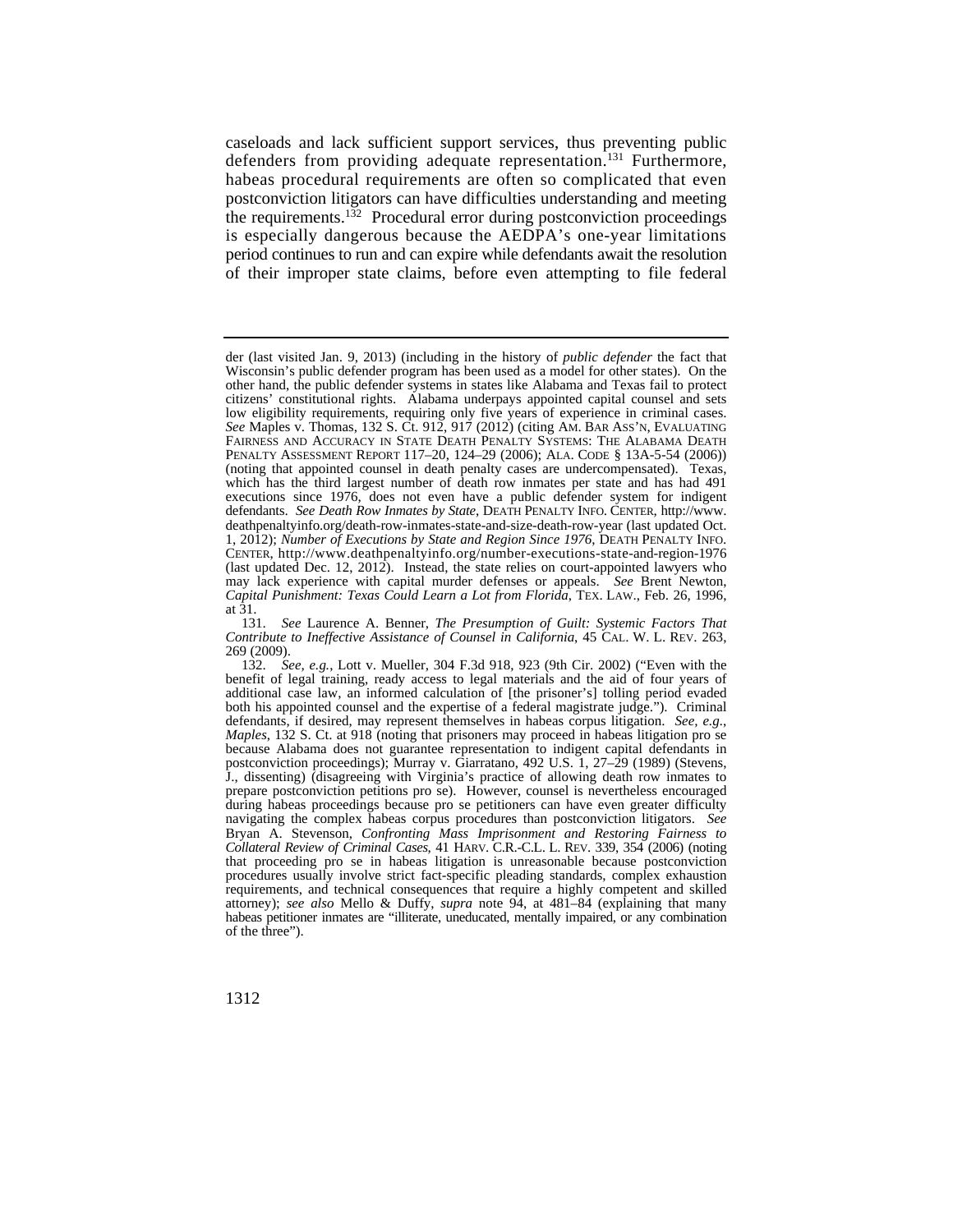period continues to run and can expire while defendants await the resolution caseloads and lack sufficient support services, thus preventing public defenders from providing adequate representation.<sup>131</sup> Furthermore, habeas procedural requirements are often so complicated that even postconviction litigators can have difficulties understanding and meeting the requirements.<sup>132</sup> Procedural error during postconviction proceedings is especially dangerous because the AEDPA's one-year limitations of their improper state claims, before even attempting to file federal

 may lack experience with capital murder defenses or appeals. *See* Brent Newton, der (last visited Jan. 9, 2013) (including in the history of *public defender* the fact that Wisconsin's public defender program has been used as a model for other states). On the other hand, the public defender systems in states like Alabama and Texas fail to protect citizens' constitutional rights. Alabama underpays appointed capital counsel and sets low eligibility requirements, requiring only five years of experience in criminal cases. *See* Maples v. Thomas, 132 S. Ct. 912, 917 (2012) (citing AM. BAR ASS'N, EVALUATING FAIRNESS AND ACCURACY IN STATE DEATH PENALTY SYSTEMS: THE ALABAMA DEATH PENALTY ASSESSMENT REPORT 117–20, 124–29 (2006); ALA. CODE § 13A-5-54 (2006)) (noting that appointed counsel in death penalty cases are undercompensated). Texas, which has the third largest number of death row inmates per state and has had 491 executions since 1976, does not even have a public defender system for indigent defendants. *See Death Row Inmates by State*, DEATH PENALTY INFO. CENTER, [http://www.](http://www) [deathpenaltyinfo.org/death-row-inmates-state-and-size-death-row-year](https://deathpenaltyinfo.org/death-row-inmates-state-and-size-death-row-year) (last updated Oct. 1, 2012); *Number of Executions by State and Region Since 1976*, DEATH PENALTY INFO. CENTER, <http://www.deathpenaltyinfo.org/number-executions-state-and-region-1976> (last updated Dec. 12, 2012). Instead, the state relies on court-appointed lawyers who *Capital Punishment: Texas Could Learn a Lot from Florida*, TEX. LAW., Feb. 26, 1996, at 31.

 *Contribute to Ineffective Assistance of Counsel in California*, 45 CAL. W. L. REV. 263, 131. *See* Laurence A. Benner, *The Presumption of Guilt: Systemic Factors That*  269 (2009).

 *Collateral Review of Criminal Cases*, 41 HARV. C.R.-C.L. L. REV. 339, 354 (2006) (noting 132. *See, e.g.*, Lott v. Mueller, 304 F.3d 918, 923 (9th Cir. 2002) ("Even with the benefit of legal training, ready access to legal materials and the aid of four years of additional case law, an informed calculation of [the prisoner's] tolling period evaded both his appointed counsel and the expertise of a federal magistrate judge."). Criminal defendants, if desired, may represent themselves in habeas corpus litigation. *See, e.g.*, *Maples*, 132 S. Ct. at 918 (noting that prisoners may proceed in habeas litigation pro se because Alabama does not guarantee representation to indigent capital defendants in postconviction proceedings); Murray v. Giarratano, 492 U.S. 1, 27–29 (1989) (Stevens, J., dissenting) (disagreeing with Virginia's practice of allowing death row inmates to prepare postconviction petitions pro se). However, counsel is nevertheless encouraged during habeas proceedings because pro se petitioners can have even greater difficulty navigating the complex habeas corpus procedures than postconviction litigators. *See*  Bryan A. Stevenson, *Confronting Mass Imprisonment and Restoring Fairness to*  that proceeding pro se in habeas litigation is unreasonable because postconviction procedures usually involve strict fact-specific pleading standards, complex exhaustion requirements, and technical consequences that require a highly competent and skilled attorney); *see also* Mello & Duffy, *supra* note 94, at 481–84 (explaining that many habeas petitioner inmates are "illiterate, uneducated, mentally impaired, or any combination of the three").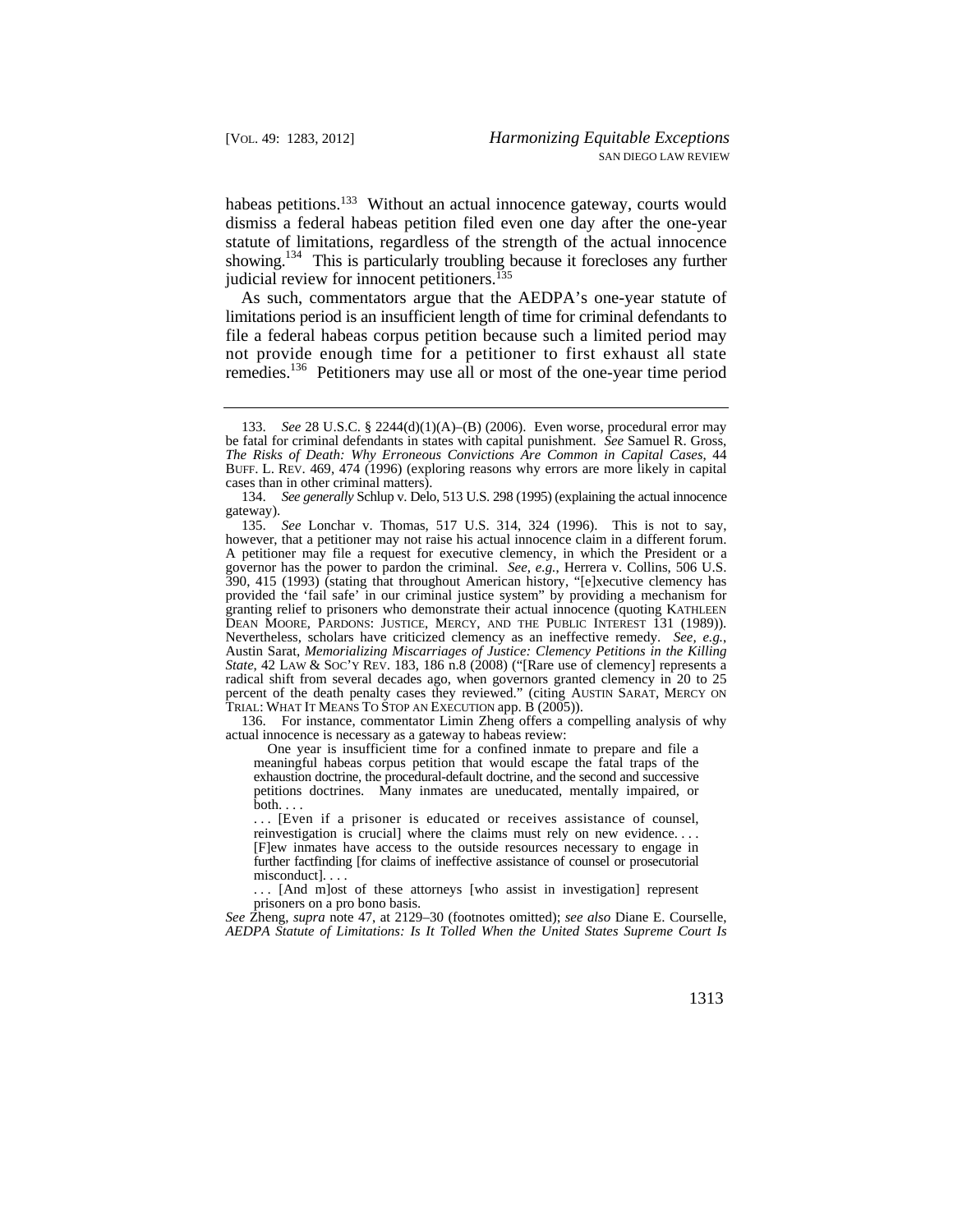habeas petitions.<sup>133</sup> Without an actual innocence gateway, courts would dismiss a federal habeas petition filed even one day after the one-year statute of limitations, regardless of the strength of the actual innocence showing.<sup>134</sup> This is particularly troubling because it forecloses any further judicial review for innocent petitioners.<sup>135</sup>

As such, commentators argue that the AEDPA's one-year statute of limitations period is an insufficient length of time for criminal defendants to file a federal habeas corpus petition because such a limited period may not provide enough time for a petitioner to first exhaust all state remedies.<sup>136</sup> Petitioners may use all or most of the one-year time period

 actual innocence is necessary as a gateway to habeas review: 136. For instance, commentator Limin Zheng offers a compelling analysis of why

One year is insufficient time for a confined inmate to prepare and file a meaningful habeas corpus petition that would escape the fatal traps of the exhaustion doctrine, the procedural-default doctrine, and the second and successive petitions doctrines. Many inmates are uneducated, mentally impaired, or  $\overline{\text{both}} \dots$ 

 reinvestigation is crucial] where the claims must rely on new evidence. . . . ... [Even if a prisoner is educated or receives assistance of counsel, [F]ew inmates have access to the outside resources necessary to engage in further factfinding [for claims of ineffective assistance of counsel or prosecutorial misconduct]. . . .

... [And m]ost of these attorneys [who assist in investigation] represent prisoners on a pro bono basis.

*See* Zheng, *supra* note 47, at 2129–30 (footnotes omitted); *see also* Diane E. Courselle, *AEDPA Statute of Limitations: Is It Tolled When the United States Supreme Court Is* 

 BUFF. L. REV. 469, 474 (1996) (exploring reasons why errors are more likely in capital 133. *See* 28 U.S.C. § 2244(d)(1)(A)–(B) (2006). Even worse, procedural error may be fatal for criminal defendants in states with capital punishment. *See* Samuel R. Gross, *The Risks of Death: Why Erroneous Convictions Are Common in Capital Cases*, 44 cases than in other criminal matters).

<sup>134.</sup> See generally Schlup v. Delo, 513 U.S. 298 (1995) (explaining the actual innocence gateway).

DEAN MOORE, PARDONS: JUSTICE, MERCY, AND THE PUBLIC INTEREST 131 (1989)). 135. *See* Lonchar v. Thomas, 517 U.S. 314, 324 (1996). This is not to say, however, that a petitioner may not raise his actual innocence claim in a different forum. A petitioner may file a request for executive clemency, in which the President or a governor has the power to pardon the criminal. *See, e.g.*, Herrera v. Collins, 506 U.S. 390, 415 (1993) (stating that throughout American history, "[e]xecutive clemency has provided the 'fail safe' in our criminal justice system" by providing a mechanism for granting relief to prisoners who demonstrate their actual innocence (quoting KATHLEEN Nevertheless, scholars have criticized clemency as an ineffective remedy. *See, e.g.*, Austin Sarat, *Memorializing Miscarriages of Justice: Clemency Petitions in the Killing State*, 42 LAW & Soc'Y REV. 183, 186 n.8 (2008) ("[Rare use of clemency] represents a radical shift from several decades ago, when governors granted clemency in 20 to 25 percent of the death penalty cases they reviewed." (citing AUSTIN SARAT, MERCY ON TRIAL: WHAT IT MEANS TO STOP AN EXECUTION app. B (2005)).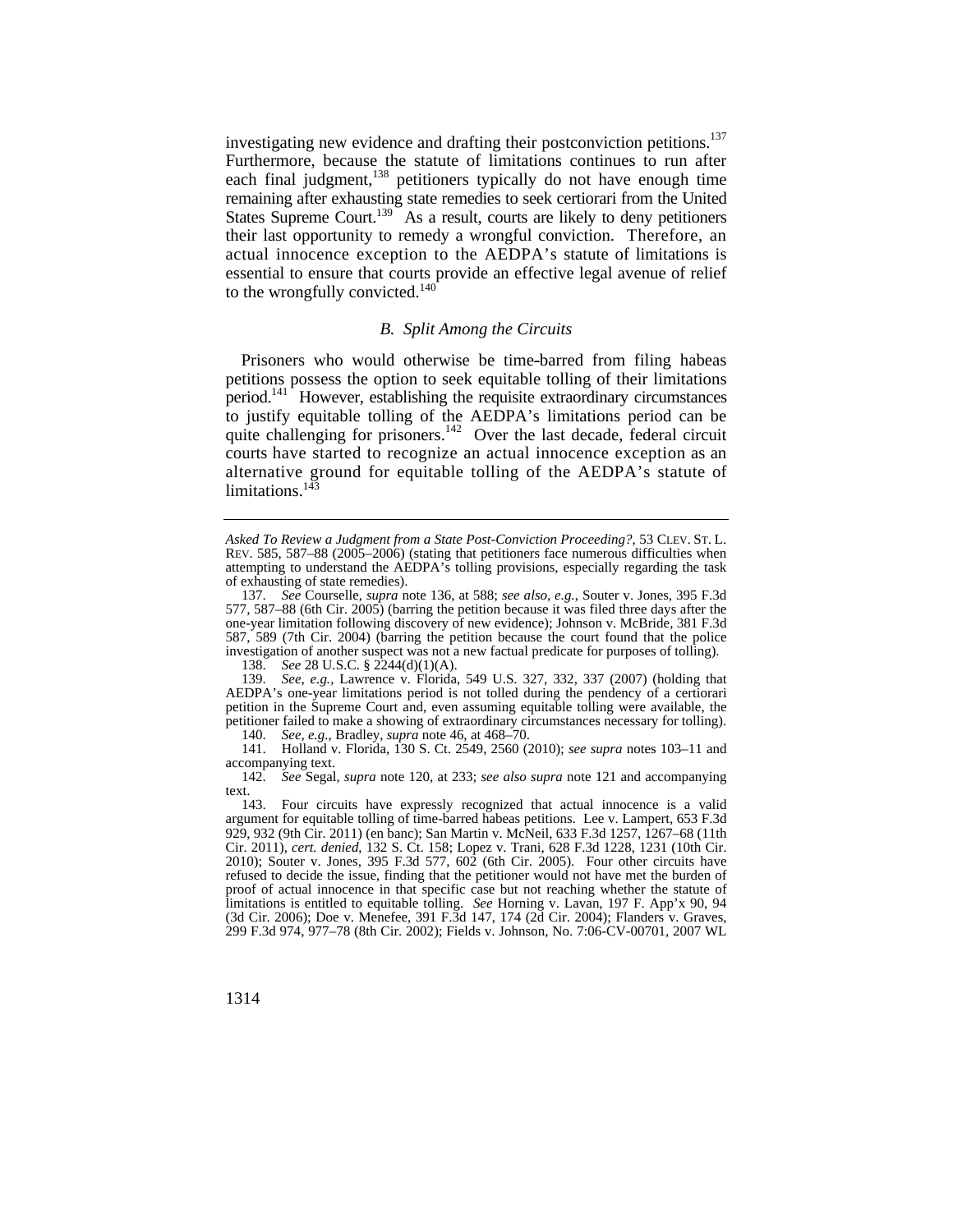their last opportunity to remedy a wrongful conviction. Therefore, an actual innocence exception to the AEDPA's statute of limitations is investigating new evidence and drafting their postconviction petitions.<sup>137</sup> Furthermore, because the statute of limitations continues to run after each final judgment, $138$  petitioners typically do not have enough time remaining after exhausting state remedies to seek certiorari from the United States Supreme Court.<sup>139</sup> As a result, courts are likely to deny petitioners essential to ensure that courts provide an effective legal avenue of relief to the wrongfully convicted. $140$ 

## *B. Split Among the Circuits*

 courts have started to recognize an actual innocence exception as an Prisoners who would otherwise be time-barred from filing habeas petitions possess the option to seek equitable tolling of their limitations period.<sup>141</sup> However, establishing the requisite extraordinary circumstances to justify equitable tolling of the AEDPA's limitations period can be quite challenging for prisoners.<sup>142</sup> Over the last decade, federal circuit alternative ground for equitable tolling of the AEDPA's statute of limitations. $143$ 

 *Asked To Review a Judgment from a State Post-Conviction Proceeding?*, 53 CLEV. ST. L. REV. 585, 587–88 (2005–2006) (stating that petitioners face numerous difficulties when attempting to understand the AEDPA's tolling provisions, especially regarding the task of exhausting of state remedies).

<sup>137.</sup> *See* Courselle, *supra* note 136, at 588; *see also, e.g.*, Souter v. Jones, 395 F.3d 577, 587–88 (6th Cir. 2005) (barring the petition because it was filed three days after the one-year limitation following discovery of new evidence); Johnson v. McBride, 381 F.3d 587, 589 (7th Cir. 2004) (barring the petition because the court found that the police investigation of another suspect was not a new factual predicate for purposes of tolling).

<sup>138.</sup> *See* 28 U.S.C. § 2244(d)(1)(A).

<sup>139.</sup> *See, e.g.*, Lawrence v. Florida, 549 U.S. 327, 332, 337 (2007) (holding that AEDPA's one-year limitations period is not tolled during the pendency of a certiorari petition in the Supreme Court and, even assuming equitable tolling were available, the petitioner failed to make a showing of extraordinary circumstances necessary for tolling). 140. *See, e.g.*, Bradley, *supra* note 46, at 468–70.

<sup>141.</sup> Holland v. Florida, 130 S. Ct. 2549, 2560 (2010); *see supra* notes 103–11 and accompanying text.

<sup>142.</sup> *See* Segal, *supra* note 120, at 233; *see also supra* note 121 and accompanying text.  $143.$ 

<sup>143.</sup> Four circuits have expressly recognized that actual innocence is a valid argument for equitable tolling of time-barred habeas petitions. Lee v. Lampert, 653 F.3d 929, 932 (9th Cir. 2011) (en banc); San Martin v. McNeil, 633 F.3d 1257, 1267–68 (11th Cir. 2011), *cert. denied*, 132 S. Ct. 158; Lopez v. Trani, 628 F.3d 1228, 1231 (10th Cir. 2010); Souter v. Jones, 395 F.3d 577, 602 (6th Cir. 2005). Four other circuits have refused to decide the issue, finding that the petitioner would not have met the burden of proof of actual innocence in that specific case but not reaching whether the statute of limitations is entitled to equitable tolling. *See* Horning v. Lavan, 197 F. App'x 90, 94 (3d Cir. 2006); Doe v. Menefee, 391 F.3d 147, 174 (2d Cir. 2004); Flanders v. Graves, 299 F.3d 974, 977–78 (8th Cir. 2002); Fields v. Johnson, No. 7:06-CV-00701, 2007 WL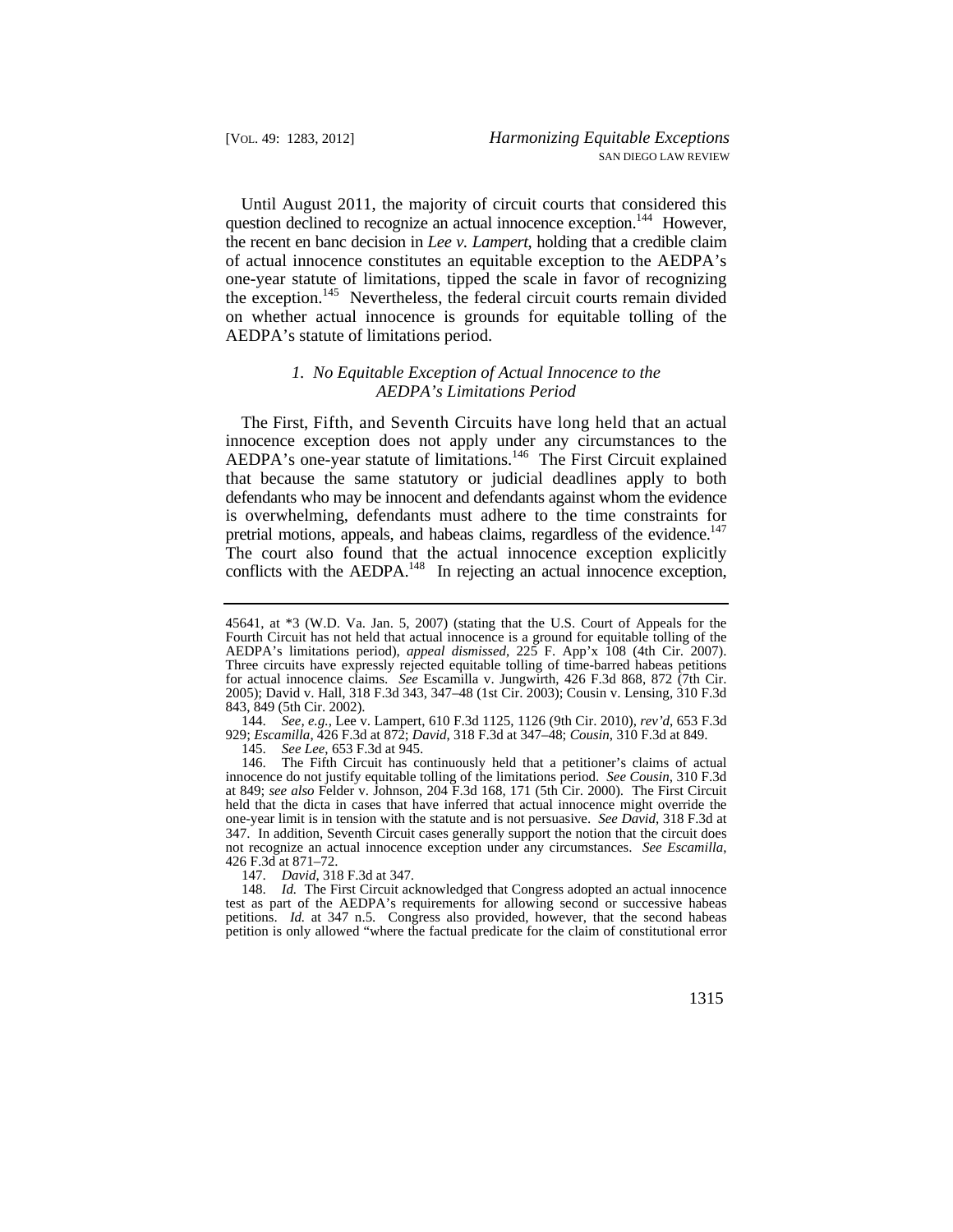Until August 2011, the majority of circuit courts that considered this question declined to recognize an actual innocence exception.<sup>144</sup> However, the recent en banc decision in *Lee v. Lampert*, holding that a credible claim of actual innocence constitutes an equitable exception to the AEDPA's one-year statute of limitations, tipped the scale in favor of recognizing the exception.<sup>145</sup> Nevertheless, the federal circuit courts remain divided on whether actual innocence is grounds for equitable tolling of the AEDPA's statute of limitations period.

## *1. No Equitable Exception of Actual Innocence to the AEDPA's Limitations Period*

 The First, Fifth, and Seventh Circuits have long held that an actual pretrial motions, appeals, and habeas claims, regardless of the evidence.<sup>147</sup> innocence exception does not apply under any circumstances to the AEDPA's one-year statute of limitations.<sup>146</sup> The First Circuit explained that because the same statutory or judicial deadlines apply to both defendants who may be innocent and defendants against whom the evidence is overwhelming, defendants must adhere to the time constraints for The court also found that the actual innocence exception explicitly conflicts with the AEDPA. $148$  In rejecting an actual innocence exception,

*See Lee*, 653 F.3d at 945.

<sup>45641,</sup> at \*3 (W.D. Va. Jan. 5, 2007) (stating that the U.S. Court of Appeals for the Fourth Circuit has not held that actual innocence is a ground for equitable tolling of the AEDPA's limitations period), *appeal dismissed*, 225 F. App'x 108 (4th Cir. 2007). Three circuits have expressly rejected equitable tolling of time-barred habeas petitions for actual innocence claims. *See* Escamilla v. Jungwirth, 426 F.3d 868, 872 (7th Cir. 2005); David v. Hall, 318 F.3d 343, 347–48 (1st Cir. 2003); Cousin v. Lensing, 310 F.3d 843, 849 (5th Cir. 2002).

<sup>144.</sup> *See, e.g.*, Lee v. Lampert, 610 F.3d 1125, 1126 (9th Cir. 2010), *rev'd*, 653 F.3d 929; *Escamilla*, 426 F.3d at 872; *David*, 318 F.3d at 347–48; *Cousin*, 310 F.3d at 849.

<sup>146.</sup> The Fifth Circuit has continuously held that a petitioner's claims of actual innocence do not justify equitable tolling of the limitations period. *See Cousin*, 310 F.3d at 849; *see also* Felder v. Johnson, 204 F.3d 168, 171 (5th Cir. 2000). The First Circuit held that the dicta in cases that have inferred that actual innocence might override the one-year limit is in tension with the statute and is not persuasive. *See David*, 318 F.3d at 347. In addition, Seventh Circuit cases generally support the notion that the circuit does not recognize an actual innocence exception under any circumstances. *See Escamilla*, 426 F.3d at 871–72.

<sup>147.</sup> *David*, 318 F.3d at 347.

<sup>148.</sup> Id. The First Circuit acknowledged that Congress adopted an actual innocence test as part of the AEDPA's requirements for allowing second or successive habeas petitions. *Id.* at 347 n.5. Congress also provided, however, that the second habeas petition is only allowed "where the factual predicate for the claim of constitutional error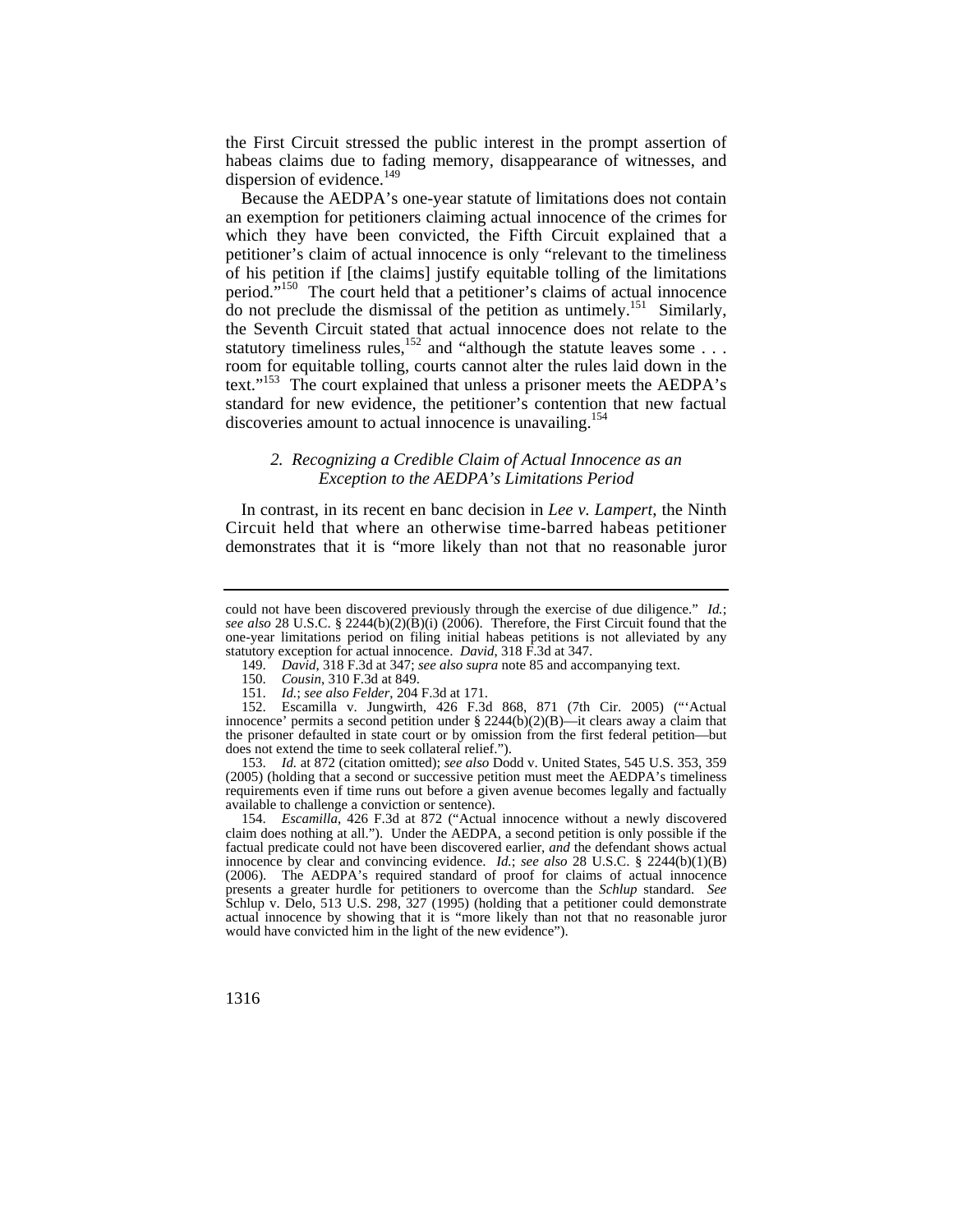the First Circuit stressed the public interest in the prompt assertion of habeas claims due to fading memory, disappearance of witnesses, and dispersion of evidence. $^{149}$ 

Because the AEDPA's one-year statute of limitations does not contain an exemption for petitioners claiming actual innocence of the crimes for which they have been convicted, the Fifth Circuit explained that a petitioner's claim of actual innocence is only "relevant to the timeliness of his petition if [the claims] justify equitable tolling of the limitations period."150 The court held that a petitioner's claims of actual innocence do not preclude the dismissal of the petition as untimely.<sup>151</sup> Similarly, the Seventh Circuit stated that actual innocence does not relate to the statutory timeliness rules,<sup>152</sup> and "although the statute leaves some . . . room for equitable tolling, courts cannot alter the rules laid down in the text."153 The court explained that unless a prisoner meets the AEDPA's standard for new evidence, the petitioner's contention that new factual discoveries amount to actual innocence is unavailing.<sup>154</sup>

# *2. Recognizing a Credible Claim of Actual Innocence as an Exception to the AEDPA's Limitations Period*

In contrast, in its recent en banc decision in *Lee v. Lampert*, the Ninth Circuit held that where an otherwise time-barred habeas petitioner demonstrates that it is "more likely than not that no reasonable juror

153. *Id.* at 872 (citation omitted); *see also* Dodd v. United States, 545 U.S. 353, 359 (2005) (holding that a second or successive petition must meet the AEDPA's timeliness requirements even if time runs out before a given avenue becomes legally and factually available to challenge a conviction or sentence).

154. *Escamilla*, 426 F.3d at 872 ("Actual innocence without a newly discovered claim does nothing at all."). Under the AEDPA, a second petition is only possible if the factual predicate could not have been discovered earlier, *and* the defendant shows actual innocence by clear and convincing evidence. *Id.*; *see also* 28 U.S.C. § 2244(b)(1)(B) (2006). The AEDPA's required standard of proof for claims of actual innocence presents a greater hurdle for petitioners to overcome than the *Schlup* standard. *See*  Schlup v. Delo, 513 U.S. 298, 327 (1995) (holding that a petitioner could demonstrate actual innocence by showing that it is "more likely than not that no reasonable juror would have convicted him in the light of the new evidence").

 statutory exception for actual innocence. *David*, 318 F.3d at 347. could not have been discovered previously through the exercise of due diligence." *Id.*; *see also* 28 U.S.C. § 2244(b)(2)( $\dot{B}$ )(i) (2006). Therefore, the First Circuit found that the one-year limitations period on filing initial habeas petitions is not alleviated by any

<sup>149.</sup> *David*, 318 F.3d at 347; *see also supra* note 85 and accompanying text.

<sup>150.</sup> *Cousin*, 310 F.3d at 849.

<sup>151.</sup> *Id.*; *see also Felder*, 204 F.3d at 171.

 innocence' permits a second petition under § 2244(b)(2)(B)—it clears away a claim that 152. Escamilla v. Jungwirth, 426 F.3d 868, 871 (7th Cir. 2005) ("'Actual the prisoner defaulted in state court or by omission from the first federal petition—but does not extend the time to seek collateral relief.").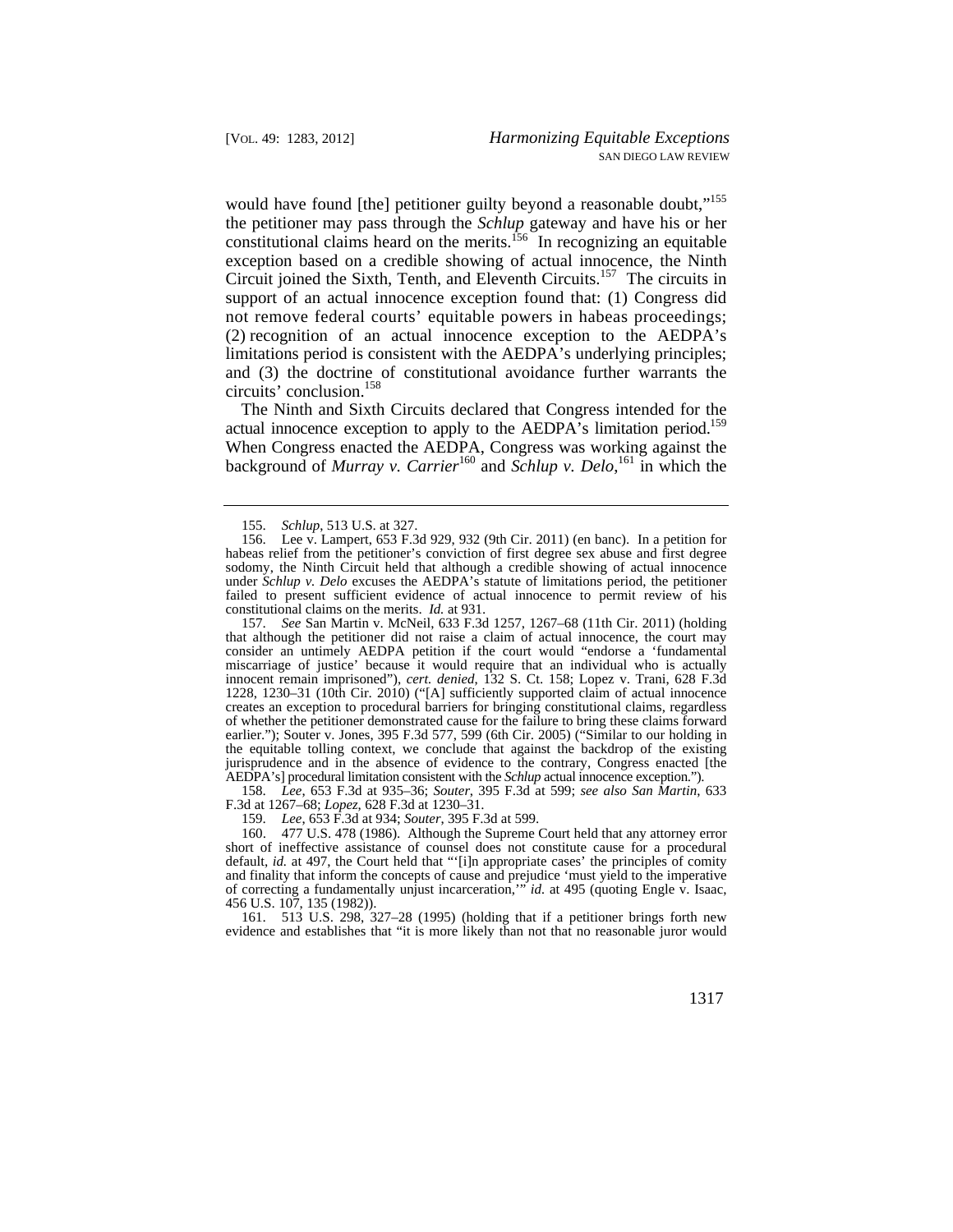would have found [the] petitioner guilty beyond a reasonable doubt."<sup>155</sup> the petitioner may pass through the *Schlup* gateway and have his or her constitutional claims heard on the merits.<sup>156</sup> In recognizing an equitable exception based on a credible showing of actual innocence, the Ninth Circuit joined the Sixth, Tenth, and Eleventh Circuits.157 The circuits in support of an actual innocence exception found that: (1) Congress did not remove federal courts' equitable powers in habeas proceedings; (2) recognition of an actual innocence exception to the AEDPA's limitations period is consistent with the AEDPA's underlying principles; and (3) the doctrine of constitutional avoidance further warrants the circuits' conclusion.158

actual innocence exception to apply to the AEDPA's limitation period.<sup>159</sup> background of *Murray v. Carrier*<sup>160</sup> and *Schlup v. Delo*,<sup>161</sup> in which the The Ninth and Sixth Circuits declared that Congress intended for the When Congress enacted the AEDPA, Congress was working against the

157. *See* San Martin v. McNeil, 633 F.3d 1257, 1267–68 (11th Cir. 2011) (holding that although the petitioner did not raise a claim of actual innocence, the court may consider an untimely AEDPA petition if the court would "endorse a 'fundamental miscarriage of justice' because it would require that an individual who is actually innocent remain imprisoned"), *cert. denied*, 132 S. Ct. 158; Lopez v. Trani, 628 F.3d 1228, 1230–31 (10th Cir. 2010) ("[A] sufficiently supported claim of actual innocence creates an exception to procedural barriers for bringing constitutional claims, regardless of whether the petitioner demonstrated cause for the failure to bring these claims forward earlier."); Souter v. Jones, 395 F.3d 577, 599 (6th Cir. 2005) ("Similar to our holding in the equitable tolling context, we conclude that against the backdrop of the existing jurisprudence and in the absence of evidence to the contrary, Congress enacted [the AEDPA's] procedural limitation consistent with the *Schlup* actual innocence exception.").

158. *Lee*, 653 F.3d at 935–36; *Souter*, 395 F.3d at 599; *see also San Martin*, 633 F.3d at 1267–68; *Lopez*, 628 F.3d at 1230–31.

159. *Lee*, 653 F.3d at 934; *Souter*, 395 F.3d at 599.

160. 477 U.S. 478 (1986). Although the Supreme Court held that any attorney error short of ineffective assistance of counsel does not constitute cause for a procedural default, *id.* at 497, the Court held that "'[i]n appropriate cases' the principles of comity and finality that inform the concepts of cause and prejudice 'must yield to the imperative of correcting a fundamentally unjust incarceration,'" *id.* at 495 (quoting Engle v. Isaac, 456 U.S. 107, 135 (1982)).

161. 513 U.S. 298, 327–28 (1995) (holding that if a petitioner brings forth new evidence and establishes that "it is more likely than not that no reasonable juror would

<sup>155.</sup> *Schlup*, 513 U.S. at 327.

<sup>156.</sup> Lee v. Lampert, 653 F.3d 929, 932 (9th Cir. 2011) (en banc). In a petition for habeas relief from the petitioner's conviction of first degree sex abuse and first degree sodomy, the Ninth Circuit held that although a credible showing of actual innocence under *Schlup v. Delo* excuses the AEDPA's statute of limitations period, the petitioner failed to present sufficient evidence of actual innocence to permit review of his constitutional claims on the merits. *Id.* at 931.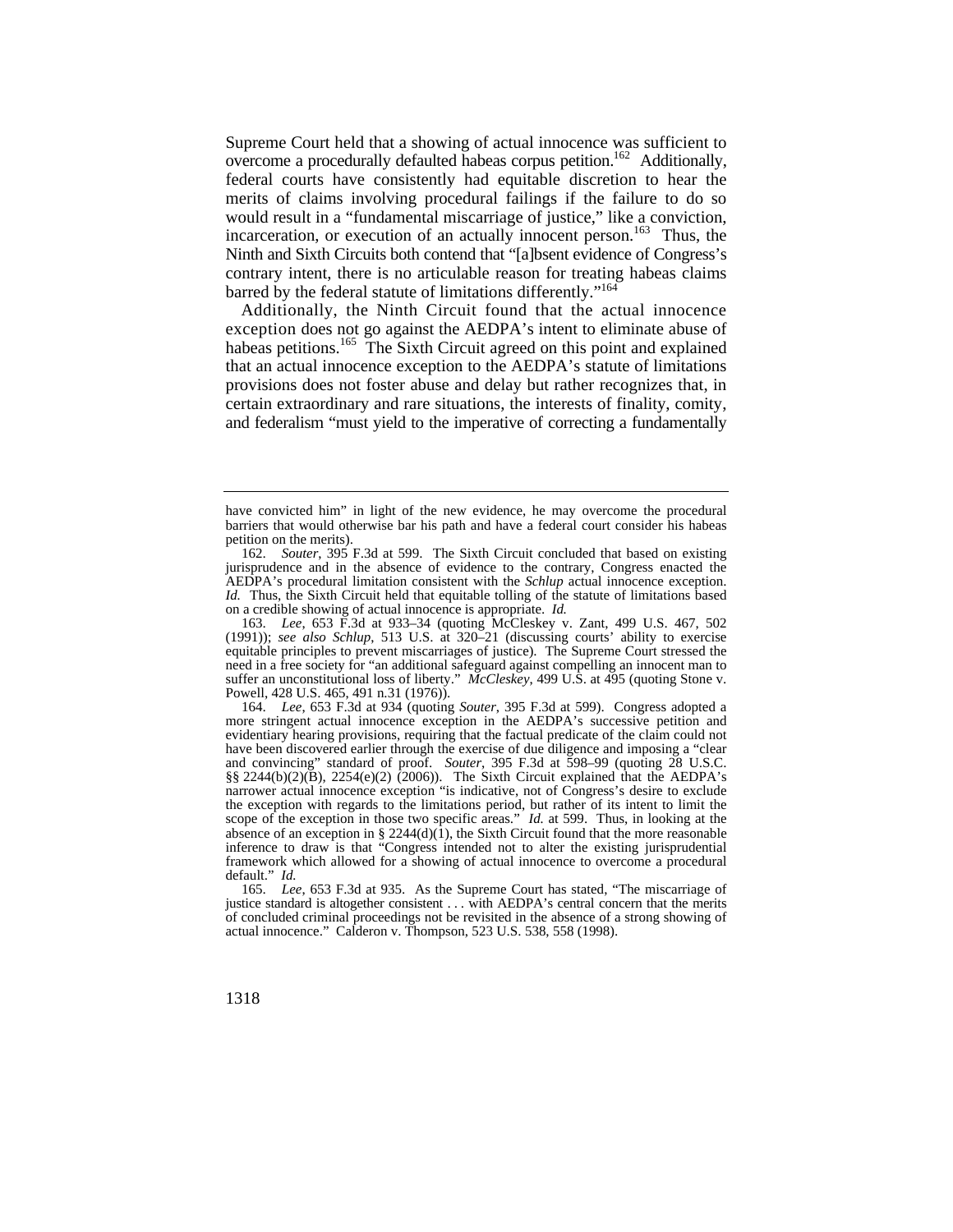Supreme Court held that a showing of actual innocence was sufficient to overcome a procedurally defaulted habeas corpus petition.162 Additionally, federal courts have consistently had equitable discretion to hear the merits of claims involving procedural failings if the failure to do so would result in a "fundamental miscarriage of justice," like a conviction, incarceration, or execution of an actually innocent person.<sup>163</sup> Thus, the Ninth and Sixth Circuits both contend that "[a]bsent evidence of Congress's contrary intent, there is no articulable reason for treating habeas claims barred by the federal statute of limitations differently."<sup>164</sup>

Additionally, the Ninth Circuit found that the actual innocence exception does not go against the AEDPA's intent to eliminate abuse of habeas petitions.<sup>165</sup> The Sixth Circuit agreed on this point and explained that an actual innocence exception to the AEDPA's statute of limitations provisions does not foster abuse and delay but rather recognizes that, in certain extraordinary and rare situations, the interests of finality, comity, and federalism "must yield to the imperative of correcting a fundamentally

 suffer an unconstitutional loss of liberty." *McCleskey*, 499 U.S. at 495 (quoting Stone v. 163. *Lee*, 653 F.3d at 933–34 (quoting McCleskey v. Zant, 499 U.S. 467, 502 (1991)); *see also Schlup*, 513 U.S. at 320–21 (discussing courts' ability to exercise equitable principles to prevent miscarriages of justice). The Supreme Court stressed the need in a free society for "an additional safeguard against compelling an innocent man to Powell, 428 U.S. 465, 491 n.31 (1976)).

164. *Lee*, 653 F.3d at 934 (quoting *Souter*, 395 F.3d at 599). Congress adopted a more stringent actual innocence exception in the AEDPA's successive petition and evidentiary hearing provisions, requiring that the factual predicate of the claim could not have been discovered earlier through the exercise of due diligence and imposing a "clear and convincing" standard of proof. *Souter*, 395 F.3d at 598–99 (quoting 28 U.S.C. §§ 2244(b)(2)( $\bar{B}$ ), 2254(e)(2) (2006)). The Sixth Circuit explained that the AEDPA's narrower actual innocence exception "is indicative, not of Congress's desire to exclude the exception with regards to the limitations period, but rather of its intent to limit the scope of the exception in those two specific areas." *Id.* at 599. Thus, in looking at the absence of an exception in § 2244(d)( $\hat{1}$ ), the Sixth Circuit found that the more reasonable inference to draw is that "Congress intended not to alter the existing jurisprudential framework which allowed for a showing of actual innocence to overcome a procedural default." *Id.* 

165. *Lee*, 653 F.3d at 935. As the Supreme Court has stated, "The miscarriage of justice standard is altogether consistent . . . with AEDPA's central concern that the merits of concluded criminal proceedings not be revisited in the absence of a strong showing of actual innocence." Calderon v. Thompson, 523 U.S. 538, 558 (1998).

have convicted him" in light of the new evidence, he may overcome the procedural barriers that would otherwise bar his path and have a federal court consider his habeas petition on the merits).

 on a credible showing of actual innocence is appropriate. *Id.*  162. *Souter*, 395 F.3d at 599. The Sixth Circuit concluded that based on existing jurisprudence and in the absence of evidence to the contrary, Congress enacted the AEDPA's procedural limitation consistent with the *Schlup* actual innocence exception. *Id.* Thus, the Sixth Circuit held that equitable tolling of the statute of limitations based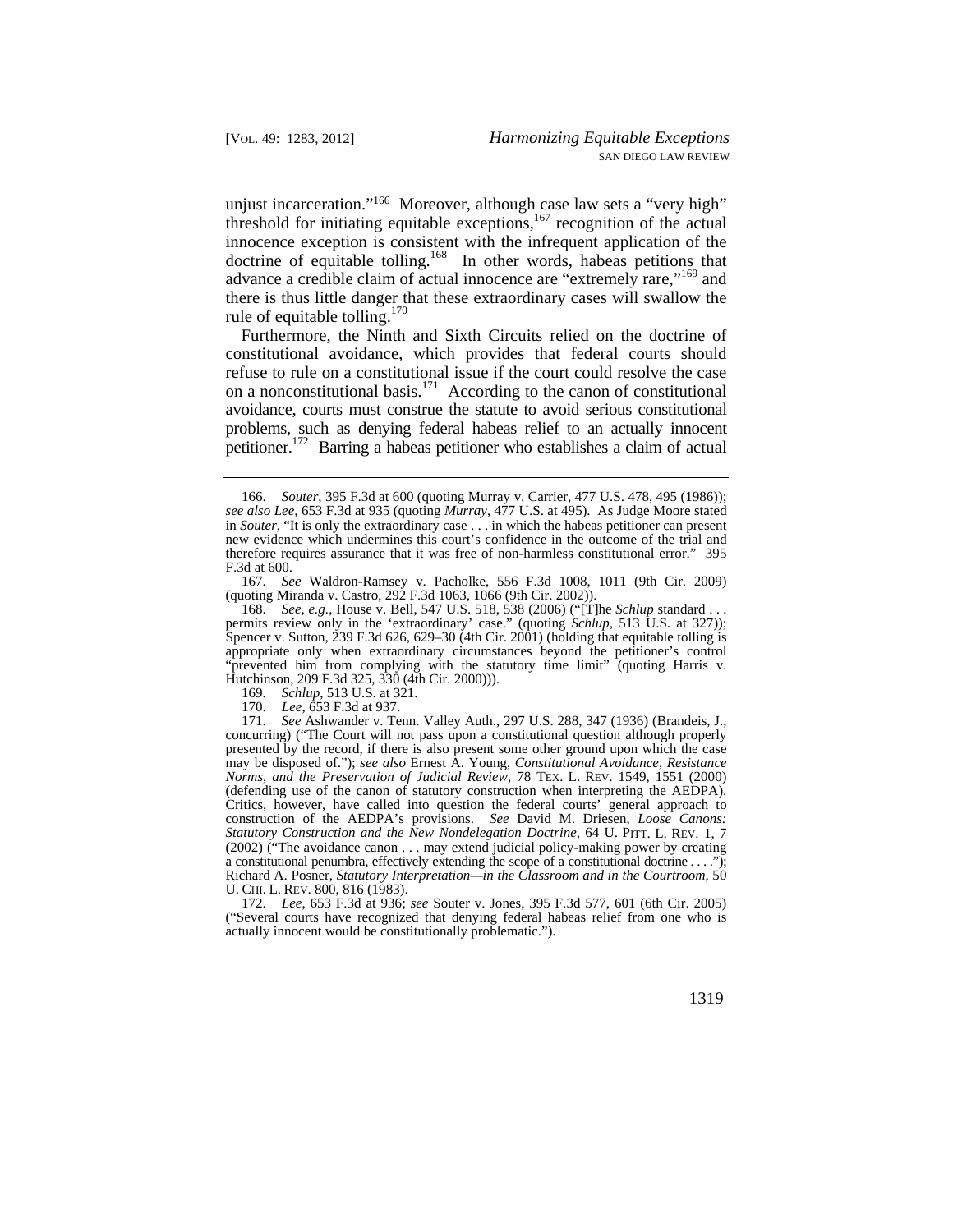unjust incarceration."166 Moreover, although case law sets a "very high" threshold for initiating equitable exceptions,<sup>167</sup> recognition of the actual innocence exception is consistent with the infrequent application of the doctrine of equitable tolling.<sup>168</sup> In other words, habeas petitions that advance a credible claim of actual innocence are "extremely rare,"169 and there is thus little danger that these extraordinary cases will swallow the rule of equitable tolling.<sup>170</sup>

Furthermore, the Ninth and Sixth Circuits relied on the doctrine of constitutional avoidance, which provides that federal courts should refuse to rule on a constitutional issue if the court could resolve the case on a nonconstitutional basis.<sup>171</sup> According to the canon of constitutional avoidance, courts must construe the statute to avoid serious constitutional problems, such as denying federal habeas relief to an actually innocent petitioner.172 Barring a habeas petitioner who establishes a claim of actual

167. *See* Waldron-Ramsey v. Pacholke, 556 F.3d 1008, 1011 (9th Cir. 2009) (quoting Miranda v. Castro, 292 F.3d 1063, 1066 (9th Cir. 2002)).

168. *See, e.g.*, House v. Bell, 547 U.S. 518, 538 (2006) ("[T]he *Schlup* standard . . . permits review only in the 'extraordinary' case." (quoting *Schlup*, 513 U.S. at 327)); Spencer v. Sutton, 239 F.3d 626, 629–30 (4th Cir. 2001) (holding that equitable tolling is appropriate only when extraordinary circumstances beyond the petitioner's control "prevented him from complying with the statutory time limit" (quoting Harris v. Hutchinson, 209 F.3d 325, 330 (4th Cir. 2000))).

169. *Schlup*, 513 U.S. at 321.

170. *Lee*, 653 F.3d at 937.

 may be disposed of."); *see also* Ernest A. Young, *Constitutional Avoidance, Resistance Statutory Construction and the New Nondelegation Doctrine*, 64 U. PITT. L. REV. 1, 7 a constitutional penumbra, effectively extending the scope of a constitutional doctrine . . . ."); U. CHI. L. REV. 800, 816 (1983). 171. *See* Ashwander v. Tenn. Valley Auth., 297 U.S. 288, 347 (1936) (Brandeis, J., concurring) ("The Court will not pass upon a constitutional question although properly presented by the record, if there is also present some other ground upon which the case *Norms, and the Preservation of Judicial Review*, 78 TEX. L. REV. 1549, 1551 (2000) (defending use of the canon of statutory construction when interpreting the AEDPA). Critics, however, have called into question the federal courts' general approach to construction of the AEDPA's provisions. *See* David M. Driesen, *Loose Canons:*  (2002) ("The avoidance canon . . . may extend judicial policy-making power by creating Richard A. Posner, *Statutory Interpretation—in the Classroom and in the Courtroom*, 50

172. *Lee*, 653 F.3d at 936; *see* Souter v. Jones, 395 F.3d 577, 601 (6th Cir. 2005) ("Several courts have recognized that denying federal habeas relief from one who is actually innocent would be constitutionally problematic.").

<sup>166.</sup> *Souter*, 395 F.3d at 600 (quoting Murray v. Carrier, 477 U.S. 478, 495 (1986)); *see also Lee*, 653 F.3d at 935 (quoting *Murray*, 477 U.S. at 495). As Judge Moore stated in *Souter*, "It is only the extraordinary case . . . in which the habeas petitioner can present new evidence which undermines this court's confidence in the outcome of the trial and therefore requires assurance that it was free of non-harmless constitutional error." 395 F.3d at 600.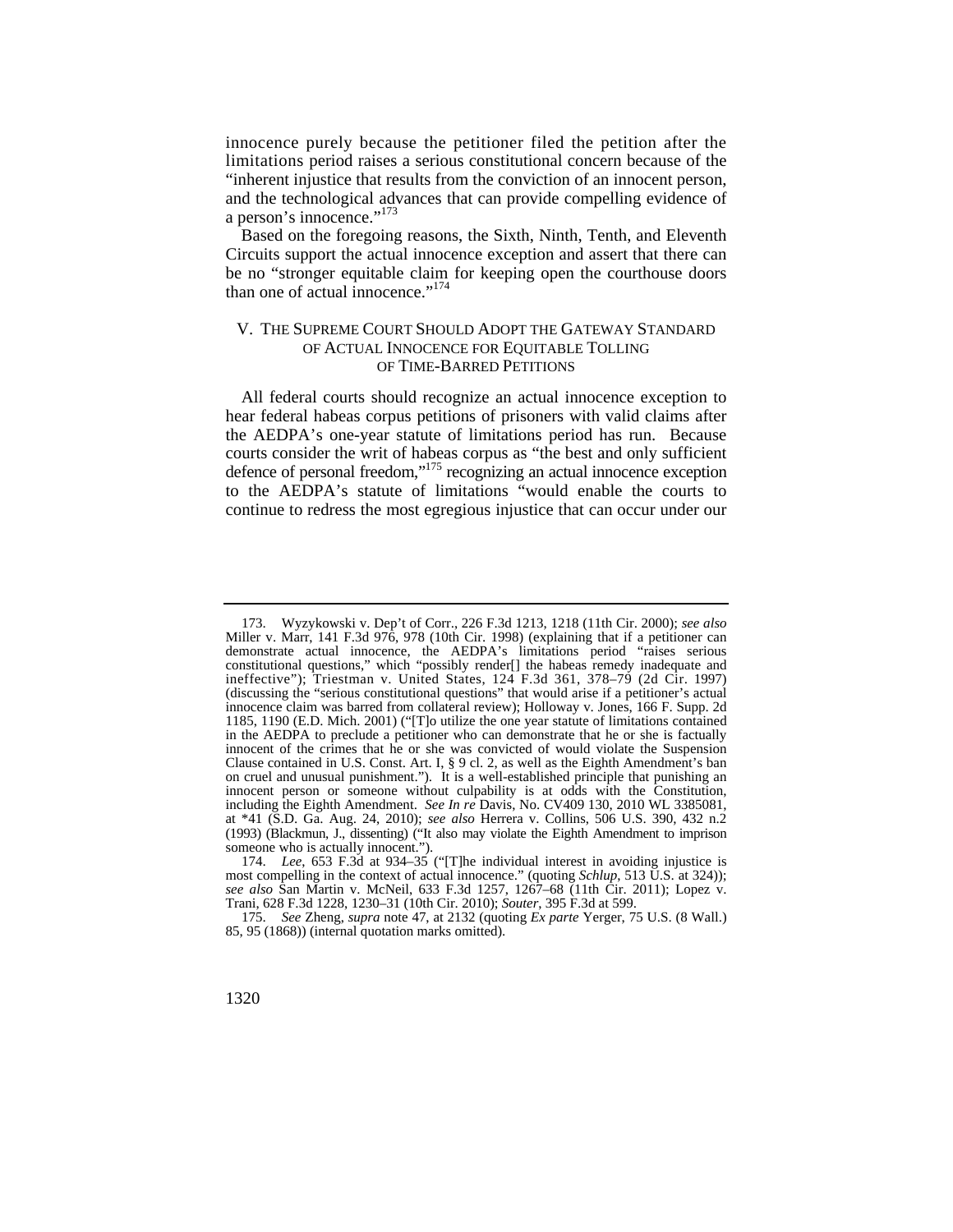innocence purely because the petitioner filed the petition after the limitations period raises a serious constitutional concern because of the "inherent injustice that results from the conviction of an innocent person, and the technological advances that can provide compelling evidence of a person's innocence."<sup>173</sup>

Based on the foregoing reasons, the Sixth, Ninth, Tenth, and Eleventh Circuits support the actual innocence exception and assert that there can be no "stronger equitable claim for keeping open the courthouse doors than one of actual innocence."<sup>174</sup>

## V. THE SUPREME COURT SHOULD ADOPT THE GATEWAY STANDARD OF ACTUAL INNOCENCE FOR EQUITABLE TOLLING OF TIME-BARRED PETITIONS

All federal courts should recognize an actual innocence exception to hear federal habeas corpus petitions of prisoners with valid claims after the AEDPA's one-year statute of limitations period has run. Because courts consider the writ of habeas corpus as "the best and only sufficient defence of personal freedom,"<sup>175</sup> recognizing an actual innocence exception to the AEDPA's statute of limitations "would enable the courts to continue to redress the most egregious injustice that can occur under our

<sup>173.</sup> Wyzykowski v. Dep't of Corr., 226 F.3d 1213, 1218 (11th Cir. 2000); *see also*  Miller v. Marr, 141 F.3d 976, 978 (10th Cir. 1998) (explaining that if a petitioner can demonstrate actual innocence, the AEDPA's limitations period "raises serious constitutional questions," which "possibly render[] the habeas remedy inadequate and ineffective"); Triestman v. United States, 124 F.3d 361, 378–79 (2d Cir. 1997) (discussing the "serious constitutional questions" that would arise if a petitioner's actual innocence claim was barred from collateral review); Holloway v. Jones, 166 F. Supp. 2d 1185, 1190 (E.D. Mich. 2001) ("[T]o utilize the one year statute of limitations contained in the AEDPA to preclude a petitioner who can demonstrate that he or she is factually innocent of the crimes that he or she was convicted of would violate the Suspension Clause contained in U.S. Const. Art. I, § 9 cl. 2, as well as the Eighth Amendment's ban on cruel and unusual punishment."). It is a well-established principle that punishing an innocent person or someone without culpability is at odds with the Constitution, including the Eighth Amendment. *See In re* Davis, No. CV409 130, 2010 WL 3385081, at \*41 (S.D. Ga. Aug. 24, 2010); *see also* Herrera v. Collins, 506 U.S. 390, 432 n.2 (1993) (Blackmun, J., dissenting) ("It also may violate the Eighth Amendment to imprison someone who is actually innocent.").

<sup>174.</sup> *Lee*, 653 F.3d at 934–35 ("[T]he individual interest in avoiding injustice is most compelling in the context of actual innocence." (quoting *Schlup*, 513 U.S. at 324)); *see also* San Martin v. McNeil, 633 F.3d 1257, 1267–68 (11th Cir. 2011); Lopez v. Trani, 628 F.3d 1228, 1230–31 (10th Cir. 2010); *Souter*, 395 F.3d at 599.

<sup>175.</sup> *See* Zheng, *supra* note 47, at 2132 (quoting *Ex parte* Yerger, 75 U.S. (8 Wall.) 85, 95 (1868)) (internal quotation marks omitted).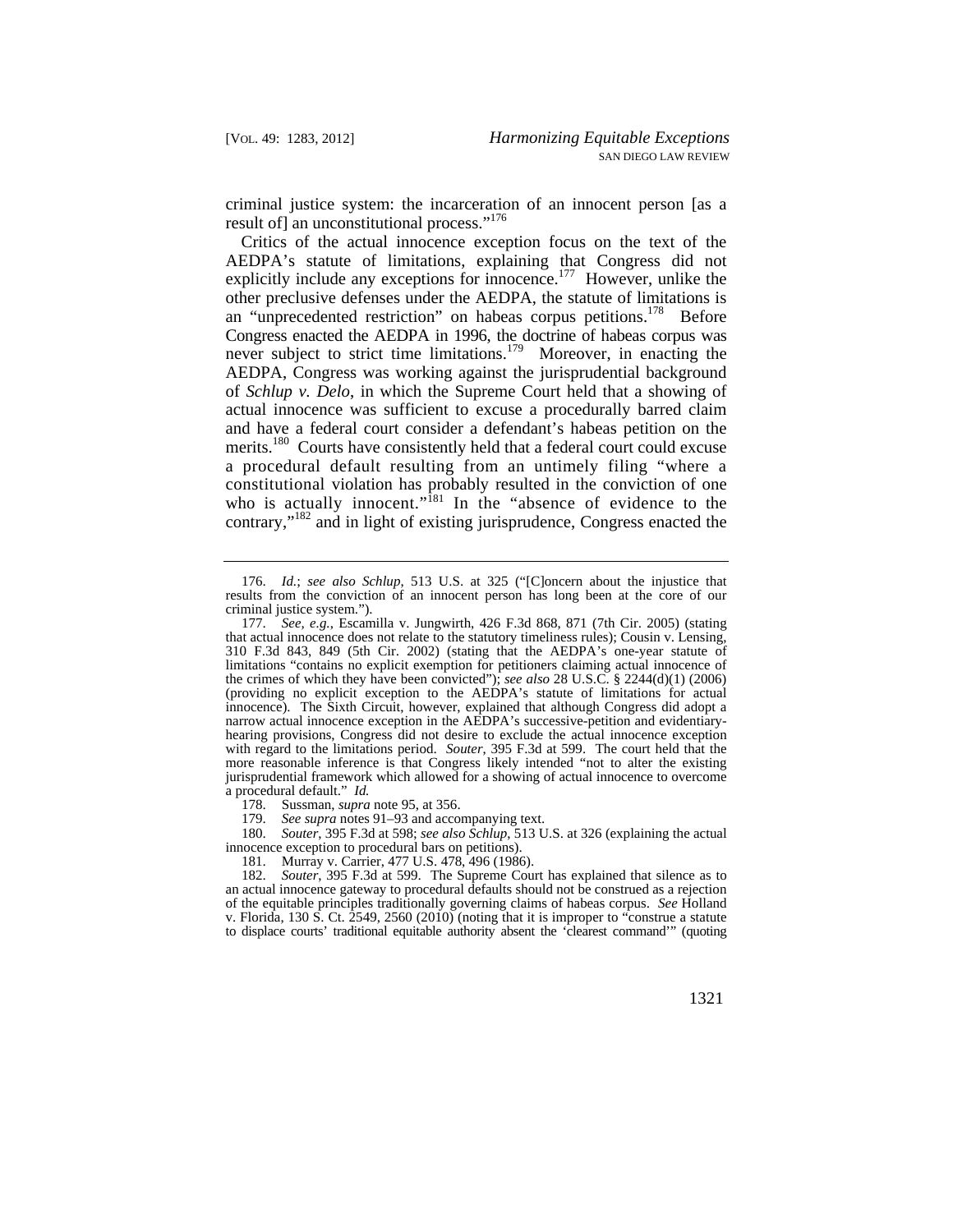criminal justice system: the incarceration of an innocent person [as a result of] an unconstitutional process."<sup>176</sup>

explicitly include any exceptions for innocence.<sup>177</sup> However, unlike the who is actually innocent."<sup>181</sup> In the "absence of evidence to the Critics of the actual innocence exception focus on the text of the AEDPA's statute of limitations, explaining that Congress did not other preclusive defenses under the AEDPA, the statute of limitations is an "unprecedented restriction" on habeas corpus petitions.<sup>178</sup> Before Congress enacted the AEDPA in 1996, the doctrine of habeas corpus was never subject to strict time limitations.<sup>179</sup> Moreover, in enacting the AEDPA, Congress was working against the jurisprudential background of *Schlup v. Delo*, in which the Supreme Court held that a showing of actual innocence was sufficient to excuse a procedurally barred claim and have a federal court consider a defendant's habeas petition on the merits.<sup>180</sup> Courts have consistently held that a federal court could excuse a procedural default resulting from an untimely filing "where a constitutional violation has probably resulted in the conviction of one contrary,"182 and in light of existing jurisprudence, Congress enacted the

178. Sussman, *supra* note 95, at 356.

180. *Souter*, 395 F.3d at 598; *see also Schlup*, 513 U.S. at 326 (explaining the actual innocence exception to procedural bars on petitions).

 criminal justice system."). 176. *Id.*; *see also Schlup*, 513 U.S. at 325 ("[C]oncern about the injustice that results from the conviction of an innocent person has long been at the core of our

 that actual innocence does not relate to the statutory timeliness rules); Cousin v. Lensing, 177. *See, e.g.*, Escamilla v. Jungwirth, 426 F.3d 868, 871 (7th Cir. 2005) (stating 310 F.3d 843, 849 (5th Cir. 2002) (stating that the AEDPA's one-year statute of limitations "contains no explicit exemption for petitioners claiming actual innocence of the crimes of which they have been convicted"); *see also* 28 U.S.C. § 2244(d)(1) (2006) (providing no explicit exception to the AEDPA's statute of limitations for actual innocence). The Sixth Circuit, however, explained that although Congress did adopt a narrow actual innocence exception in the AEDPA's successive-petition and evidentiaryhearing provisions, Congress did not desire to exclude the actual innocence exception with regard to the limitations period. *Souter*, 395 F.3d at 599. The court held that the more reasonable inference is that Congress likely intended "not to alter the existing jurisprudential framework which allowed for a showing of actual innocence to overcome a procedural default." *Id.*

<sup>179.</sup> *See supra* notes 91–93 and accompanying text.

<sup>181.</sup> Murray v. Carrier, 477 U.S. 478, 496 (1986).

<sup>182.</sup> *Souter*, 395 F.3d at 599. The Supreme Court has explained that silence as to an actual innocence gateway to procedural defaults should not be construed as a rejection of the equitable principles traditionally governing claims of habeas corpus. *See* Holland v. Florida, 130 S. Ct. 2549, 2560 (2010) (noting that it is improper to "construe a statute to displace courts' traditional equitable authority absent the 'clearest command'" (quoting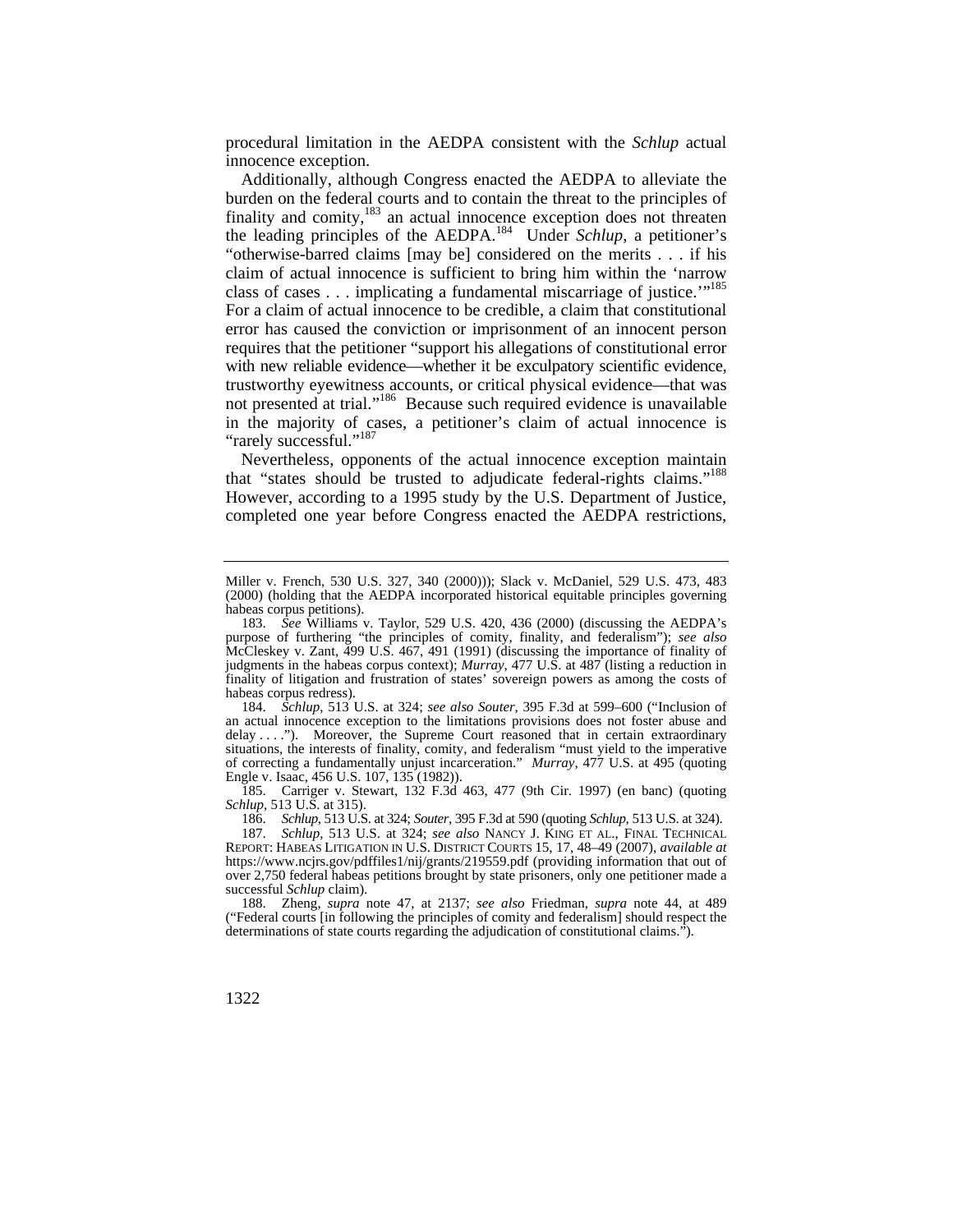procedural limitation in the AEDPA consistent with the *Schlup* actual innocence exception.

 "otherwise-barred claims [may be] considered on the merits . . . if his class of cases  $\dots$  implicating a fundamental miscarriage of justice."<sup>185</sup> Additionally, although Congress enacted the AEDPA to alleviate the burden on the federal courts and to contain the threat to the principles of finality and comity, $183$  an actual innocence exception does not threaten the leading principles of the AEDPA.<sup>184</sup> Under *Schlup*, a petitioner's claim of actual innocence is sufficient to bring him within the 'narrow For a claim of actual innocence to be credible, a claim that constitutional error has caused the conviction or imprisonment of an innocent person requires that the petitioner "support his allegations of constitutional error with new reliable evidence—whether it be exculpatory scientific evidence, trustworthy eyewitness accounts, or critical physical evidence—that was not presented at trial."<sup>186</sup> Because such required evidence is unavailable in the majority of cases, a petitioner's claim of actual innocence is "rarely successful."<sup>187</sup>

Nevertheless, opponents of the actual innocence exception maintain that "states should be trusted to adjudicate federal-rights claims."188 However, according to a 1995 study by the U.S. Department of Justice, completed one year before Congress enacted the AEDPA restrictions,

 delay . . . ."). Moreover, the Supreme Court reasoned that in certain extraordinary 184. *Schlup*, 513 U.S. at 324; *see also Souter*, 395 F.3d at 599–600 ("Inclusion of an actual innocence exception to the limitations provisions does not foster abuse and situations, the interests of finality, comity, and federalism "must yield to the imperative of correcting a fundamentally unjust incarceration." *Murray*, 477 U.S. at 495 (quoting Engle v. Isaac, 456 U.S. 107, 135 (1982)).

185. Carriger v. Stewart, 132 F.3d 463, 477 (9th Cir. 1997) (en banc) (quoting *Schlup*, 513 U.S. at 315).

186. *Schlup*, 513 U.S. at 324; *Souter*, 395 F.3d at 590 (quoting *Schlup*, 513 U.S. at 324).

187. *Schlup*, 513 U.S. at 324; *see also* NANCY J. KING ET AL., FINAL TECHNICAL REPORT: HABEAS LITIGATION IN U.S. DISTRICT COURTS 15, 17, 48–49 (2007), *available at*  <https://www.ncjrs.gov/pdffiles1/nij/grants/219559.pdf>(providing information that out of over 2,750 federal habeas petitions brought by state prisoners, only one petitioner made a successful *Schlup* claim).

 188. Zheng, *supra* note 47, at 2137; *see also* Friedman, *supra* note 44, at 489 ("Federal courts [in following the principles of comity and federalism] should respect the determinations of state courts regarding the adjudication of constitutional claims.").

Miller v. French, 530 U.S. 327, 340 (2000))); Slack v. McDaniel, 529 U.S. 473, 483 (2000) (holding that the AEDPA incorporated historical equitable principles governing habeas corpus petitions).

<sup>183.</sup> *See* Williams v. Taylor, 529 U.S. 420, 436 (2000) (discussing the AEDPA's purpose of furthering "the principles of comity, finality, and federalism"); *see also*  McCleskey v. Zant, 499 U.S. 467, 491 (1991) (discussing the importance of finality of judgments in the habeas corpus context); *Murray*, 477 U.S. at 487 (listing a reduction in finality of litigation and frustration of states' sovereign powers as among the costs of habeas corpus redress).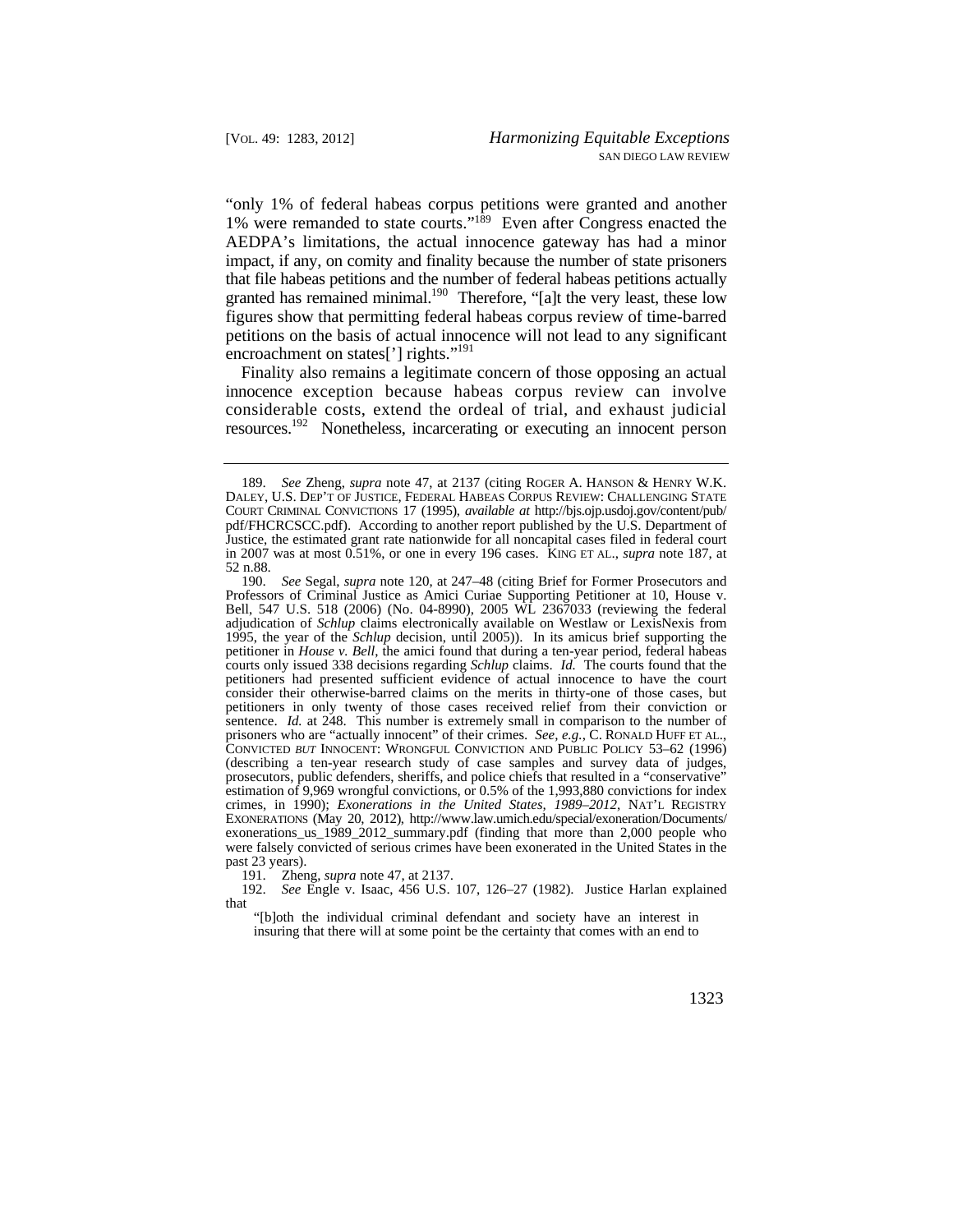"only 1% of federal habeas corpus petitions were granted and another 1% were remanded to state courts."189 Even after Congress enacted the AEDPA's limitations, the actual innocence gateway has had a minor impact, if any, on comity and finality because the number of state prisoners that file habeas petitions and the number of federal habeas petitions actually granted has remained minimal.<sup>190</sup> Therefore, "[a]t the very least, these low figures show that permitting federal habeas corpus review of time-barred petitions on the basis of actual innocence will not lead to any significant encroachment on states['] rights."<sup>191</sup>

Finality also remains a legitimate concern of those opposing an actual innocence exception because habeas corpus review can involve considerable costs, extend the ordeal of trial, and exhaust judicial resources.192 Nonetheless, incarcerating or executing an innocent person

191. Zheng, *supra* note 47, at 2137.

192. *See* Engle v. Isaac, 456 U.S. 107, 126–27 (1982). Justice Harlan explained that

"[b]oth the individual criminal defendant and society have an interest in insuring that there will at some point be the certainty that comes with an end to

 DALEY, U.S. DEP'T OF JUSTICE, FEDERAL HABEAS CORPUS REVIEW: CHALLENGING STATE 189. *See* Zheng, *supra* note 47, at 2137 (citing ROGER A. HANSON & HENRY W.K. COURT CRIMINAL CONVICTIONS 17 (1995), *available at* [http://bjs.ojp.usdoj.gov/content/pub/](http://bjs.ojp.usdoj.gov/content/pub) pdf/FHCRCSCC.pdf). According to another report published by the U.S. Department of Justice, the estimated grant rate nationwide for all noncapital cases filed in federal court in 2007 was at most 0.51%, or one in every 196 cases. KING ET AL., *supra* note 187, at 52 n.88.

 courts only issued 338 decisions regarding *Schlup* claims. *Id.* The courts found that the 190. *See* Segal, *supra* note 120, at 247–48 (citing Brief for Former Prosecutors and Professors of Criminal Justice as Amici Curiae Supporting Petitioner at 10, House v. Bell, 547 U.S. 518 (2006) (No. 04-8990), 2005 WL 2367033 (reviewing the federal adjudication of *Schlup* claims electronically available on Westlaw or LexisNexis from 1995, the year of the *Schlup* decision, until 2005)). In its amicus brief supporting the petitioner in *House v. Bell*, the amici found that during a ten-year period, federal habeas petitioners had presented sufficient evidence of actual innocence to have the court consider their otherwise-barred claims on the merits in thirty-one of those cases, but petitioners in only twenty of those cases received relief from their conviction or sentence. *Id.* at 248. This number is extremely small in comparison to the number of prisoners who are "actually innocent" of their crimes. *See, e.g.*, C. RONALD HUFF ET AL., CONVICTED *BUT* INNOCENT: WRONGFUL CONVICTION AND PUBLIC POLICY 53–62 (1996) (describing a ten-year research study of case samples and survey data of judges, prosecutors, public defenders, sheriffs, and police chiefs that resulted in a "conservative" estimation of 9,969 wrongful convictions, or 0.5% of the 1,993,880 convictions for index crimes, in 1990); *Exonerations in the United States, 1989–2012*, NAT'L REGISTRY EXONERATIONS (May 20, 2012), [http://www.law.umich.edu/special/exoneration/Documents/](http://www.law.umich.edu/special/exoneration/Documents) exonerations\_us\_1989\_2012\_summary.pdf (finding that more than 2,000 people who were falsely convicted of serious crimes have been exonerated in the United States in the past 23 years).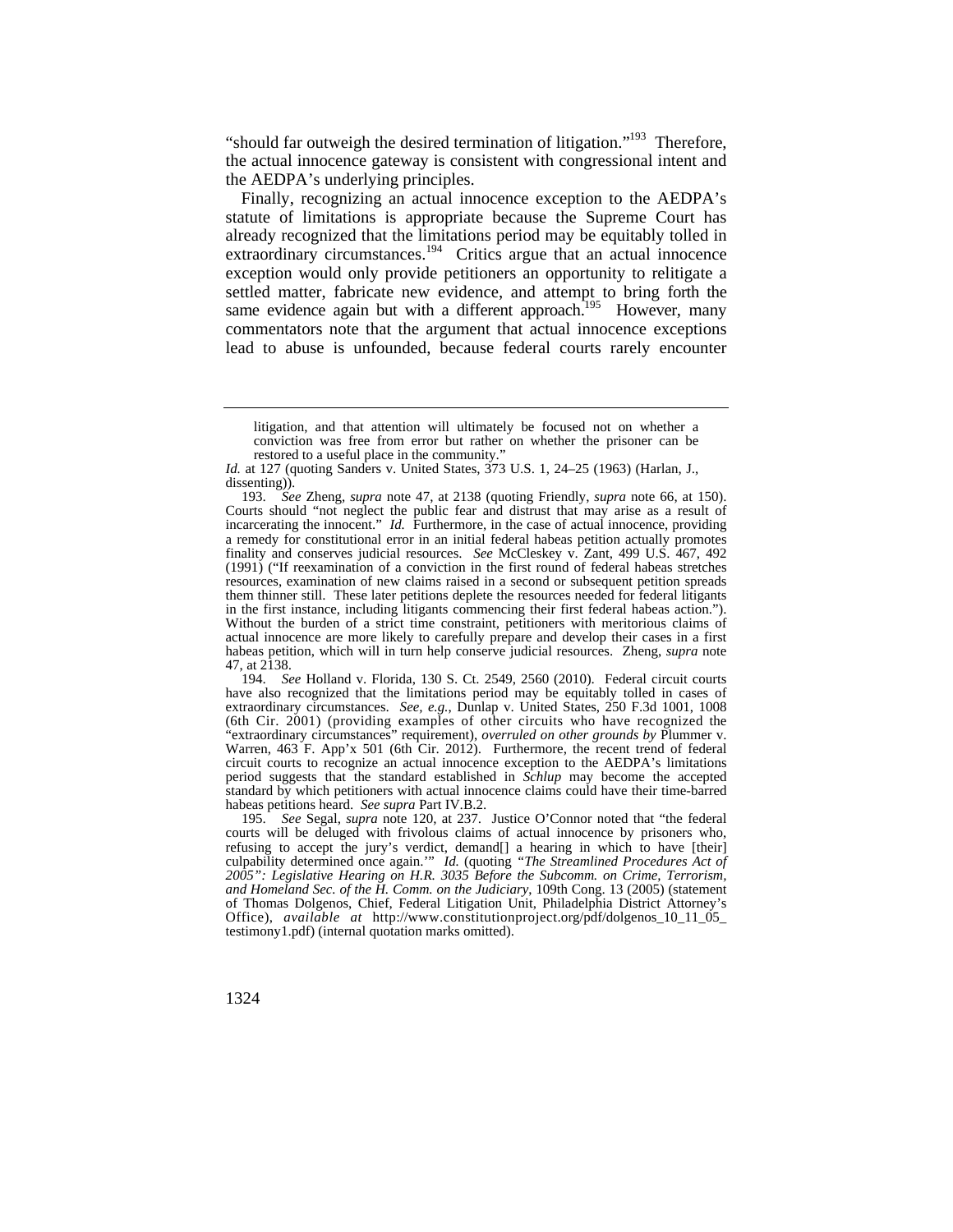"should far outweigh the desired termination of litigation."<sup>193</sup> Therefore, the actual innocence gateway is consistent with congressional intent and the AEDPA's underlying principles.

 settled matter, fabricate new evidence, and attempt to bring forth the same evidence again but with a different approach.<sup>195</sup> However, many Finally, recognizing an actual innocence exception to the AEDPA's statute of limitations is appropriate because the Supreme Court has already recognized that the limitations period may be equitably tolled in  $\frac{1}{2}$  extraordinary circumstances.<sup>194</sup> Critics argue that an actual innocence exception would only provide petitioners an opportunity to relitigate a commentators note that the argument that actual innocence exceptions lead to abuse is unfounded, because federal courts rarely encounter

194. *See* Holland v. Florida, 130 S. Ct. 2549, 2560 (2010). Federal circuit courts have also recognized that the limitations period may be equitably tolled in cases of extraordinary circumstances. *See, e.g.*, Dunlap v. United States, 250 F.3d 1001, 1008 (6th Cir. 2001) (providing examples of other circuits who have recognized the "extraordinary circumstances" requirement), *overruled on other grounds by* Plummer v. Warren, 463 F. App'x 501 (6th Cir. 2012). Furthermore, the recent trend of federal circuit courts to recognize an actual innocence exception to the AEDPA's limitations period suggests that the standard established in *Schlup* may become the accepted standard by which petitioners with actual innocence claims could have their time-barred habeas petitions heard. *See supra* Part IV.B.2.

195. *See* Segal, *supra* note 120, at 237. Justice O'Connor noted that "the federal courts will be deluged with frivolous claims of actual innocence by prisoners who, refusing to accept the jury's verdict, demand[] a hearing in which to have [their] culpability determined once again.'" *Id.* (quoting *"The Streamlined Procedures Act of 2005": Legislative Hearing on H.R. 3035 Before the Subcomm. on Crime, Terrorism, and Homeland Sec. of the H. Comm. on the Judiciary*, 109th Cong. 13 (2005) (statement of Thomas Dolgenos, Chief, Federal Litigation Unit, Philadelphia District Attorney's Office), *available at* [http://www.constitutionproject.org/pdf/dolgenos\\_10\\_11\\_05](http://www.constitutionproject.org/pdf/dolgenos_10_11_05)\_ testimony1.pdf) (internal quotation marks omitted).

litigation, and that attention will ultimately be focused not on whether a conviction was free from error but rather on whether the prisoner can be restored to a useful place in the community."

*Id.* at 127 (quoting Sanders v. United States, 373 U.S. 1, 24–25 (1963) (Harlan, J., dissenting)).

<sup>193.</sup> *See* Zheng, *supra* note 47, at 2138 (quoting Friendly, *supra* note 66, at 150). Courts should "not neglect the public fear and distrust that may arise as a result of incarcerating the innocent." *Id.* Furthermore, in the case of actual innocence, providing a remedy for constitutional error in an initial federal habeas petition actually promotes finality and conserves judicial resources. *See* McCleskey v. Zant, 499 U.S. 467, 492 (1991) ("If reexamination of a conviction in the first round of federal habeas stretches resources, examination of new claims raised in a second or subsequent petition spreads them thinner still. These later petitions deplete the resources needed for federal litigants in the first instance, including litigants commencing their first federal habeas action."). Without the burden of a strict time constraint, petitioners with meritorious claims of actual innocence are more likely to carefully prepare and develop their cases in a first habeas petition, which will in turn help conserve judicial resources. Zheng, *supra* note 47, at 2138.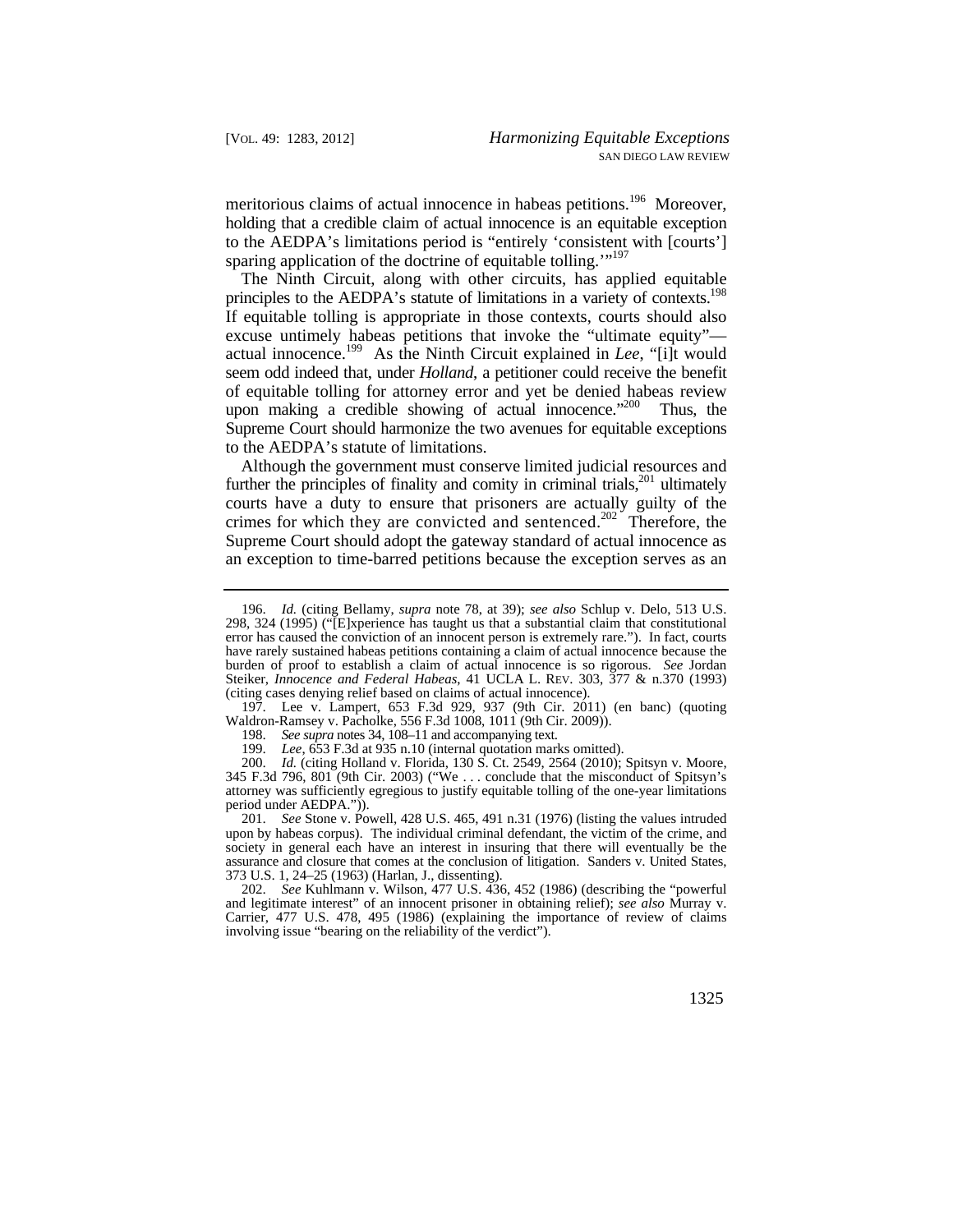meritorious claims of actual innocence in habeas petitions.<sup>196</sup> Moreover, holding that a credible claim of actual innocence is an equitable exception to the AEDPA's limitations period is "entirely 'consistent with [courts'] sparing application of the doctrine of equitable tolling."<sup>197</sup>

principles to the AEDPA's statute of limitations in a variety of contexts.<sup>198</sup> The Ninth Circuit, along with other circuits, has applied equitable If equitable tolling is appropriate in those contexts, courts should also excuse untimely habeas petitions that invoke the "ultimate equity" actual innocence.199 As the Ninth Circuit explained in *Lee*, "[i]t would seem odd indeed that, under *Holland*, a petitioner could receive the benefit of equitable tolling for attorney error and yet be denied habeas review upon making a credible showing of actual innocence. $200$  Thus, the Supreme Court should harmonize the two avenues for equitable exceptions to the AEDPA's statute of limitations.

Although the government must conserve limited judicial resources and further the principles of finality and comity in criminal trials, $201$  ultimately courts have a duty to ensure that prisoners are actually guilty of the crimes for which they are convicted and sentenced.<sup>202</sup> Therefore, the Supreme Court should adopt the gateway standard of actual innocence as an exception to time-barred petitions because the exception serves as an

197. Lee v. Lampert, 653 F.3d 929, 937 (9th Cir. 2011) (en banc) (quoting Waldron-Ramsey v. Pacholke, 556 F.3d 1008, 1011 (9th Cir. 2009)).

 Steiker, *Innocence and Federal Habeas*, 41 UCLA L. REV. 303, 377 & n.370 (1993) 196. *Id.* (citing Bellamy, *supra* note 78, at 39); *see also* Schlup v. Delo, 513 U.S. 298, 324 (1995) ("[E]xperience has taught us that a substantial claim that constitutional error has caused the conviction of an innocent person is extremely rare."). In fact, courts have rarely sustained habeas petitions containing a claim of actual innocence because the burden of proof to establish a claim of actual innocence is so rigorous. *See* Jordan (citing cases denying relief based on claims of actual innocence).

<sup>198.</sup> *See supra* notes 34, 108–11 and accompanying text.

<sup>199.</sup> *Lee*, 653 F.3d at 935 n.10 (internal quotation marks omitted).

<sup>200.</sup> *Id.* (citing Holland v. Florida, 130 S. Ct. 2549, 2564 (2010); Spitsyn v. Moore, 345 F.3d 796, 801 (9th Cir. 2003) ("We . . . conclude that the misconduct of Spitsyn's attorney was sufficiently egregious to justify equitable tolling of the one-year limitations period under AEDPA.")).

<sup>201.</sup> *See* Stone v. Powell, 428 U.S. 465, 491 n.31 (1976) (listing the values intruded upon by habeas corpus). The individual criminal defendant, the victim of the crime, and society in general each have an interest in insuring that there will eventually be the assurance and closure that comes at the conclusion of litigation. Sanders v. United States, 373 U.S. 1, 24–25 (1963) (Harlan, J., dissenting).

<sup>202.</sup> *See* Kuhlmann v. Wilson, 477 U.S. 436, 452 (1986) (describing the "powerful and legitimate interest" of an innocent prisoner in obtaining relief); *see also* Murray v. Carrier, 477 U.S. 478, 495 (1986) (explaining the importance of review of claims involving issue "bearing on the reliability of the verdict").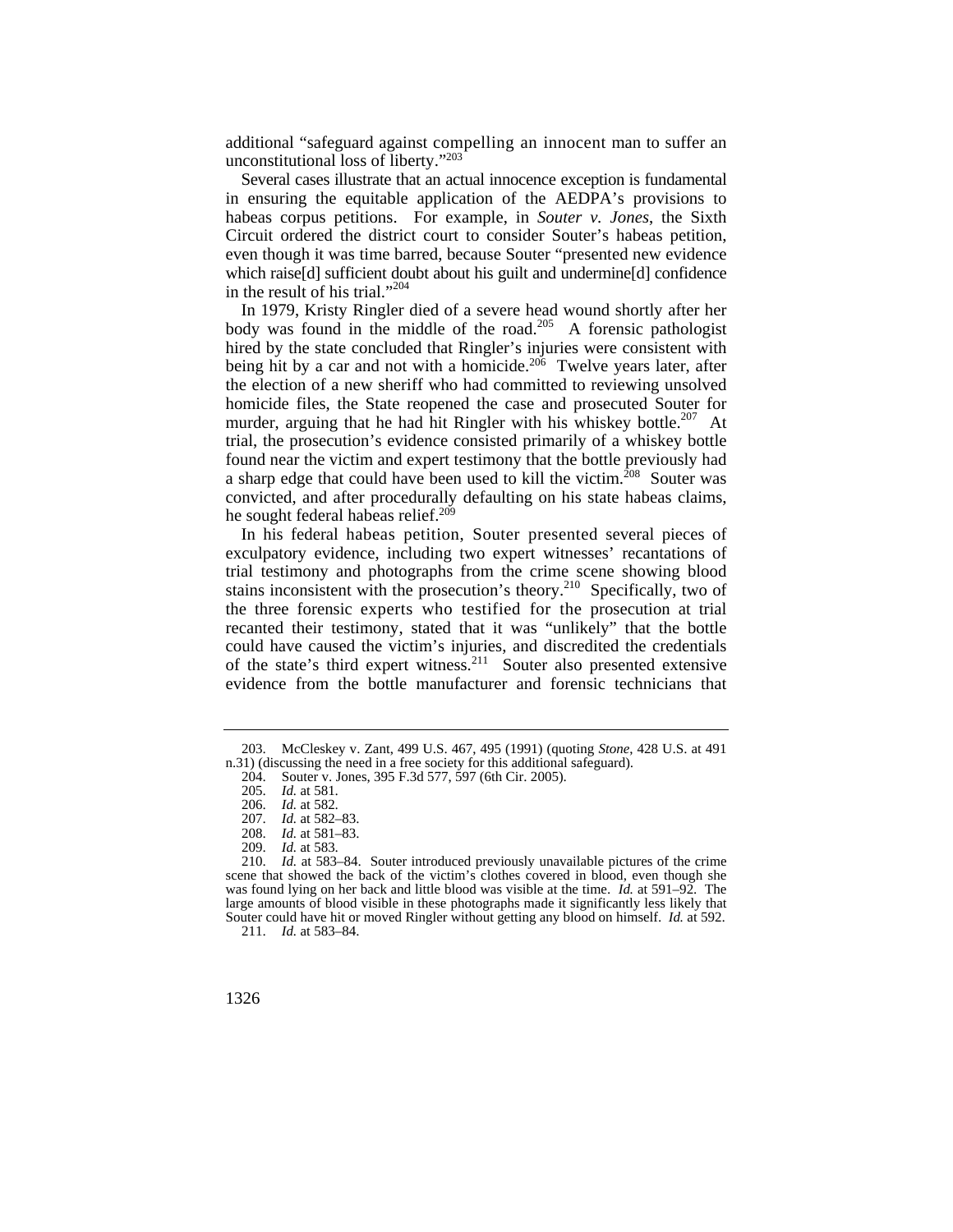additional "safeguard against compelling an innocent man to suffer an unconstitutional loss of liberty."203

Several cases illustrate that an actual innocence exception is fundamental in ensuring the equitable application of the AEDPA's provisions to habeas corpus petitions. For example, in *Souter v. Jones*, the Sixth Circuit ordered the district court to consider Souter's habeas petition, even though it was time barred, because Souter "presented new evidence which raise[d] sufficient doubt about his guilt and undermine[d] confidence in the result of his trial."<sup>204</sup>

 found near the victim and expert testimony that the bottle previously had In 1979, Kristy Ringler died of a severe head wound shortly after her  $\frac{1}{2}$  body was found in the middle of the road.<sup>205</sup> A forensic pathologist hired by the state concluded that Ringler's injuries were consistent with being hit by a car and not with a homicide.<sup>206</sup> Twelve years later, after the election of a new sheriff who had committed to reviewing unsolved homicide files, the State reopened the case and prosecuted Souter for murder, arguing that he had hit Ringler with his whiskey bottle.<sup>207</sup> At trial, the prosecution's evidence consisted primarily of a whiskey bottle a sharp edge that could have been used to kill the victim.<sup>208</sup> Souter was convicted, and after procedurally defaulting on his state habeas claims, he sought federal habeas relief.<sup>209</sup>

 the three forensic experts who testified for the prosecution at trial In his federal habeas petition, Souter presented several pieces of exculpatory evidence, including two expert witnesses' recantations of trial testimony and photographs from the crime scene showing blood stains inconsistent with the prosecution's theory.<sup>210</sup> Specifically, two of recanted their testimony, stated that it was "unlikely" that the bottle could have caused the victim's injuries, and discredited the credentials of the state's third expert witness.211 Souter also presented extensive evidence from the bottle manufacturer and forensic technicians that

<sup>203.</sup> McCleskey v. Zant, 499 U.S. 467, 495 (1991) (quoting *Stone*, 428 U.S. at 491 n.31) (discussing the need in a free society for this additional safeguard).

<sup>204.</sup> Souter v. Jones, 395 F.3d 577, 597 (6th Cir. 2005).

<sup>205.</sup> *Id.* at 581.

<sup>206.</sup> *Id.* at 582.

<sup>207.</sup> *Id.* at 582–83.

<sup>208.</sup> *Id.* at 581–83.

<sup>209.</sup> *Id.* at 583.

 Souter could have hit or moved Ringler without getting any blood on himself. *Id.* at 592. 1d. at 583–84. Souter introduced previously unavailable pictures of the crime scene that showed the back of the victim's clothes covered in blood, even though she was found lying on her back and little blood was visible at the time. *Id.* at 591–92. The large amounts of blood visible in these photographs made it significantly less likely that 211. *Id.* at 583–84.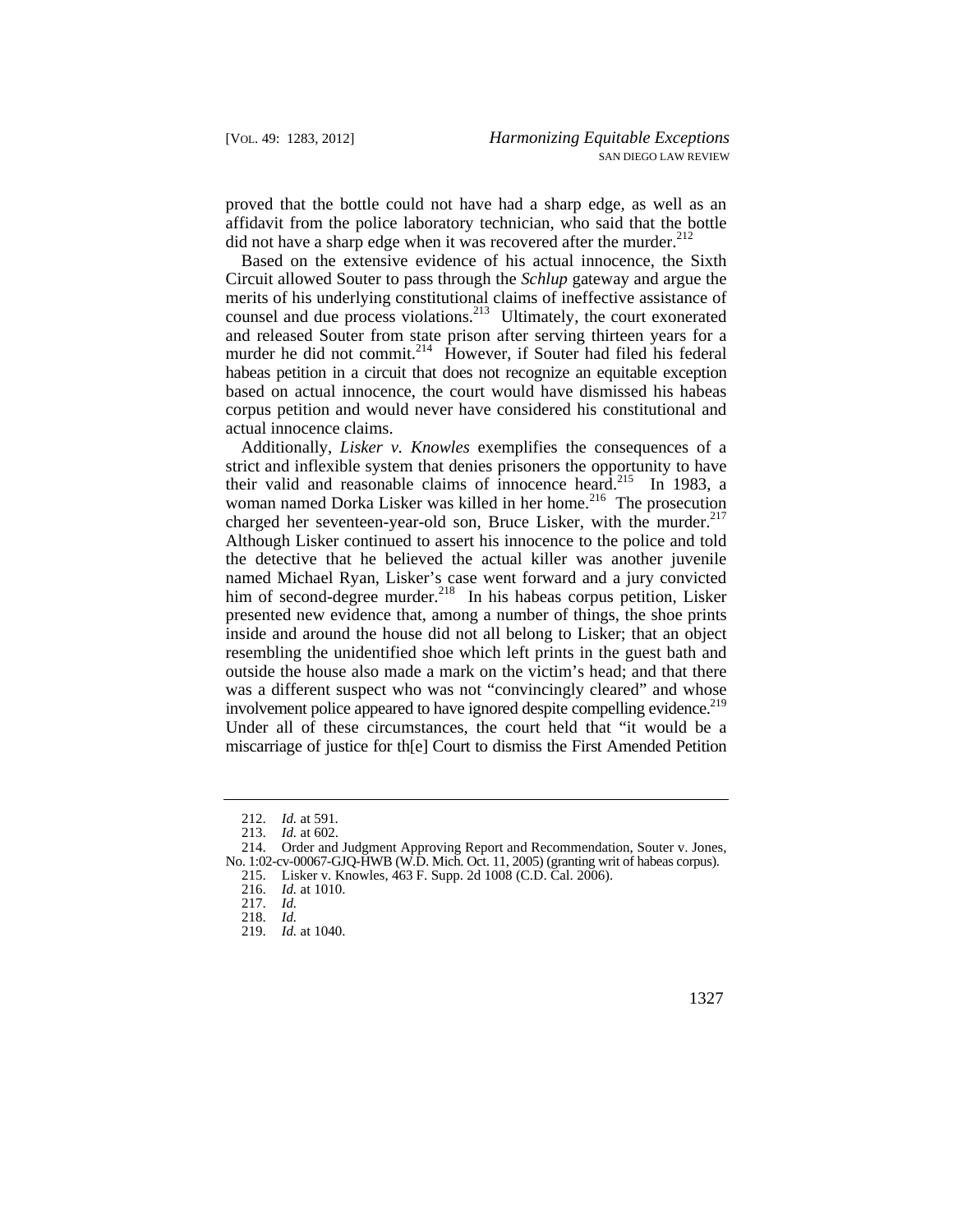proved that the bottle could not have had a sharp edge, as well as an affidavit from the police laboratory technician, who said that the bottle did not have a sharp edge when it was recovered after the murder. $^{212}$ 

Based on the extensive evidence of his actual innocence, the Sixth Circuit allowed Souter to pass through the *Schlup* gateway and argue the merits of his underlying constitutional claims of ineffective assistance of counsel and due process violations.<sup>213</sup> Ultimately, the court exonerated and released Souter from state prison after serving thirteen years for a murder he did not commit.<sup>214</sup> However, if Souter had filed his federal habeas petition in a circuit that does not recognize an equitable exception based on actual innocence, the court would have dismissed his habeas corpus petition and would never have considered his constitutional and actual innocence claims.

their valid and reasonable claims of innocence heard.<sup>215</sup> In 1983, a charged her seventeen-year-old son, Bruce Lisker, with the murder.<sup>217</sup> involvement police appeared to have ignored despite compelling evidence.<sup>219</sup> Additionally, *Lisker v. Knowles* exemplifies the consequences of a strict and inflexible system that denies prisoners the opportunity to have woman named Dorka Lisker was killed in her home.<sup>216</sup> The prosecution Although Lisker continued to assert his innocence to the police and told the detective that he believed the actual killer was another juvenile named Michael Ryan, Lisker's case went forward and a jury convicted him of second-degree murder.<sup>218</sup> In his habeas corpus petition, Lisker presented new evidence that, among a number of things, the shoe prints inside and around the house did not all belong to Lisker; that an object resembling the unidentified shoe which left prints in the guest bath and outside the house also made a mark on the victim's head; and that there was a different suspect who was not "convincingly cleared" and whose Under all of these circumstances, the court held that "it would be a miscarriage of justice for th[e] Court to dismiss the First Amended Petition

- 216. *Id.* at 1010.
- 217. *Id.*
- 218. *Id.*
- 219. *Id.* at 1040.

<sup>212.</sup> *Id.* at 591.

<sup>213.</sup> *Id.* at 602.

 No. 1:02-cv-00067-GJQ-HWB (W.D. Mich. Oct. 11, 2005) (granting writ of habeas corpus). 214. Order and Judgment Approving Report and Recommendation, Souter v. Jones,

<sup>215.</sup> Lisker v. Knowles, 463 F. Supp. 2d 1008 (C.D. Cal. 2006).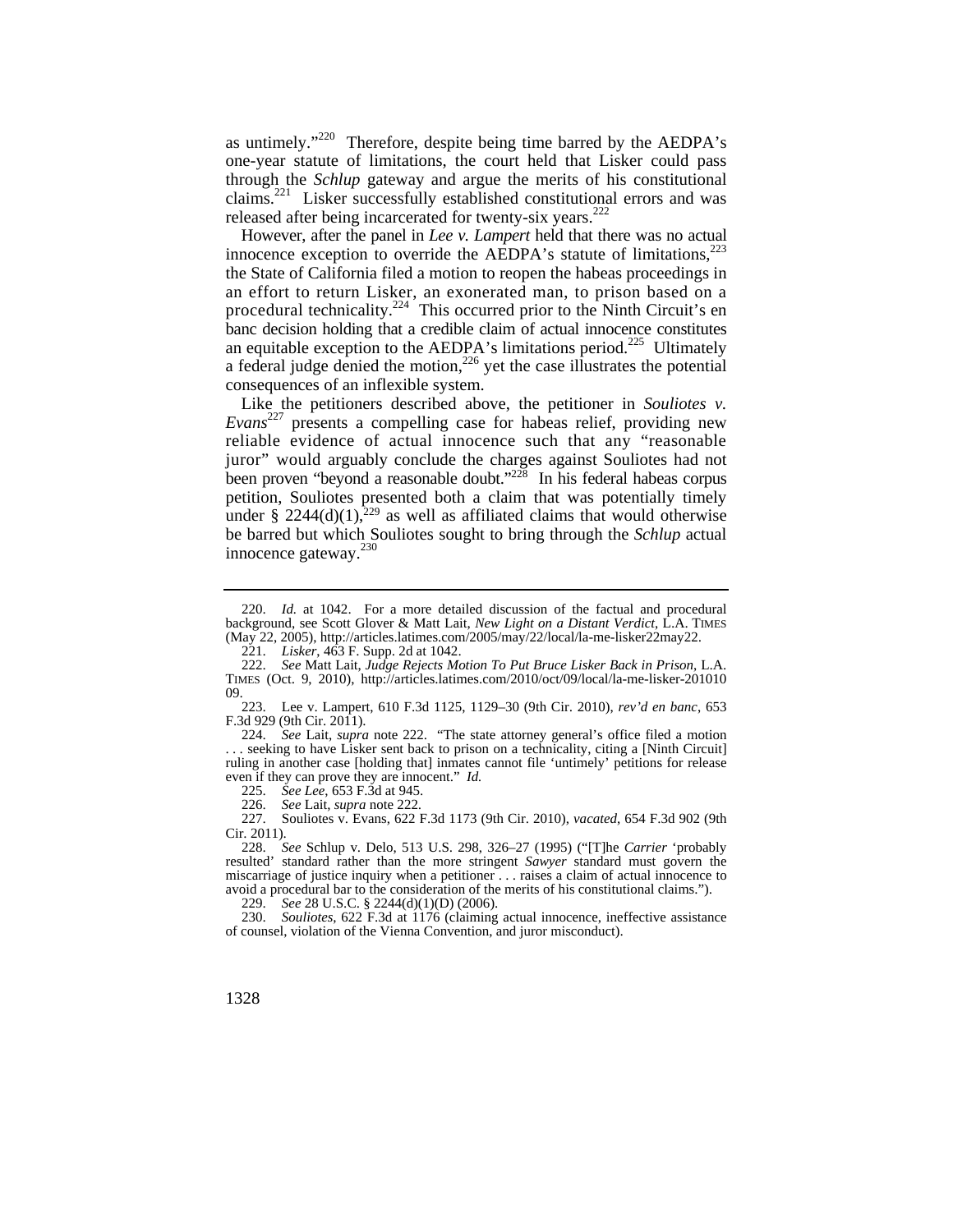as untimely."<sup>220</sup> Therefore, despite being time barred by the AEDPA's one-year statute of limitations, the court held that Lisker could pass through the *Schlup* gateway and argue the merits of his constitutional claims.221 Lisker successfully established constitutional errors and was released after being incarcerated for twenty-six years.<sup>222</sup>

However, after the panel in *Lee v. Lampert* held that there was no actual innocence exception to override the AEDPA's statute of limitations, $223$ the State of California filed a motion to reopen the habeas proceedings in an effort to return Lisker, an exonerated man, to prison based on a procedural technicality.<sup>224</sup> This occurred prior to the Ninth Circuit's en banc decision holding that a credible claim of actual innocence constitutes an equitable exception to the AEDPA's limitations period.<sup>225</sup> Ultimately a federal judge denied the motion, $2^{26}$  yet the case illustrates the potential consequences of an inflexible system.

Like the petitioners described above, the petitioner in *Souliotes v. Evans*227 presents a compelling case for habeas relief, providing new reliable evidence of actual innocence such that any "reasonable juror" would arguably conclude the charges against Souliotes had not been proven "beyond a reasonable doubt." $228$  In his federal habeas corpus petition, Souliotes presented both a claim that was potentially timely under § 2244(d)(1),<sup>229</sup> as well as affiliated claims that would otherwise be barred but which Souliotes sought to bring through the *Schlup* actual innocence gateway. $^{230}$ 

223. Lee v. Lampert, 610 F.3d 1125, 1129–30 (9th Cir. 2010), *rev'd en banc*, 653 F.3d 929 (9th Cir. 2011).

 even if they can prove they are innocent." *Id.*  224. *See* Lait, *supra* note 222. "The state attorney general's office filed a motion . seeking to have Lisker sent back to prison on a technicality, citing a [Ninth Circuit] ruling in another case [holding that] inmates cannot file 'untimely' petitions for release

225. *See Lee*, 653 F.3d at 945.

226. *See* Lait, *supra* note 222.

227. Souliotes v. Evans, 622 F.3d 1173 (9th Cir. 2010), *vacated*, 654 F.3d 902 (9th Cir. 2011).

228. *See* Schlup v. Delo, 513 U.S. 298, 326–27 (1995) ("[T]he *Carrier* 'probably resulted' standard rather than the more stringent *Sawyer* standard must govern the miscarriage of justice inquiry when a petitioner . . . raises a claim of actual innocence to avoid a procedural bar to the consideration of the merits of his constitutional claims.").

229. *See* 28 U.S.C. § 2244(d)(1)(D) (2006).

230. *Souliotes*, 622 F.3d at 1176 (claiming actual innocence, ineffective assistance of counsel, violation of the Vienna Convention, and juror misconduct).

1328

<sup>220.</sup> *Id.* at 1042. For a more detailed discussion of the factual and procedural background, see Scott Glover & Matt Lait, *New Light on a Distant Verdict*, L.A. TIMES (May 22, 2005), [http://articles.latimes.com/2005/may/22/local/la-me-lisker22may22.](http://articles.latimes.com/2005/may/22/local/la-me-lisker22may22)

<sup>221.</sup> *Lisker*, 463 F. Supp. 2d at 1042.

<sup>222.</sup> *See* Matt Lait, *Judge Rejects Motion To Put Bruce Lisker Back in Prison*, L.A. TIMES (Oct. 9, 2010), <http://articles.latimes.com/2010/oct/09/local/la-me-lisker-201010>  $^{09.}$  223.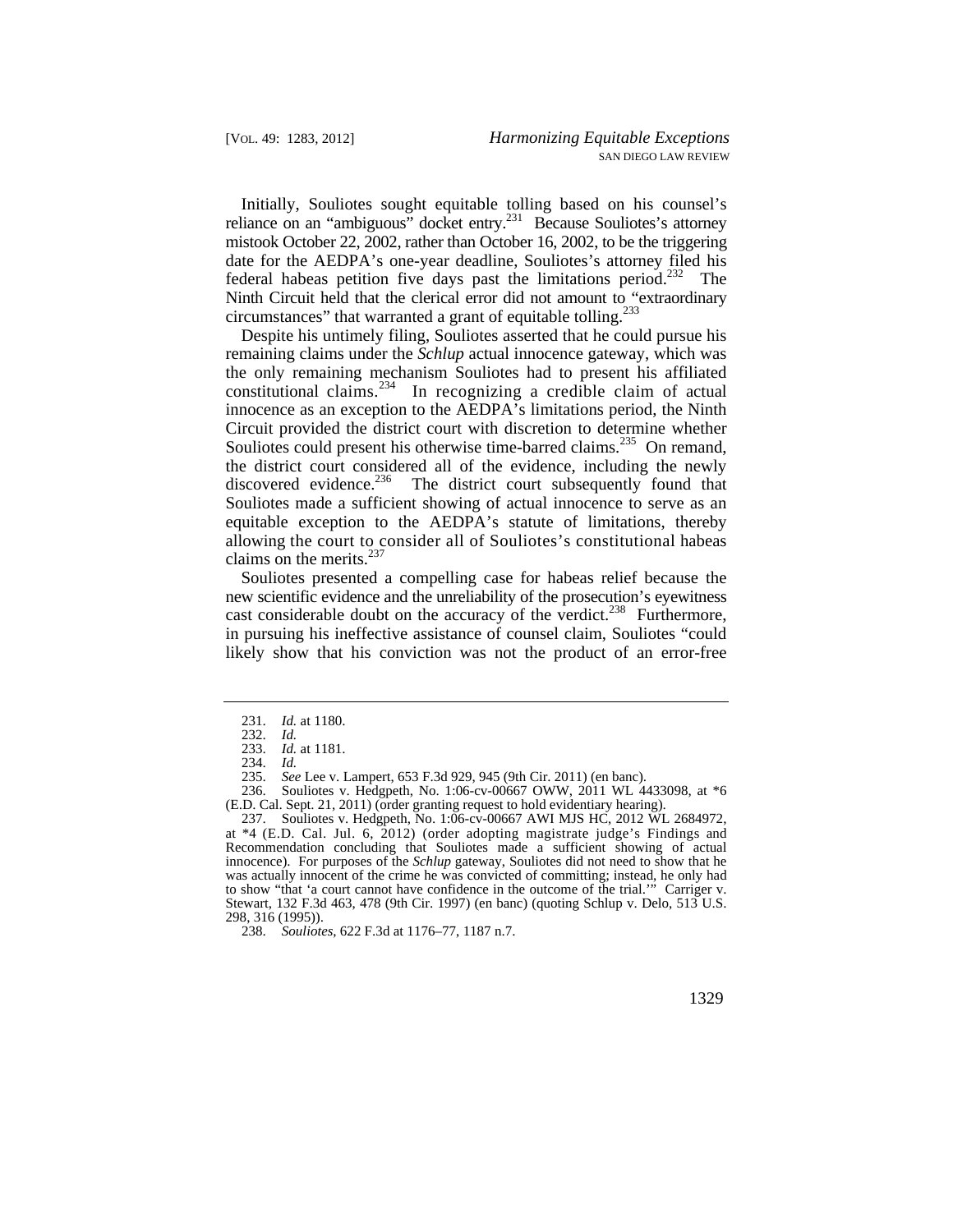Initially, Souliotes sought equitable tolling based on his counsel's reliance on an "ambiguous" docket entry.231 Because Souliotes's attorney mistook October 22, 2002, rather than October 16, 2002, to be the triggering date for the AEDPA's one-year deadline, Souliotes's attorney filed his federal habeas petition five days past the limitations period.<sup>232</sup> The Ninth Circuit held that the clerical error did not amount to "extraordinary circumstances" that warranted a grant of equitable tolling.<sup>233</sup>

Despite his untimely filing, Souliotes asserted that he could pursue his remaining claims under the *Schlup* actual innocence gateway, which was the only remaining mechanism Souliotes had to present his affiliated constitutional claims.<sup>234</sup> In recognizing a credible claim of actual innocence as an exception to the AEDPA's limitations period, the Ninth Circuit provided the district court with discretion to determine whether Souliotes could present his otherwise time-barred claims.<sup>235</sup> On remand, the district court considered all of the evidence, including the newly discovered evidence.<sup>236</sup> The district court subsequently found that Souliotes made a sufficient showing of actual innocence to serve as an equitable exception to the AEDPA's statute of limitations, thereby allowing the court to consider all of Souliotes's constitutional habeas claims on the merits. $237$ 

Souliotes presented a compelling case for habeas relief because the new scientific evidence and the unreliability of the prosecution's eyewitness cast considerable doubt on the accuracy of the verdict.<sup>238</sup> Furthermore, in pursuing his ineffective assistance of counsel claim, Souliotes "could likely show that his conviction was not the product of an error-free

<sup>231.</sup> *Id.* at 1180.

<sup>232.</sup> *Id.* 

<sup>233.</sup> *Id.* at 1181.

<sup>234.</sup> *Id.* 

<sup>235.</sup> *See* Lee v. Lampert, 653 F.3d 929, 945 (9th Cir. 2011) (en banc).

<sup>236.</sup> Souliotes v. Hedgpeth, No. 1:06-cv-00667 OWW, 2011 WL 4433098, at \*6 (E.D. Cal. Sept. 21, 2011) (order granting request to hold evidentiary hearing).

 at \*4 (E.D. Cal. Jul. 6, 2012) (order adopting magistrate judge's Findings and 237. Souliotes v. Hedgpeth, No. 1:06-cv-00667 AWI MJS HC, 2012 WL 2684972, Recommendation concluding that Souliotes made a sufficient showing of actual innocence). For purposes of the *Schlup* gateway, Souliotes did not need to show that he was actually innocent of the crime he was convicted of committing; instead, he only had to show "that 'a court cannot have confidence in the outcome of the trial.'" Carriger v. Stewart, 132 F.3d 463, 478 (9th Cir. 1997) (en banc) (quoting Schlup v. Delo, 513 U.S. 298, 316 (1995)).

<sup>238.</sup> *Souliotes*, 622 F.3d at 1176–77, 1187 n.7.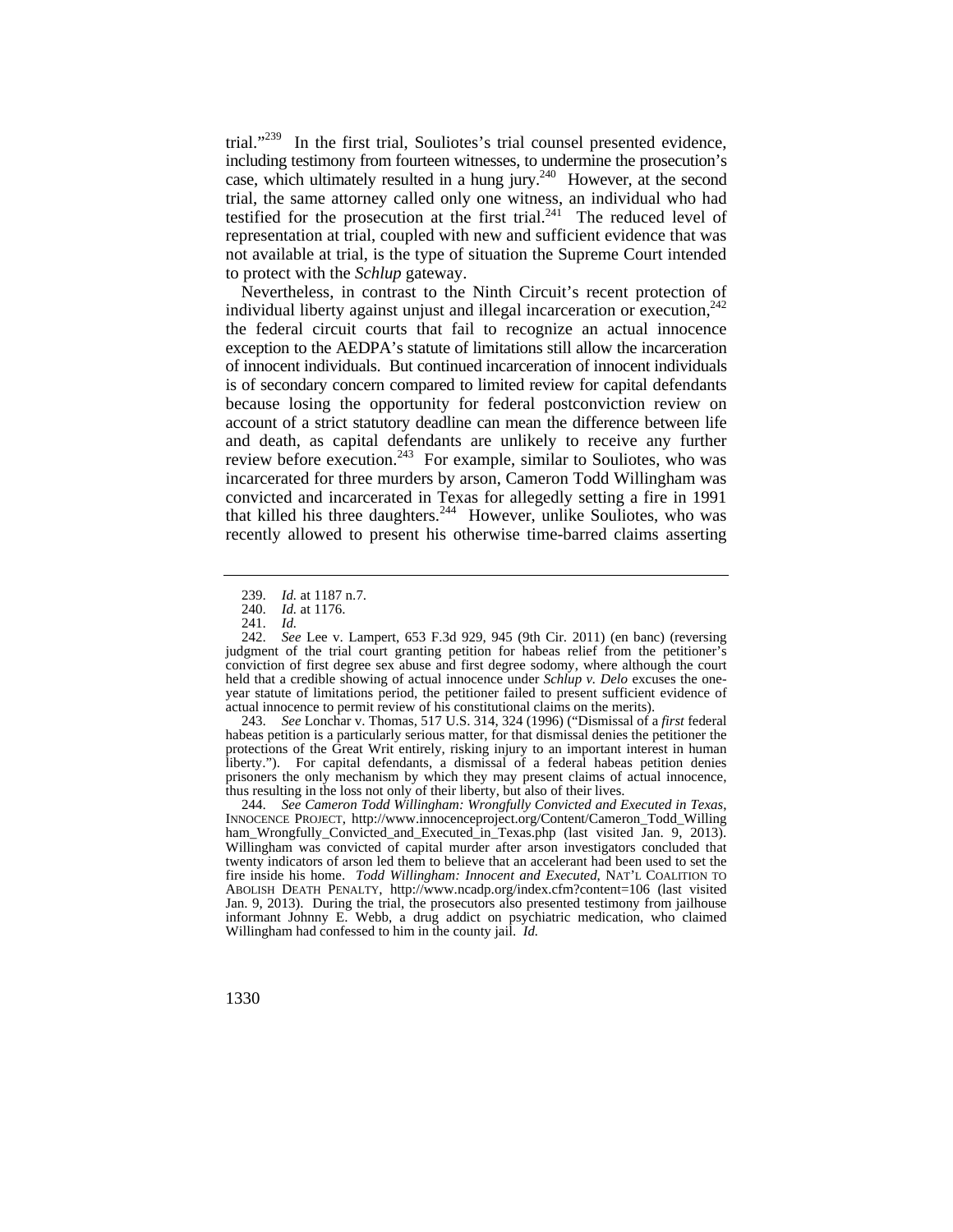trial."<sup>239</sup> In the first trial, Souliotes's trial counsel presented evidence, including testimony from fourteen witnesses, to undermine the prosecution's case, which ultimately resulted in a hung jury. $^{240}$  However, at the second trial, the same attorney called only one witness, an individual who had testified for the prosecution at the first trial.<sup>241</sup> The reduced level of representation at trial, coupled with new and sufficient evidence that was not available at trial, is the type of situation the Supreme Court intended to protect with the *Schlup* gateway.

review before execution.<sup>243</sup> For example, similar to Souliotes, who was Nevertheless, in contrast to the Ninth Circuit's recent protection of individual liberty against unjust and illegal incarceration or execution.  $242$ the federal circuit courts that fail to recognize an actual innocence exception to the AEDPA's statute of limitations still allow the incarceration of innocent individuals. But continued incarceration of innocent individuals is of secondary concern compared to limited review for capital defendants because losing the opportunity for federal postconviction review on account of a strict statutory deadline can mean the difference between life and death, as capital defendants are unlikely to receive any further incarcerated for three murders by arson, Cameron Todd Willingham was convicted and incarcerated in Texas for allegedly setting a fire in 1991 that killed his three daughters.<sup>244</sup> However, unlike Souliotes, who was recently allowed to present his otherwise time-barred claims asserting

243. *See* Lonchar v. Thomas, 517 U.S. 314, 324 (1996) ("Dismissal of a *first* federal habeas petition is a particularly serious matter, for that dismissal denies the petitioner the protections of the Great Writ entirely, risking injury to an important interest in human liberty."). For capital defendants, a dismissal of a federal habeas petition denies prisoners the only mechanism by which they may present claims of actual innocence, thus resulting in the loss not only of their liberty, but also of their lives.

<sup>239.</sup> *Id.* at 1187 n.7.

<sup>240.</sup> *Id.* at 1176.

<sup>241.</sup> *Id.* 

<sup>242.</sup> *See* Lee v. Lampert, 653 F.3d 929, 945 (9th Cir. 2011) (en banc) (reversing judgment of the trial court granting petition for habeas relief from the petitioner's conviction of first degree sex abuse and first degree sodomy, where although the court held that a credible showing of actual innocence under *Schlup v. Delo* excuses the oneyear statute of limitations period, the petitioner failed to present sufficient evidence of actual innocence to permit review of his constitutional claims on the merits).

 Willingham had confessed to him in the county jail. *Id.*  244. *See Cameron Todd Willingham: Wrongfully Convicted and Executed in Texas*, INNOCENCE PROJECT, [http://www.innocenceproject.org/Content/Cameron\\_Todd\\_Willing](http://www.innocenceproject.org/Content/Cameron_Todd_Willing) ham\_Wrongfully\_Convicted\_and\_Executed\_in\_Texas.php (last visited Jan. 9, 2013). Willingham was convicted of capital murder after arson investigators concluded that twenty indicators of arson led them to believe that an accelerant had been used to set the fire inside his home. *Todd Willingham: Innocent and Executed*, NAT'L COALITION TO ABOLISH DEATH PENALTY, <http://www.ncadp.org/index.cfm?content=106>(last visited Jan. 9, 2013). During the trial, the prosecutors also presented testimony from jailhouse informant Johnny E. Webb, a drug addict on psychiatric medication, who claimed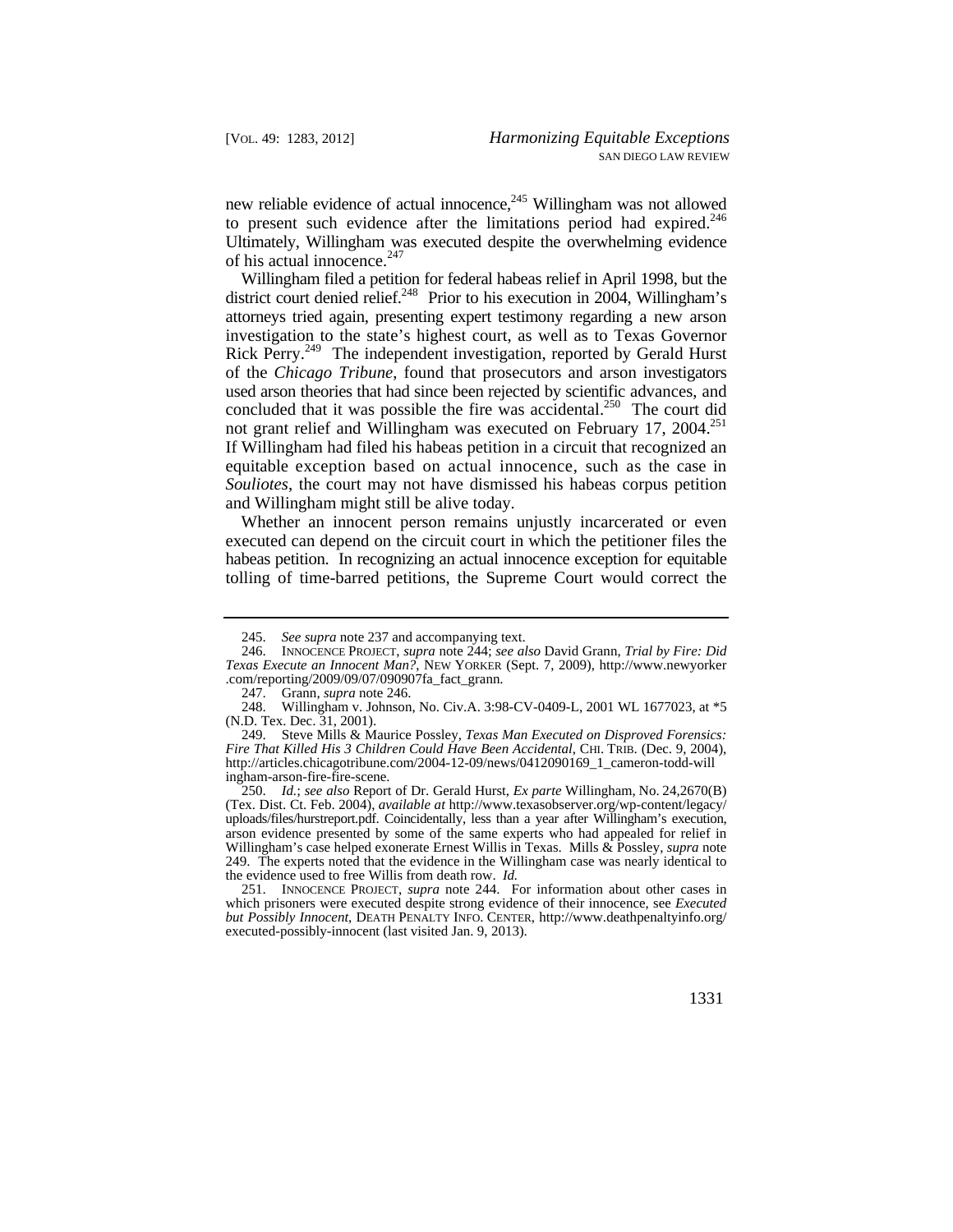to present such evidence after the limitations period had expired.<sup>246</sup> new reliable evidence of actual innocence, $245$  Willingham was not allowed Ultimately, Willingham was executed despite the overwhelming evidence of his actual innocence.<sup>247</sup>

 attorneys tried again, presenting expert testimony regarding a new arson Rick Perry.<sup>249</sup> The independent investigation, reported by Gerald Hurst used arson theories that had since been rejected by scientific advances, and Willingham filed a petition for federal habeas relief in April 1998, but the district court denied relief.<sup>248</sup> Prior to his execution in 2004, Willingham's investigation to the state's highest court, as well as to Texas Governor of the *Chicago Tribune*, found that prosecutors and arson investigators concluded that it was possible the fire was accidental.<sup>250</sup> The court did not grant relief and Willingham was executed on February 17, 2004.<sup>251</sup> If Willingham had filed his habeas petition in a circuit that recognized an equitable exception based on actual innocence, such as the case in *Souliotes*, the court may not have dismissed his habeas corpus petition and Willingham might still be alive today.

Whether an innocent person remains unjustly incarcerated or even executed can depend on the circuit court in which the petitioner files the habeas petition. In recognizing an actual innocence exception for equitable tolling of time-barred petitions, the Supreme Court would correct the

<sup>245.</sup> *See supra* note 237 and accompanying text.

 <sup>246.</sup> INNOCENCE PROJECT, *supra* note 244; *see also* David Grann, *Trial by Fire: Did Texas Execute an Innocent Man?*, NEW YORKER (Sept. 7, 2009), <http://www.newyorker> .com/reporting/2009/09/07/090907fa\_fact\_grann.

 <sup>247.</sup> Grann, *supra* note 246.

Willingham v. Johnson, No. Civ.A. 3:98-CV-0409-L, 2001 WL 1677023, at \*5 (N.D. Tex. Dec. 31, 2001).

 *Fire That Killed His 3 Children Could Have Been Accidental*, CHI. TRIB. (Dec. 9, 2004), 249. Steve Mills & Maurice Possley, *Texas Man Executed on Disproved Forensics:*  [http://articles.chicagotribune.com/2004-12-09/news/0412090169\\_1\\_cameron-todd-will](http://articles.chicagotribune.com/2004-12-09/news/0412090169_1_cameron-todd-will) ingham-arson-fire-fire-scene.

 250. *Id.*; *see also* Report of Dr. Gerald Hurst, *Ex parte* Willingham, No. 24,2670(B) (Tex. Dist. Ct. Feb. 2004), *available at* [http://www.texasobserver.org/wp-content/legacy/](http://www.texasobserver.org/wp-content/legacy) uploads/files/hurstreport.pdf. Coincidentally, less than a year after Willingham's execution, arson evidence presented by some of the same experts who had appealed for relief in Willingham's case helped exonerate Ernest Willis in Texas. Mills & Possley, *supra* note 249. The experts noted that the evidence in the Willingham case was nearly identical to the evidence used to free Willis from death row. *Id.*

 <sup>251.</sup> INNOCENCE PROJECT, *supra* note 244. For information about other cases in which prisoners were executed despite strong evidence of their innocence, see *Executed but Possibly Innocent*, DEATH PENALTY INFO. CENTER, [http://www.deathpenaltyinfo.org/](http://www.deathpenaltyinfo.org) executed-possibly-innocent (last visited Jan. 9, 2013).